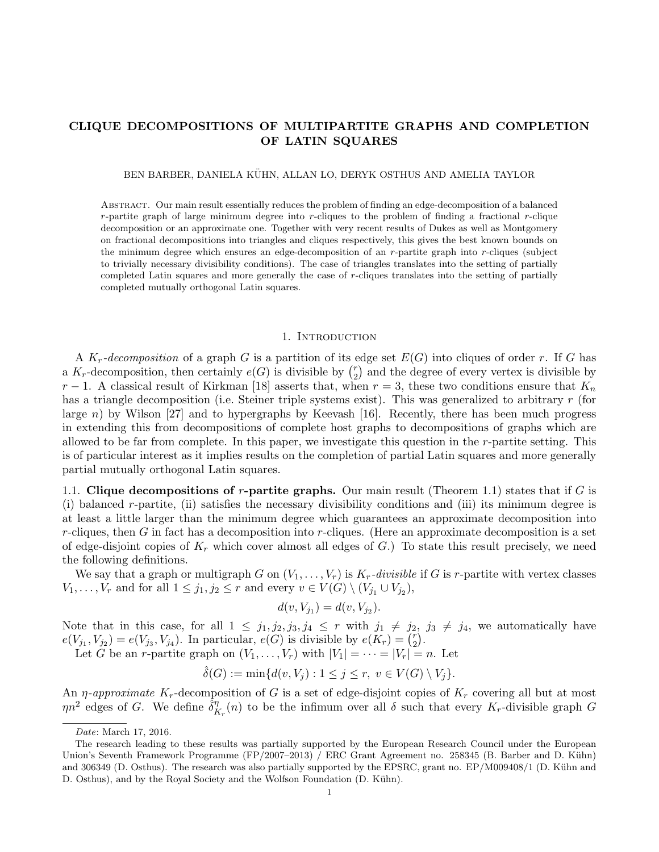# CLIQUE DECOMPOSITIONS OF MULTIPARTITE GRAPHS AND COMPLETION OF LATIN SQUARES

BEN BARBER, DANIELA KÜHN, ALLAN LO, DERYK OSTHUS AND AMELIA TAYLOR

Abstract. Our main result essentially reduces the problem of finding an edge-decomposition of a balanced  $r$ -partite graph of large minimum degree into  $r$ -cliques to the problem of finding a fractional  $r$ -clique decomposition or an approximate one. Together with very recent results of Dukes as well as Montgomery on fractional decompositions into triangles and cliques respectively, this gives the best known bounds on the minimum degree which ensures an edge-decomposition of an  $r$ -partite graph into  $r$ -cliques (subject to trivially necessary divisibility conditions). The case of triangles translates into the setting of partially completed Latin squares and more generally the case of r-cliques translates into the setting of partially completed mutually orthogonal Latin squares.

## 1. INTRODUCTION

A  $K_r$ -decomposition of a graph G is a partition of its edge set  $E(G)$  into cliques of order r. If G has a  $K_r$ -decomposition, then certainly  $e(G)$  is divisible by  $\binom{r}{2}$  $\binom{r}{2}$  and the degree of every vertex is divisible by  $r-1$ . A classical result of Kirkman [18] asserts that, when  $r=3$ , these two conditions ensure that  $K_n$ has a triangle decomposition (i.e. Steiner triple systems exist). This was generalized to arbitrary r (for large n) by Wilson [27] and to hypergraphs by Keevash [16]. Recently, there has been much progress in extending this from decompositions of complete host graphs to decompositions of graphs which are allowed to be far from complete. In this paper, we investigate this question in the r-partite setting. This is of particular interest as it implies results on the completion of partial Latin squares and more generally partial mutually orthogonal Latin squares.

1.1. Clique decompositions of r-partite graphs. Our main result (Theorem 1.1) states that if G is (i) balanced r-partite, (ii) satisfies the necessary divisibility conditions and (iii) its minimum degree is at least a little larger than the minimum degree which guarantees an approximate decomposition into r-cliques, then G in fact has a decomposition into r-cliques. (Here an approximate decomposition is a set of edge-disjoint copies of  $K_r$  which cover almost all edges of G.) To state this result precisely, we need the following definitions.

We say that a graph or multigraph G on  $(V_1, \ldots, V_r)$  is  $K_r$ -divisible if G is r-partite with vertex classes  $V_1, \ldots, V_r$  and for all  $1 \leq j_1, j_2 \leq r$  and every  $v \in V(G) \setminus (V_{j_1} \cup V_{j_2}),$ 

$$
d(v, V_{j_1}) = d(v, V_{j_2}).
$$

Note that in this case, for all  $1 \leq j_1, j_2, j_3, j_4 \leq r$  with  $j_1 \neq j_2, j_3 \neq j_4$ , we automatically have  $e(V_{j_1}, V_{j_2}) = e(V_{j_3}, V_{j_4})$ . In particular,  $e(G)$  is divisible by  $e(K_r) = \binom{r}{2}$  $\binom{r}{2}$ .

Let G be an *r*-partite graph on  $(V_1, \ldots, V_r)$  with  $|V_1| = \cdots = |V_r| = n$ . Let

$$
\hat{\delta}(G) := \min\{d(v, V_j) : 1 \le j \le r, \ v \in V(G) \setminus V_j\}.
$$

An  $\eta$ -approximate K<sub>r</sub>-decomposition of G is a set of edge-disjoint copies of K<sub>r</sub> covering all but at most  $\eta n^2$  edges of G. We define  $\hat{\delta}_k^{\eta}$  $K_{K_r}(n)$  to be the infimum over all  $\delta$  such that every  $K_r$ -divisible graph G

Date: March 17, 2016.

The research leading to these results was partially supported by the European Research Council under the European Union's Seventh Framework Programme (FP/2007–2013) / ERC Grant Agreement no. 258345 (B. Barber and D. Kühn) and 306349 (D. Osthus). The research was also partially supported by the EPSRC, grant no. EP/M009408/1 (D. Kühn and D. Osthus), and by the Royal Society and the Wolfson Foundation (D. Kühn).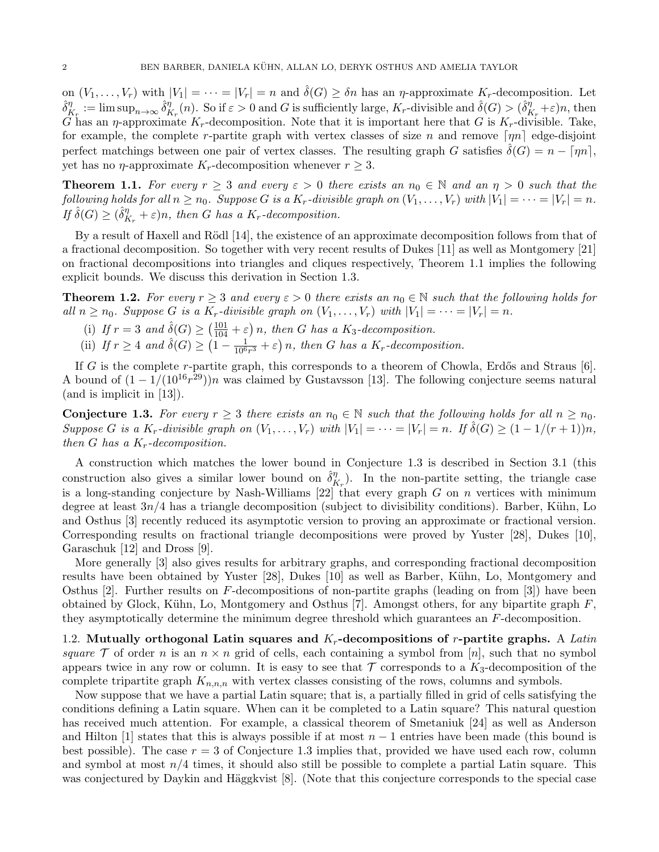on  $(V_1, \ldots, V_r)$  with  $|V_1| = \cdots = |V_r| = n$  and  $\hat{\delta}(G) \geq \delta n$  has an  $\eta$ -approximate  $K_r$ -decomposition. Let  $\hat{\delta}_F^\eta$  $y_{K_r}^{\eta} := \limsup_{n \to \infty} \hat{\delta}_F^{\eta}$  $_{K_r}^{\eta}(n)$ . So if  $\varepsilon > 0$  and G is sufficiently large,  $K_r$ -divisible and  $\hat{\delta}(G) > (\hat{\delta}_K^{\eta})$  $K_r^{\eta} + \varepsilon$ )n, then  $G$  has an  $\eta$ -approximate  $K_r$ -decomposition. Note that it is important here that G is  $K_r$ -divisible. Take, for example, the complete r-partite graph with vertex classes of size n and remove  $\lceil \eta n \rceil$  edge-disjoint perfect matchings between one pair of vertex classes. The resulting graph G satisfies  $\delta(G) = n - \lfloor \eta n \rfloor$ , yet has no  $\eta$ -approximate  $K_r$ -decomposition whenever  $r \geq 3$ .

**Theorem 1.1.** For every  $r \geq 3$  and every  $\varepsilon > 0$  there exists an  $n_0 \in \mathbb{N}$  and an  $\eta > 0$  such that the following holds for all  $n \ge n_0$ . Suppose G is a  $K_r$ -divisible graph on  $(V_1, \ldots, V_r)$  with  $|V_1| = \cdots = |V_r| = n$ . If  $\hat{\delta}(G) \geq (\hat{\delta}_R^{\eta})$  $K_{K_r}^{\eta} + \varepsilon$ )n, then G has a K<sub>r</sub>-decomposition.

By a result of Haxell and Rödl [14], the existence of an approximate decomposition follows from that of a fractional decomposition. So together with very recent results of Dukes [11] as well as Montgomery [21] on fractional decompositions into triangles and cliques respectively, Theorem 1.1 implies the following explicit bounds. We discuss this derivation in Section 1.3.

**Theorem 1.2.** For every  $r \geq 3$  and every  $\varepsilon > 0$  there exists an  $n_0 \in \mathbb{N}$  such that the following holds for all  $n \ge n_0$ . Suppose G is a  $K_r$ -divisible graph on  $(V_1, \ldots, V_r)$  with  $|V_1| = \cdots = |V_r| = n$ .

- (i) If  $r = 3$  and  $\hat{\delta}(G) \geq (\frac{101}{104} + \varepsilon) n$ , then G has a K<sub>3</sub>-decomposition.
- (ii) If  $r \geq 4$  and  $\hat{\delta}(G) \geq \left(1 \frac{1}{10^6 r^3} + \varepsilon\right)n$ , then G has a K<sub>r</sub>-decomposition.

If G is the complete r-partite graph, this corresponds to a theorem of Chowla, Erdős and Straus  $[6]$ . A bound of  $(1 - 1/(10^{16}r^{29}))n$  was claimed by Gustavsson [13]. The following conjecture seems natural (and is implicit in [13]).

**Conjecture 1.3.** For every  $r \geq 3$  there exists an  $n_0 \in \mathbb{N}$  such that the following holds for all  $n \geq n_0$ . Suppose G is a K<sub>r</sub>-divisible graph on  $(V_1, \ldots, V_r)$  with  $|V_1| = \cdots = |V_r| = n$ . If  $\delta(G) \geq (1 - 1/(r + 1))n$ , then G has a  $K_r$ -decomposition.

A construction which matches the lower bound in Conjecture 1.3 is described in Section 3.1 (this construction also gives a similar lower bound on  $\hat{\delta}_{R}^{\eta}$  $\binom{\eta}{K_r}$ . In the non-partite setting, the triangle case is a long-standing conjecture by Nash-Williams  $[22]$  that every graph G on n vertices with minimum degree at least  $3n/4$  has a triangle decomposition (subject to divisibility conditions). Barber, Kühn, Lo and Osthus [3] recently reduced its asymptotic version to proving an approximate or fractional version. Corresponding results on fractional triangle decompositions were proved by Yuster [28], Dukes [10], Garaschuk [12] and Dross [9].

More generally [3] also gives results for arbitrary graphs, and corresponding fractional decomposition results have been obtained by Yuster [28], Dukes [10] as well as Barber, Kühn, Lo, Montgomery and Osthus [2]. Further results on F-decompositions of non-partite graphs (leading on from [3]) have been obtained by Glock, Kühn, Lo, Montgomery and Osthus [7]. Amongst others, for any bipartite graph  $F$ , they asymptotically determine the minimum degree threshold which guarantees an F-decomposition.

1.2. Mutually orthogonal Latin squares and  $K_r$ -decompositions of r-partite graphs. A Latin square T of order n is an  $n \times n$  grid of cells, each containing a symbol from [n], such that no symbol appears twice in any row or column. It is easy to see that  $\mathcal T$  corresponds to a  $K_3$ -decomposition of the complete tripartite graph  $K_{n,n,n}$  with vertex classes consisting of the rows, columns and symbols.

Now suppose that we have a partial Latin square; that is, a partially filled in grid of cells satisfying the conditions defining a Latin square. When can it be completed to a Latin square? This natural question has received much attention. For example, a classical theorem of Smetaniuk [24] as well as Anderson and Hilton [1] states that this is always possible if at most  $n-1$  entries have been made (this bound is best possible). The case  $r = 3$  of Conjecture 1.3 implies that, provided we have used each row, column and symbol at most  $n/4$  times, it should also still be possible to complete a partial Latin square. This was conjectured by Daykin and Häggkvist [8]. (Note that this conjecture corresponds to the special case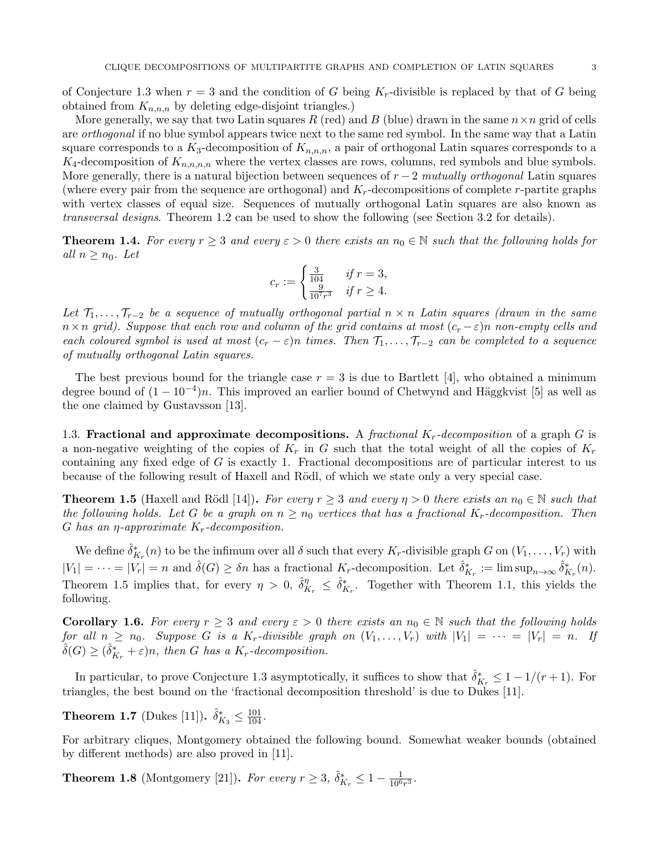of Conjecture 1.3 when  $r = 3$  and the condition of G being  $K_r$ -divisible is replaced by that of G being obtained from  $K_{n,n,n}$  by deleting edge-disjoint triangles.)

More generally, we say that two Latin squares R (red) and B (blue) drawn in the same  $n \times n$  grid of cells are *orthogonal* if no blue symbol appears twice next to the same red symbol. In the same way that a Latin square corresponds to a  $K_3$ -decomposition of  $K_{n,n,n}$ , a pair of orthogonal Latin squares corresponds to a  $K_4$ -decomposition of  $K_{n,n,n,n}$  where the vertex classes are rows, columns, red symbols and blue symbols. More generally, there is a natural bijection between sequences of  $r-2$  mutually orthogonal Latin squares (where every pair from the sequence are orthogonal) and  $K_r$ -decompositions of complete r-partite graphs with vertex classes of equal size. Sequences of mutually orthogonal Latin squares are also known as transversal designs. Theorem 1.2 can be used to show the following (see Section 3.2 for details).

**Theorem 1.4.** For every  $r \geq 3$  and every  $\varepsilon > 0$  there exists an  $n_0 \in \mathbb{N}$  such that the following holds for all  $n \geq n_0$ . Let

$$
c_r := \begin{cases} \frac{3}{104} & \text{if } r = 3, \\ \frac{9}{10^7 r^3} & \text{if } r \ge 4. \end{cases}
$$

Let  $\mathcal{T}_1, \ldots, \mathcal{T}_{r-2}$  be a sequence of mutually orthogonal partial  $n \times n$  Latin squares (drawn in the same  $n \times n$  grid). Suppose that each row and column of the grid contains at most  $(c_r - \varepsilon)n$  non-empty cells and each coloured symbol is used at most  $(c_r - \varepsilon)n$  times. Then  $\mathcal{T}_1, \ldots, \mathcal{T}_{r-2}$  can be completed to a sequence of mutually orthogonal Latin squares.

The best previous bound for the triangle case  $r = 3$  is due to Bartlett [4], who obtained a minimum degree bound of  $(1 - 10^{-4})n$ . This improved an earlier bound of Chetwynd and Häggkvist [5] as well as the one claimed by Gustavsson [13].

1.3. Fractional and approximate decompositions. A fractional  $K_r$ -decomposition of a graph G is a non-negative weighting of the copies of  $K_r$  in G such that the total weight of all the copies of  $K_r$ containing any fixed edge of G is exactly 1. Fractional decompositions are of particular interest to us because of the following result of Haxell and Rödl, of which we state only a very special case.

**Theorem 1.5** (Haxell and Rödl [14]). For every  $r \geq 3$  and every  $\eta > 0$  there exists an  $n_0 \in \mathbb{N}$  such that the following holds. Let G be a graph on  $n \geq n_0$  vertices that has a fractional  $K_r$ -decomposition. Then G has an  $\eta$ -approximate  $K_r$ -decomposition.

We define  $\hat{\delta}_{K_r}^*(n)$  to be the infimum over all  $\delta$  such that every  $K_r$ -divisible graph G on  $(V_1,\ldots,V_r)$  with  $|V_1| = \cdots = |V_r| = n$  and  $\hat{\delta}(G) \ge \delta n$  has a fractional  $K_r$ -decomposition. Let  $\hat{\delta}_{K_r}^* := \limsup_{n \to \infty} \hat{\delta}_{K_r}^*(n)$ . Theorem 1.5 implies that, for every  $\eta > 0$ ,  $\hat{\delta}_{\mu}^{\eta}$  $\hat{K}_{K_r}^{\eta} \leq \hat{\delta}_{K_r}^*$ . Together with Theorem 1.1, this yields the following.

**Corollary 1.6.** For every  $r \geq 3$  and every  $\varepsilon > 0$  there exists an  $n_0 \in \mathbb{N}$  such that the following holds for all  $n \geq n_0$ . Suppose G is a  $K_r$ -divisible graph on  $(V_1, \ldots, V_r)$  with  $|V_1| = \cdots = |V_r| = n$ . If  $\hat{\delta}(G) \geq (\hat{\delta}_{K_r}^* + \varepsilon)n$ , then G has a  $K_r$ -decomposition.

In particular, to prove Conjecture 1.3 asymptotically, it suffices to show that  $\hat{\delta}_{K_r}^* \leq 1 - 1/(r+1)$ . For triangles, the best bound on the 'fractional decomposition threshold' is due to Dukes [11].

**Theorem 1.7** (Dukes [11]).  $\hat{\delta}_{K_3}^* \le \frac{101}{104}$ .

For arbitrary cliques, Montgomery obtained the following bound. Somewhat weaker bounds (obtained by different methods) are also proved in [11].

**Theorem 1.8** (Montgomery [21]). For every  $r \ge 3$ ,  $\hat{\delta}_{K_r}^* \le 1 - \frac{1}{10^6 r^3}$ .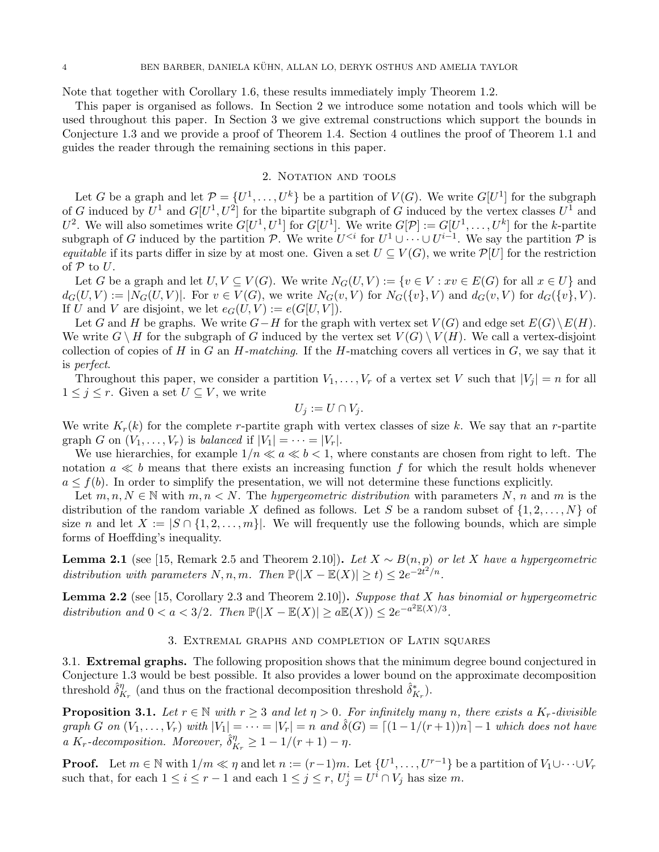Note that together with Corollary 1.6, these results immediately imply Theorem 1.2.

This paper is organised as follows. In Section 2 we introduce some notation and tools which will be used throughout this paper. In Section 3 we give extremal constructions which support the bounds in Conjecture 1.3 and we provide a proof of Theorem 1.4. Section 4 outlines the proof of Theorem 1.1 and guides the reader through the remaining sections in this paper.

## 2. NOTATION AND TOOLS

Let G be a graph and let  $\mathcal{P} = \{U^1, \ldots, U^k\}$  be a partition of  $V(G)$ . We write  $G[U^1]$  for the subgraph of G induced by  $U^1$  and  $G[U^1, U^2]$  for the bipartite subgraph of G induced by the vertex classes  $U^1$  and  $U^2$ . We will also sometimes write  $G[U^1, U^1]$  for  $G[U^1]$ . We write  $G[\mathcal{P}] := G[U^1, \ldots, U^k]$  for the k-partite subgraph of G induced by the partition  $\mathcal{P}$ . We write  $U^{&i}$  for  $U^{1} \cup \cdots \cup U^{i-1}$ . We say the partition  $\mathcal{P}$  is equitable if its parts differ in size by at most one. Given a set  $U \subseteq V(G)$ , we write  $\mathcal{P}[U]$  for the restriction of  $P$  to  $U$ .

Let G be a graph and let  $U, V \subseteq V(G)$ . We write  $N_G(U, V) := \{v \in V : xv \in E(G) \text{ for all } x \in U\}$  and  $d_G(U, V) := |N_G(U, V)|$ . For  $v \in V(G)$ , we write  $N_G(v, V)$  for  $N_G({v}, V)$  and  $d_G(v, V)$  for  $d_G({v}, V)$ . If U and V are disjoint, we let  $e_G(U, V) := e(G[U, V])$ .

Let G and H be graphs. We write  $G-H$  for the graph with vertex set  $V(G)$  and edge set  $E(G) \setminus E(H)$ . We write  $G \setminus H$  for the subgraph of G induced by the vertex set  $V(G) \setminus V(H)$ . We call a vertex-disjoint collection of copies of H in G an H-matching. If the H-matching covers all vertices in  $G$ , we say that it is perfect.

Throughout this paper, we consider a partition  $V_1, \ldots, V_r$  of a vertex set V such that  $|V_i| = n$  for all  $1 \leq j \leq r$ . Given a set  $U \subseteq V$ , we write

$$
U_j:=U\cap V_j.
$$

We write  $K_r(k)$  for the complete r-partite graph with vertex classes of size k. We say that an r-partite graph G on  $(V_1, \ldots, V_r)$  is balanced if  $|V_1| = \cdots = |V_r|$ .

We use hierarchies, for example  $1/n \ll a \ll b < 1$ , where constants are chosen from right to left. The notation  $a \ll b$  means that there exists an increasing function f for which the result holds whenever  $a \leq f(b)$ . In order to simplify the presentation, we will not determine these functions explicitly.

Let  $m, n, N \in \mathbb{N}$  with  $m, n < N$ . The *hypergeometric distribution* with parameters N, n and m is the distribution of the random variable X defined as follows. Let S be a random subset of  $\{1, 2, \ldots, N\}$  of size n and let  $X := |S \cap \{1, 2, ..., m\}|$ . We will frequently use the following bounds, which are simple forms of Hoeffding's inequality.

**Lemma 2.1** (see [15, Remark 2.5 and Theorem 2.10]). Let  $X \sim B(n, p)$  or let X have a hypergeometric distribution with parameters  $N, n, m$ . Then  $\mathbb{P}(|X - \mathbb{E}(X)| \ge t) \le 2e^{-2t^2/n}$ .

**Lemma 2.2** (see [15, Corollary 2.3 and Theorem 2.10]). Suppose that X has binomial or hypergeometric distribution and  $0 < a < 3/2$ . Then  $\mathbb{P}(|X - \mathbb{E}(X)| \ge a \mathbb{E}(X)) \le 2e^{-a^2 \mathbb{E}(X)/3}$ .

#### 3. Extremal graphs and completion of Latin squares

3.1. Extremal graphs. The following proposition shows that the minimum degree bound conjectured in Conjecture 1.3 would be best possible. It also provides a lower bound on the approximate decomposition threshold  $\hat{\delta}^{\eta}_{\mu}$  $\eta_{K_r}^{\eta}$  (and thus on the fractional decomposition threshold  $\hat{\delta}_{K_r}^*$ ).

**Proposition 3.1.** Let  $r \in \mathbb{N}$  with  $r \geq 3$  and let  $\eta > 0$ . For infinitely many n, there exists a  $K_r$ -divisible graph G on  $(V_1, \ldots, V_r)$  with  $|V_1| = \cdots = |V_r| = n$  and  $\hat{\delta}(G) = [(1 - 1/(r + 1))n] - 1$  which does not have a K<sub>r</sub>-decomposition. Moreover,  $\hat{\delta}_R^{\eta}$  $\frac{\eta}{K_r} \geq 1 - 1/(r+1) - \eta.$ 

**Proof.** Let  $m \in \mathbb{N}$  with  $1/m \ll \eta$  and let  $n := (r-1)m$ . Let  $\{U^1, \ldots, U^{r-1}\}$  be a partition of  $V_1 \cup \cdots \cup V_r$ such that, for each  $1 \leq i \leq r-1$  and each  $1 \leq j \leq r$ ,  $U_j^i = U^i \cap V_j$  has size m.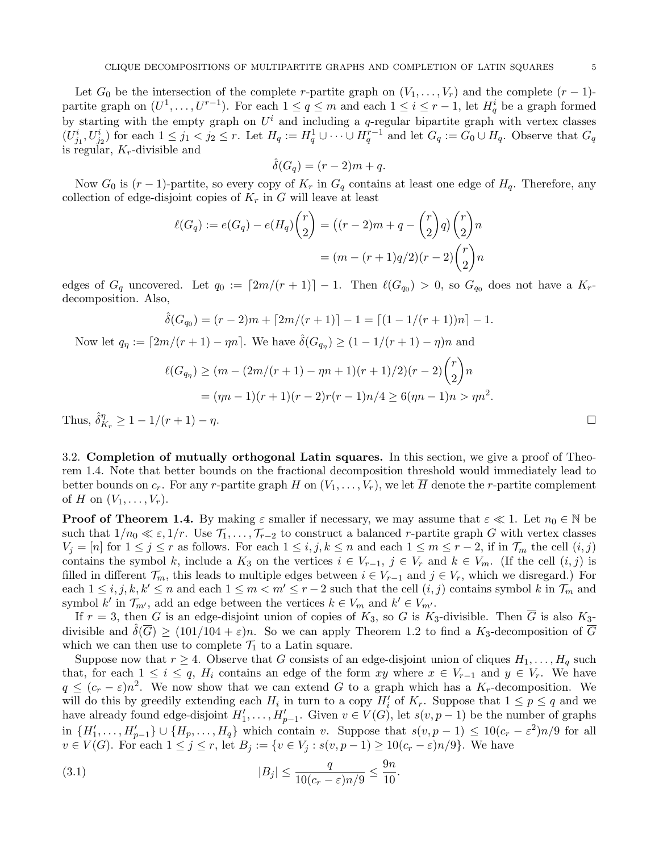Let  $G_0$  be the intersection of the complete r-partite graph on  $(V_1, \ldots, V_r)$  and the complete  $(r-1)$ partite graph on  $(U^1, \ldots, U^{r-1})$ . For each  $1 \le q \le m$  and each  $1 \le i \le r-1$ , let  $H_q^i$  be a graph formed by starting with the empty graph on  $U^i$  and including a q-regular bipartite graph with vertex classes  $(U^i_{j_1}, U^i_{j_2})$  for each  $1 \leq j_1 < j_2 \leq r$ . Let  $H_q := H^1_q \cup \cdots \cup H^{r-1}_q$  and let  $G_q := G_0 \cup H_q$ . Observe that  $G_q$ is regular,  $K_r$ -divisible and

$$
\hat{\delta}(G_q) = (r-2)m + q.
$$

Now  $G_0$  is  $(r-1)$ -partite, so every copy of  $K_r$  in  $G_q$  contains at least one edge of  $H_q$ . Therefore, any collection of edge-disjoint copies of  $K_r$  in G will leave at least

$$
\ell(G_q) := e(G_q) - e(H_q) \binom{r}{2} = ((r-2)m + q - \binom{r}{2} q) \binom{r}{2} n
$$

$$
= (m - (r+1)q/2)(r-2) \binom{r}{2} n
$$

edges of  $G_q$  uncovered. Let  $q_0 := \lceil 2m/(r+1) \rceil - 1$ . Then  $\ell(G_{q_0}) > 0$ , so  $G_{q_0}$  does not have a  $K_r$ decomposition. Also,

$$
\hat{\delta}(G_{q_0}) = (r-2)m + \lceil 2m/(r+1) \rceil - 1 = \lceil (1-1/(r+1))n \rceil - 1.
$$

Now let  $q_{\eta} := \lceil 2m/(r + 1) - \eta n \rceil$ . We have  $\hat{\delta}(G_{q_{\eta}}) \ge (1 - 1/(r + 1) - \eta)n$  and

$$
\ell(G_{q_{\eta}}) \ge (m - (2m/(r+1) - \eta n + 1)(r+1)/2)(r-2)\binom{r}{2}n
$$
  
=  $(\eta n - 1)(r+1)(r-2)r(r-1)n/4 \ge 6(\eta n - 1)n > \eta n^2$ .

Thus,  $\hat{\delta}^{\eta}_R$  $\frac{\eta}{K_r} \geq 1 - 1/(r+1) - \eta.$ 

3.2. Completion of mutually orthogonal Latin squares. In this section, we give a proof of Theorem 1.4. Note that better bounds on the fractional decomposition threshold would immediately lead to better bounds on  $c_r$ . For any r-partite graph H on  $(V_1, \ldots, V_r)$ , we let  $\overline{H}$  denote the r-partite complement of H on  $(V_1, \ldots, V_r)$ .

**Proof of Theorem 1.4.** By making  $\varepsilon$  smaller if necessary, we may assume that  $\varepsilon \ll 1$ . Let  $n_0 \in \mathbb{N}$  be such that  $1/n_0 \ll \varepsilon, 1/r$ . Use  $\mathcal{T}_1, \ldots, \mathcal{T}_{r-2}$  to construct a balanced r-partite graph G with vertex classes  $V_j = [n]$  for  $1 \leq j \leq r$  as follows. For each  $1 \leq i, j, k \leq n$  and each  $1 \leq m \leq r-2$ , if in  $\mathcal{T}_m$  the cell  $(i, j)$ contains the symbol k, include a  $K_3$  on the vertices  $i \in V_{r-1}$ ,  $j \in V_r$  and  $k \in V_m$ . (If the cell  $(i, j)$  is filled in different  $\mathcal{T}_m$ , this leads to multiple edges between  $i \in V_{r-1}$  and  $j \in V_r$ , which we disregard.) For each  $1 \le i, j, k, k' \le n$  and each  $1 \le m < m' \le r-2$  such that the cell  $(i, j)$  contains symbol k in  $\mathcal{T}_m$  and symbol k' in  $\mathcal{T}_{m'}$ , add an edge between the vertices  $k \in V_m$  and  $k' \in V_{m'}$ .

If  $r = 3$ , then G is an edge-disjoint union of copies of  $K_3$ , so G is  $K_3$ -divisible. Then  $\overline{G}$  is also  $K_3$ divisible and  $\delta(\overline{G}) \ge (101/104 + \varepsilon)n$ . So we can apply Theorem 1.2 to find a  $K_3$ -decomposition of  $\overline{G}$ which we can then use to complete  $\mathcal{T}_1$  to a Latin square.

Suppose now that  $r \geq 4$ . Observe that G consists of an edge-disjoint union of cliques  $H_1, \ldots, H_q$  such that, for each  $1 \leq i \leq q$ ,  $H_i$  contains an edge of the form xy where  $x \in V_{r-1}$  and  $y \in V_r$ . We have  $q \leq (c_r - \varepsilon)n^2$ . We now show that we can extend G to a graph which has a  $K_r$ -decomposition. We will do this by greedily extending each  $H_i$  in turn to a copy  $H'_i$  of  $K_r$ . Suppose that  $1 \leq p \leq q$  and we have already found edge-disjoint  $H'_1, \ldots, H'_{p-1}$ . Given  $v \in V(G)$ , let  $s(v, p-1)$  be the number of graphs in  $\{H'_1,\ldots,H'_{p-1}\}\cup\{H_p,\ldots,H_q\}$  which contain v. Suppose that  $s(v,p-1) \leq 10(c_r-\varepsilon^2)n/9$  for all  $v \in V(G)$ . For each  $1 \leq j \leq r$ , let  $B_j := \{v \in V_j : s(v, p-1) \geq 10(c_r - \varepsilon)n/9\}$ . We have

(3.1) 
$$
|B_j| \leq \frac{q}{10(c_r - \varepsilon)n/9} \leq \frac{9n}{10}.
$$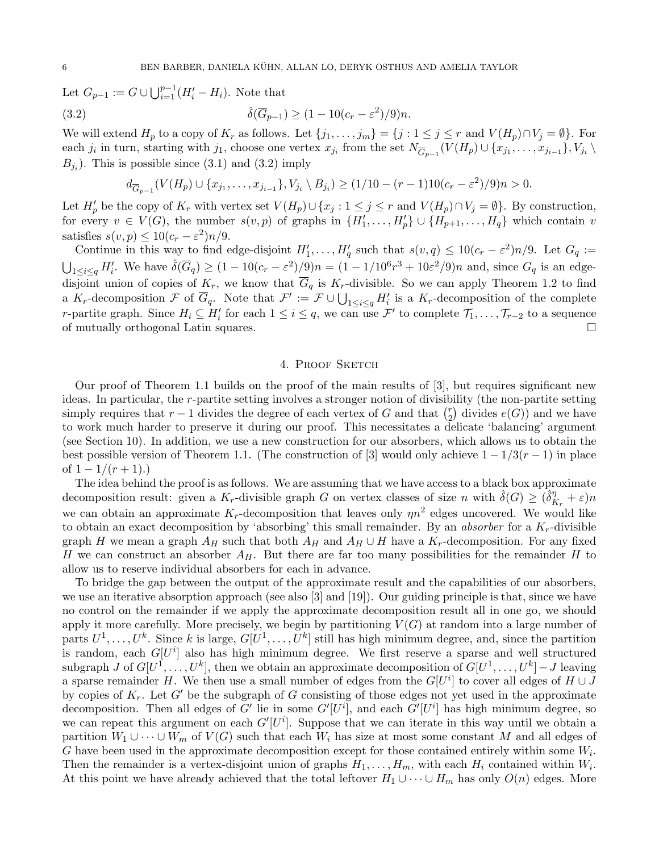Let  $G_{p-1} := G \cup \bigcup_{i=1}^{p-1} (H'_i - H_i)$ . Note that

(3.2) 
$$
\hat{\delta}(\overline{G}_{p-1}) \ge (1 - 10(c_r - \varepsilon^2)/9)n.
$$

We will extend  $H_p$  to a copy of  $K_r$  as follows. Let  $\{j_1, \ldots, j_m\} = \{j : 1 \le j \le r \text{ and } V(H_p) \cap V_j = \emptyset\}$ . For each  $j_i$  in turn, starting with  $j_1$ , choose one vertex  $x_{j_i}$  from the set  $N_{\overline{G}_{p-1}}(V(H_p) \cup \{x_{j_1}, \ldots, x_{j_{i-1}}\}, V_{j_i} \setminus$  $B_{j_i}$ ). This is possible since (3.1) and (3.2) imply

$$
d_{\overline{G}_{p-1}}(V(H_p) \cup \{x_{j_1},\ldots,x_{j_{i-1}}\}, V_{j_i} \setminus B_{j_i}) \ge (1/10 - (r-1)10(c_r - \varepsilon^2)/9)n > 0.
$$

Let  $H'_p$  be the copy of  $K_r$  with vertex set  $V(H_p) \cup \{x_j : 1 \le j \le r \text{ and } V(H_p) \cap V_j = \emptyset\}$ . By construction, for every  $v \in V(G)$ , the number  $s(v, p)$  of graphs in  $\{H'_1, \ldots, H'_p\} \cup \{H_{p+1}, \ldots, H_q\}$  which contain v satisfies  $s(v, p) \leq 10(c_r - \varepsilon^2)n/9$ .

Continue in this way to find edge-disjoint  $H'_1, \ldots, H'_q$  such that  $s(v, q) \leq 10(c_r - \varepsilon^2)n/9$ . Let  $G_q :=$  $\bigcup_{1 \leq i \leq q} H'_i$ . We have  $\hat{\delta}(\overline{G}_q) \geq (1 - 10(c_r - \varepsilon^2)/9)n = (1 - 1/10^6 r^3 + 10\varepsilon^2/9)n$  and, since  $G_q$  is an edgedisjoint union of copies of  $K_r$ , we know that  $\overline{G}_q$  is  $K_r$ -divisible. So we can apply Theorem 1.2 to find a  $K_r$ -decomposition  $\mathcal F$  of  $\overline{G}_q$ . Note that  $\mathcal F' := \mathcal F \cup \bigcup_{1 \leq i \leq q} H'_i$  is a  $K_r$ -decomposition of the complete r-partite graph. Since  $H_i \subseteq H_i'$  for each  $1 \leq i \leq q$ , we can use  $\mathcal{F}'$  to complete  $\mathcal{T}_1, \ldots, \mathcal{T}_{r-2}$  to a sequence of mutually orthogonal Latin squares.

### 4. PROOF SKETCH

Our proof of Theorem 1.1 builds on the proof of the main results of [3], but requires significant new ideas. In particular, the r-partite setting involves a stronger notion of divisibility (the non-partite setting simply requires that  $r - 1$  divides the degree of each vertex of G and that  $\binom{r}{2}$  $e'(G)$  and we have to work much harder to preserve it during our proof. This necessitates a delicate 'balancing' argument (see Section 10). In addition, we use a new construction for our absorbers, which allows us to obtain the best possible version of Theorem 1.1. (The construction of [3] would only achieve  $1 - 1/3(r - 1)$  in place of  $1 - 1/(r + 1)$ .

The idea behind the proof is as follows. We are assuming that we have access to a black box approximate decomposition result: given a  $K_r$ -divisible graph G on vertex classes of size n with  $\hat{\delta}(G) \geq (\hat{\delta}_F^{\eta})$  $\frac{\eta}{K_r} + \varepsilon$ )n we can obtain an approximate  $K_r$ -decomposition that leaves only  $\eta n^2$  edges uncovered. We would like to obtain an exact decomposition by 'absorbing' this small remainder. By an *absorber* for a  $K_r$ -divisible graph H we mean a graph  $A_H$  such that both  $A_H$  and  $A_H \cup H$  have a  $K_r$ -decomposition. For any fixed H we can construct an absorber  $A_H$ . But there are far too many possibilities for the remainder H to allow us to reserve individual absorbers for each in advance.

To bridge the gap between the output of the approximate result and the capabilities of our absorbers, we use an iterative absorption approach (see also [3] and [19]). Our guiding principle is that, since we have no control on the remainder if we apply the approximate decomposition result all in one go, we should apply it more carefully. More precisely, we begin by partitioning  $V(G)$  at random into a large number of parts  $U^1, \ldots, U^k$ . Since k is large,  $G[U^1, \ldots, U^k]$  still has high minimum degree, and, since the partition is random, each  $G[U^i]$  also has high minimum degree. We first reserve a sparse and well structured subgraph J of  $G[U^1, \ldots, U^k]$ , then we obtain an approximate decomposition of  $G[U^1, \ldots, U^k] - J$  leaving a sparse remainder H. We then use a small number of edges from the  $G[U^i]$  to cover all edges of  $H \cup J$ by copies of  $K_r$ . Let G' be the subgraph of G consisting of those edges not yet used in the approximate decomposition. Then all edges of G' lie in some  $G'[U^i]$ , and each  $G'[U^i]$  has high minimum degree, so we can repeat this argument on each  $G'[U^i]$ . Suppose that we can iterate in this way until we obtain a partition  $W_1 \cup \cdots \cup W_m$  of  $V(G)$  such that each  $W_i$  has size at most some constant M and all edges of G have been used in the approximate decomposition except for those contained entirely within some  $W_i$ . Then the remainder is a vertex-disjoint union of graphs  $H_1, \ldots, H_m$ , with each  $H_i$  contained within  $W_i$ . At this point we have already achieved that the total leftover  $H_1 \cup \cdots \cup H_m$  has only  $O(n)$  edges. More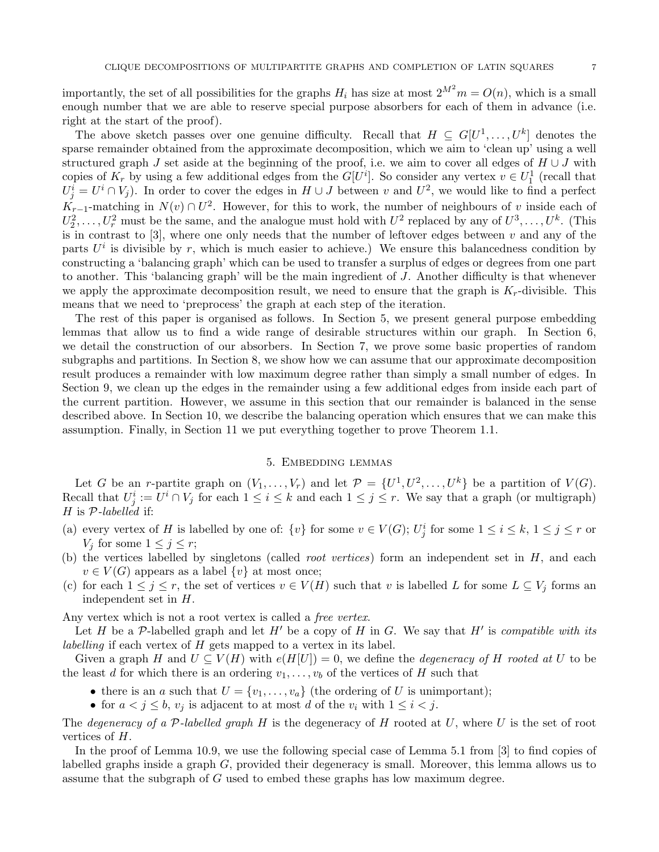importantly, the set of all possibilities for the graphs  $H_i$  has size at most  $2^{M^2}m = O(n)$ , which is a small enough number that we are able to reserve special purpose absorbers for each of them in advance (i.e. right at the start of the proof).

The above sketch passes over one genuine difficulty. Recall that  $H \subseteq G[U^1, \ldots, U^k]$  denotes the sparse remainder obtained from the approximate decomposition, which we aim to 'clean up' using a well structured graph J set aside at the beginning of the proof, i.e. we aim to cover all edges of  $H \cup J$  with copies of  $K_r$  by using a few additional edges from the  $G[U^i]$ . So consider any vertex  $v \in U_1^1$  (recall that 1  $U_j^i = U^i \cap V_j$ ). In order to cover the edges in  $H \cup J$  between v and  $U^2$ , we would like to find a perfect  $K_{r-1}$ -matching in  $N(v) \cap U^2$ . However, for this to work, the number of neighbours of v inside each of  $U_2^2, \ldots, U_r^2$  must be the same, and the analogue must hold with  $U^2$  replaced by any of  $U^3, \ldots, U^k$ . (This is in contrast to [3], where one only needs that the number of leftover edges between  $v$  and any of the parts  $U^i$  is divisible by r, which is much easier to achieve.) We ensure this balancedness condition by constructing a 'balancing graph' which can be used to transfer a surplus of edges or degrees from one part to another. This 'balancing graph' will be the main ingredient of J. Another difficulty is that whenever we apply the approximate decomposition result, we need to ensure that the graph is  $K_r$ -divisible. This means that we need to 'preprocess' the graph at each step of the iteration.

The rest of this paper is organised as follows. In Section 5, we present general purpose embedding lemmas that allow us to find a wide range of desirable structures within our graph. In Section 6, we detail the construction of our absorbers. In Section 7, we prove some basic properties of random subgraphs and partitions. In Section 8, we show how we can assume that our approximate decomposition result produces a remainder with low maximum degree rather than simply a small number of edges. In Section 9, we clean up the edges in the remainder using a few additional edges from inside each part of the current partition. However, we assume in this section that our remainder is balanced in the sense described above. In Section 10, we describe the balancing operation which ensures that we can make this assumption. Finally, in Section 11 we put everything together to prove Theorem 1.1.

## 5. Embedding lemmas

Let G be an r-partite graph on  $(V_1, \ldots, V_r)$  and let  $\mathcal{P} = \{U^1, U^2, \ldots, U^k\}$  be a partition of  $V(G)$ . Recall that  $U_j^i := U^i \cap V_j$  for each  $1 \leq i \leq k$  and each  $1 \leq j \leq r$ . We say that a graph (or multigraph) H is P-labelled if:

- (a) every vertex of H is labelled by one of:  $\{v\}$  for some  $v \in V(G)$ ;  $U_j^i$  for some  $1 \le i \le k$ ,  $1 \le j \le r$  or  $V_j$  for some  $1 \leq j \leq r$ ;
- (b) the vertices labelled by singletons (called *root vertices*) form an independent set in  $H$ , and each  $v \in V(G)$  appears as a label  $\{v\}$  at most once;
- (c) for each  $1 \leq j \leq r$ , the set of vertices  $v \in V(H)$  such that v is labelled L for some  $L \subseteq V_j$  forms an independent set in H.

Any vertex which is not a root vertex is called a *free vertex*.

Let H be a  $P$ -labelled graph and let H' be a copy of H in G. We say that H' is compatible with its labelling if each vertex of  $H$  gets mapped to a vertex in its label.

Given a graph H and  $U \subseteq V(H)$  with  $e(H[U]) = 0$ , we define the *degeneracy of H rooted at U* to be the least d for which there is an ordering  $v_1, \ldots, v_b$  of the vertices of H such that

- there is an a such that  $U = \{v_1, \ldots, v_a\}$  (the ordering of U is unimportant);
- for  $a < j \le b$ ,  $v_j$  is adjacent to at most d of the  $v_i$  with  $1 \le i < j$ .

The degeneracy of a  $\mathcal{P}$ -labelled graph H is the degeneracy of H rooted at U, where U is the set of root vertices of H.

In the proof of Lemma 10.9, we use the following special case of Lemma 5.1 from [3] to find copies of labelled graphs inside a graph G, provided their degeneracy is small. Moreover, this lemma allows us to assume that the subgraph of G used to embed these graphs has low maximum degree.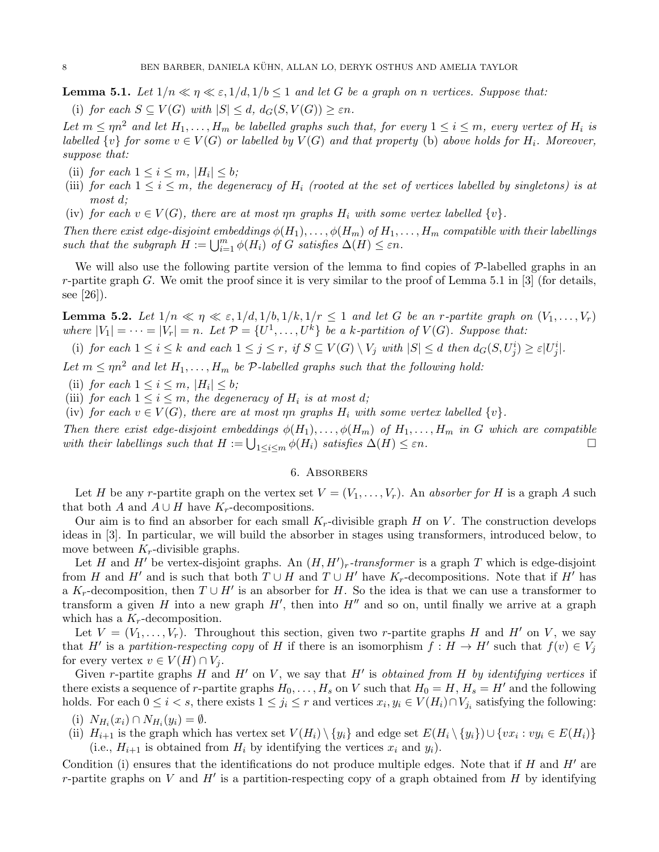**Lemma 5.1.** Let  $1/n \ll n \ll \varepsilon$ ,  $1/d$ ,  $1/b \leq 1$  and let G be a graph on n vertices. Suppose that:

(i) for each  $S \subseteq V(G)$  with  $|S| \leq d$ ,  $d_G(S, V(G)) \geq \varepsilon n$ .

Let  $m \le \eta n^2$  and let  $H_1, \ldots, H_m$  be labelled graphs such that, for every  $1 \le i \le m$ , every vertex of  $H_i$  is labelled  $\{v\}$  for some  $v \in V(G)$  or labelled by  $V(G)$  and that property (b) above holds for  $H_i$ . Moreover, suppose that:

- (ii) for each  $1 \leq i \leq m$ ,  $|H_i| \leq b$ ;
- (iii) for each  $1 \leq i \leq m$ , the degeneracy of  $H_i$  (rooted at the set of vertices labelled by singletons) is at most d;
- (iv) for each  $v \in V(G)$ , there are at most  $\eta n$  graphs  $H_i$  with some vertex labelled  $\{v\}$ .

Then there exist edge-disjoint embeddings  $\phi(H_1), \ldots, \phi(H_m)$  of  $H_1, \ldots, H_m$  compatible with their labellings such that the subgraph  $H := \bigcup_{i=1}^m \phi(H_i)$  of G satisfies  $\Delta(H) \leq \varepsilon n$ .

We will also use the following partite version of the lemma to find copies of  $\mathcal{P}\text{-labelled graphs}$  in an r-partite graph G. We omit the proof since it is very similar to the proof of Lemma 5.1 in [3] (for details, see [26]).

**Lemma 5.2.** Let  $1/n \ll \eta \ll \varepsilon$ ,  $1/d$ ,  $1/b$ ,  $1/k$ ,  $1/r \leq 1$  and let G be an r-partite graph on  $(V_1, \ldots, V_r)$ where  $|V_1| = \cdots = |V_r| = n$ . Let  $\mathcal{P} = \{U^1, \ldots, U^k\}$  be a k-partition of  $V(G)$ . Suppose that:

(i) for each  $1 \leq i \leq k$  and each  $1 \leq j \leq r$ , if  $S \subseteq V(G) \setminus V_j$  with  $|S| \leq d$  then  $d_G(S, U_j^i) \geq \varepsilon |U_j^i|$ .

Let  $m \le \eta n^2$  and let  $H_1, \ldots, H_m$  be  $\mathcal P$ -labelled graphs such that the following hold:

(ii) for each  $1 \leq i \leq m$ ,  $|H_i| \leq b$ ;

(iii) for each  $1 \leq i \leq m$ , the degeneracy of  $H_i$  is at most d;

(iv) for each  $v \in V(G)$ , there are at most  $\eta n$  graphs  $H_i$  with some vertex labelled  $\{v\}$ .

Then there exist edge-disjoint embeddings  $\phi(H_1), \ldots, \phi(H_m)$  of  $H_1, \ldots, H_m$  in G which are compatible with their labellings such that  $H := \bigcup_{1 \leq i \leq m} \phi(H_i)$  satisfies  $\Delta(H) \leq \varepsilon n$ .

## 6. Absorbers

Let H be any r-partite graph on the vertex set  $V = (V_1, \ldots, V_r)$ . An absorber for H is a graph A such that both A and  $A \cup H$  have  $K_r$ -decompositions.

Our aim is to find an absorber for each small  $K_r$ -divisible graph H on V. The construction develops ideas in [3]. In particular, we will build the absorber in stages using transformers, introduced below, to move between  $K_r$ -divisible graphs.

Let H and H' be vertex-disjoint graphs. An  $(H, H')_r$ -transformer is a graph T which is edge-disjoint from H and H' and is such that both  $T \cup H$  and  $T \cup H'$  have K<sub>r</sub>-decompositions. Note that if H' has a  $K_r$ -decomposition, then  $T \cup H'$  is an absorber for H. So the idea is that we can use a transformer to transform a given H into a new graph  $H'$ , then into  $H''$  and so on, until finally we arrive at a graph which has a  $K_r$ -decomposition.

Let  $V = (V_1, \ldots, V_r)$ . Throughout this section, given two r-partite graphs H and H' on V, we say that H' is a partition-respecting copy of H if there is an isomorphism  $f : H \to H'$  such that  $f(v) \in V_j$ for every vertex  $v \in V(H) \cap V_i$ .

Given r-partite graphs H and H' on V, we say that H' is obtained from H by identifying vertices if there exists a sequence of r-partite graphs  $H_0, \ldots, H_s$  on V such that  $H_0 = H, H_s = H'$  and the following holds. For each  $0 \le i < s$ , there exists  $1 \le j_i \le r$  and vertices  $x_i, y_i \in V(H_i) \cap V_{j_i}$  satisfying the following:

- (i)  $N_{H_i}(x_i) \cap N_{H_i}(y_i) = \emptyset.$
- (ii)  $H_{i+1}$  is the graph which has vertex set  $V(H_i) \setminus \{y_i\}$  and edge set  $E(H_i \setminus \{y_i\}) \cup \{vx_i : vy_i \in E(H_i)\}\$ (i.e.,  $H_{i+1}$  is obtained from  $H_i$  by identifying the vertices  $x_i$  and  $y_i$ ).

Condition (i) ensures that the identifications do not produce multiple edges. Note that if  $H$  and  $H'$  are r-partite graphs on V and  $H'$  is a partition-respecting copy of a graph obtained from H by identifying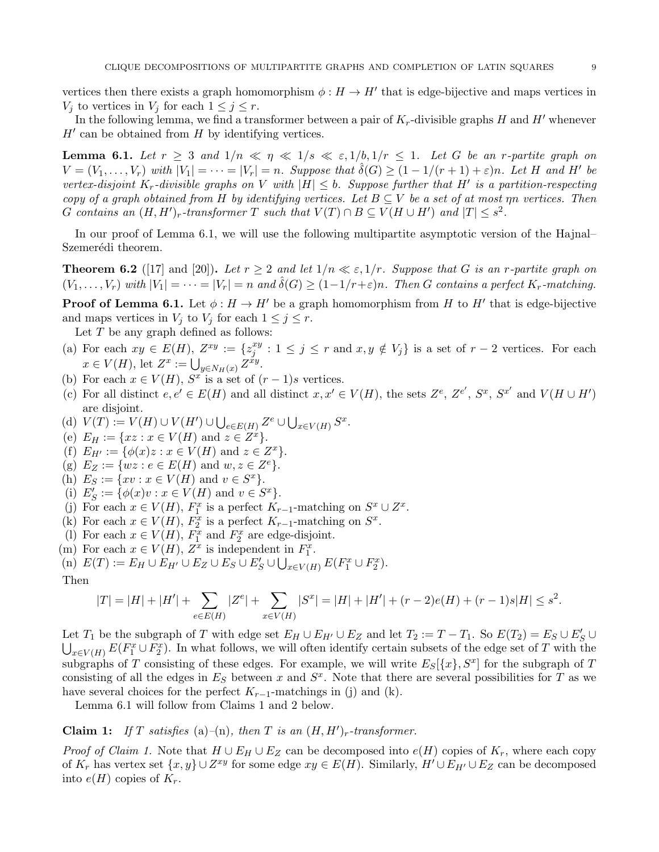vertices then there exists a graph homomorphism  $\phi : H \to H'$  that is edge-bijective and maps vertices in  $V_j$  to vertices in  $V_j$  for each  $1 \leq j \leq r$ .

In the following lemma, we find a transformer between a pair of  $K_r$ -divisible graphs H and H' whenever  $H'$  can be obtained from  $H$  by identifying vertices.

**Lemma 6.1.** Let  $r \geq 3$  and  $1/n \ll \eta \ll 1/s \ll \varepsilon$ ,  $1/b$ ,  $1/r \leq 1$ . Let G be an r-partite graph on  $V = (V_1, \ldots, V_r)$  with  $|V_1| = \cdots = |V_r| = n$ . Suppose that  $\hat{\delta}(G) \geq (1 - 1/(r + 1) + \varepsilon)n$ . Let H and H' be vertex-disjoint  $K_r$ -divisible graphs on V with  $|H| \leq b$ . Suppose further that H' is a partition-respecting copy of a graph obtained from H by identifying vertices. Let  $B \subseteq V$  be a set of at most  $\eta$ n vertices. Then G contains an  $(H, H')_r$ -transformer T such that  $V(T) \cap B \subseteq V(H \cup H')$  and  $|T| \leq s^2$ .

In our proof of Lemma 6.1, we will use the following multipartite asymptotic version of the Hajnal– Szemerédi theorem.

**Theorem 6.2** ([17] and [20]). Let  $r \geq 2$  and let  $1/n \ll \varepsilon$ ,  $1/r$ . Suppose that G is an r-partite graph on  $(V_1, \ldots, V_r)$  with  $|V_1| = \cdots = |V_r| = n$  and  $\hat{\delta}(G) \geq (1-1/r + \varepsilon)n$ . Then G contains a perfect  $K_r$ -matching.

**Proof of Lemma 6.1.** Let  $\phi: H \to H'$  be a graph homomorphism from H to H' that is edge-bijective and maps vertices in  $V_j$  to  $V_j$  for each  $1 \leq j \leq r$ .

Let  $T$  be any graph defined as follows:

- (a) For each  $xy \in E(H)$ ,  $Z^{xy} := \{z_j^{xy}$  $j_j^{xy}: 1 \leq j \leq r$  and  $x, y \notin V_j$  is a set of  $r-2$  vertices. For each  $x \in V(H)$ , let  $Z^x := \bigcup_{y \in N_H(x)} Z^{\dot{x}y}$ .
- (b) For each  $x \in V(H)$ ,  $S^x$  is a set of  $(r-1)s$  vertices.
- (c) For all distinct  $e, e' \in E(H)$  and all distinct  $x, x' \in V(H)$ , the sets  $Z^e, Z^{e'}, S^x, S^{x'}$  and  $V(H \cup H')$ are disjoint.
- (d)  $V(T) := V(H) \cup V(H') \cup \bigcup_{e \in E(H)} Z^e \cup \bigcup_{x \in V(H)} S^x$ .
- (e)  $E_H := \{xz : x \in V(H) \text{ and } z \in Z^x\}.$
- (f)  $E_{H'} := \{ \phi(x)z : x \in V(H) \text{ and } z \in Z^x \}.$
- (g)  $E_Z := \{ wz : e \in E(H) \text{ and } w, z \in Z^e \}.$
- (h)  $E_S := \{ xv : x \in V(H) \text{ and } v \in S^x \}.$
- (i)  $E'_{S} := \{ \phi(x)v : x \in V(H) \text{ and } v \in S^{x} \}.$
- (j) For each  $x \in V(H)$ ,  $F_1^x$  is a perfect  $K_{r-1}$ -matching on  $S^x \cup Z^x$ .
- (k) For each  $x \in V(H)$ ,  $F_2^x$  is a perfect  $K_{r-1}$ -matching on  $S^x$ .
- (1) For each  $x \in V(H)$ ,  $F_1^x$  and  $F_2^x$  are edge-disjoint.
- (m) For each  $x \in V(H)$ ,  $Z^x$  is independent in  $F_1^x$ .
- (n)  $E(T) := E_H \cup E_{H'} \cup E_Z \cup E_S \cup E_S' \cup \bigcup_{x \in V(H)} E(F_1^x \cup F_2^x).$

Then

$$
|T| = |H| + |H'| + \sum_{e \in E(H)} |Z^e| + \sum_{x \in V(H)} |S^x| = |H| + |H'| + (r - 2)e(H) + (r - 1)s|H| \le s^2.
$$

Let  $T_1$  be the subgraph of T with edge set  $E_H \cup E_{H'} \cup E_Z$  and let  $T_2 := T - T_1$ . So  $E(T_2) = E_S \cup E'_S \cup E'_S$  $\bigcup_{x\in V(H)} E(F_1^x \cup F_2^x)$ . In what follows, we will often identify certain subsets of the edge set of T with the subgraphs of T consisting of these edges. For example, we will write  $E_S[\{x\}, S^x]$  for the subgraph of T consisting of all the edges in  $E_S$  between x and  $S^x$ . Note that there are several possibilities for T as we have several choices for the perfect  $K_{r-1}$ -matchings in (j) and (k).

Lemma 6.1 will follow from Claims 1 and 2 below.

# **Claim 1:** If T satisfies (a)–(n), then T is an  $(H, H')_r$ -transformer.

*Proof of Claim 1.* Note that  $H \cup E_H \cup E_Z$  can be decomposed into  $e(H)$  copies of  $K_r$ , where each copy of  $K_r$  has vertex set  $\{x, y\} \cup Z^{xy}$  for some edge  $xy \in E(H)$ . Similarly,  $H' \cup E_{H'} \cup E_Z$  can be decomposed into  $e(H)$  copies of  $K_r$ .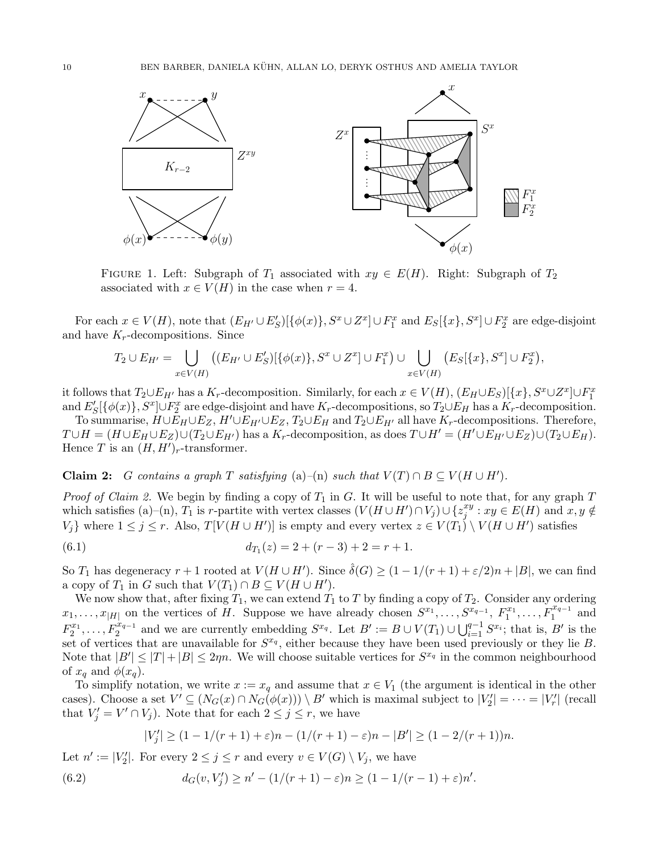

FIGURE 1. Left: Subgraph of  $T_1$  associated with  $xy \in E(H)$ . Right: Subgraph of  $T_2$ associated with  $x \in V(H)$  in the case when  $r = 4$ .

For each  $x \in V(H)$ , note that  $(E_{H'} \cup E_S')[\{\phi(x)\}, S^x \cup Z^x] \cup F_1^x$  and  $E_S[\{x\}, S^x] \cup F_2^x$  are edge-disjoint and have  $K_r$ -decompositions. Since

$$
T_2 \cup E_{H'} = \bigcup_{x \in V(H)} \left( (E_{H'} \cup E'_S) [\{\phi(x)\}, S^x \cup Z^x] \cup F_1^x \right) \cup \bigcup_{x \in V(H)} \left( E_S[\{x\}, S^x] \cup F_2^x \right),
$$

it follows that  $T_2 \cup E_{H'}$  has a  $K_r$ -decomposition. Similarly, for each  $x \in V(H)$ ,  $(E_H \cup E_S)[\{x\}, S^x \cup Z^x] \cup F_1^x$ and  $E'_{S}[\{\phi(x)\}, S^x] \cup F_2^x$  are edge-disjoint and have  $K_r$ -decompositions, so  $T_2 \cup E_H$  has a  $K_r$ -decomposition.

To summarise,  $H \cup E_H \cup E_Z$ ,  $H' \cup E_{H'} \cup E_Z$ ,  $T_2 \cup E_H$  and  $T_2 \cup E_{H'}$  all have  $K_r$ -decompositions. Therefore,  $T \cup H = (H \cup E_H \cup E_Z) \cup (T_2 \cup E_{H'})$  has a  $K_r$ -decomposition, as does  $T \cup H' = (H' \cup E_{H'} \cup E_Z) \cup (T_2 \cup E_H)$ . Hence T is an  $(H, H')_r$ -transformer.

Claim 2: G contains a graph T satisfying (a)–(n) such that  $V(T) \cap B \subseteq V(H \cup H')$ .

*Proof of Claim 2.* We begin by finding a copy of  $T_1$  in G. It will be useful to note that, for any graph  $T$ which satisfies (a)–(n),  $T_1$  is r-partite with vertex classes  $(V(H \cup H') \cap V_j) \cup \{z_j^{xy}$  $j^{xy}: xy \in E(H)$  and  $x, y \notin$  $V_j$ } where  $1 \le j \le r$ . Also,  $T[V(H \cup H')]$  is empty and every vertex  $z \in V(T_1) \setminus V(H \cup H')$  satisfies

(6.1) 
$$
d_{T_1}(z) = 2 + (r - 3) + 2 = r + 1.
$$

So  $T_1$  has degeneracy  $r + 1$  rooted at  $V(H \cup H')$ . Since  $\hat{\delta}(G) \geq (1 - 1/(r + 1) + \varepsilon/2)n + |B|$ , we can find a copy of  $T_1$  in G such that  $V(T_1) \cap B \subseteq V(H \cup H')$ .

We now show that, after fixing  $T_1$ , we can extend  $T_1$  to T by finding a copy of  $T_2$ . Consider any ordering  $x_1, \ldots, x_{|H|}$  on the vertices of H. Suppose we have already chosen  $S^{x_1}, \ldots, S^{x_{q-1}}, F^{x_1}_1, \ldots, F^{x_{q-1}}_1$  and  $F_2^{x_1}, \ldots, F_2^{x_{q-1}}$  and we are currently embedding  $S^{x_q}$ . Let  $B' := B \cup V(T_1) \cup \bigcup_{i=1}^{q-1} S^{x_i}$ ; that is,  $B'$  is the set of vertices that are unavailable for  $S^{x_q}$ , either because they have been used previously or they lie B. Note that  $|B'| \leq |T| + |B| \leq 2\eta n$ . We will choose suitable vertices for  $S^{x_q}$  in the common neighbourhood of  $x_q$  and  $\phi(x_q)$ .

To simplify notation, we write  $x := x_q$  and assume that  $x \in V_1$  (the argument is identical in the other cases). Choose a set  $V' \subseteq (N_G(x) \cap N_G(\phi(x))) \setminus B'$  which is maximal subject to  $|V'_2| = \cdots = |V'_r|$  (recall that  $V'_j = V' \cap V_j$ ). Note that for each  $2 \le j \le r$ , we have

$$
|V'_j| \ge (1 - 1/(r+1) + \varepsilon)n - (1/(r+1) - \varepsilon)n - |B'| \ge (1 - 2/(r+1))n.
$$

Let  $n':=|V_2'|$ . For every  $2 \leq j \leq r$  and every  $v \in V(G) \setminus V_j$ , we have

(6.2) 
$$
d_G(v, V'_j) \ge n' - (1/(r+1) - \varepsilon)n \ge (1 - 1/(r-1) + \varepsilon)n'.
$$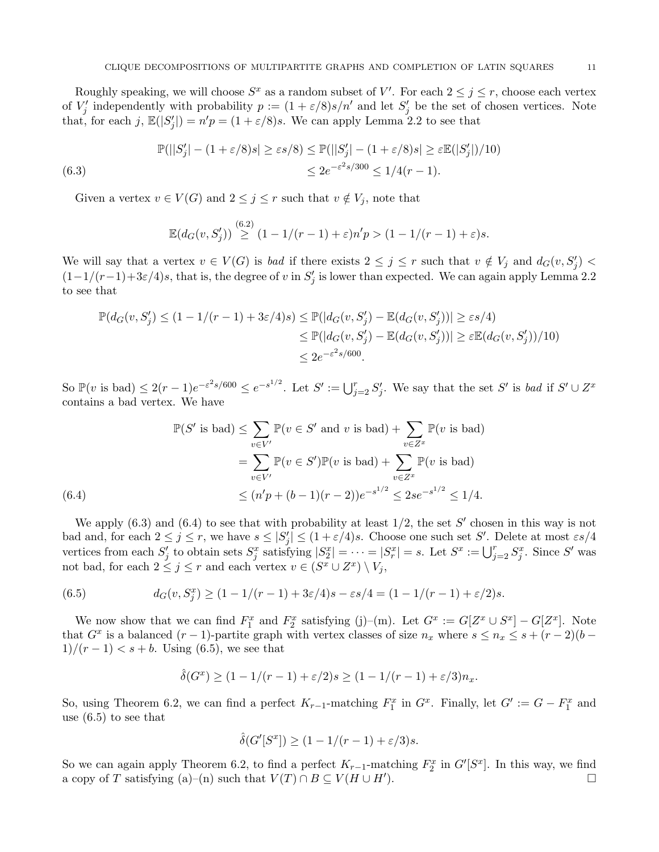Roughly speaking, we will choose  $S^x$  as a random subset of V'. For each  $2 \leq j \leq r$ , choose each vertex of  $V'_j$  independently with probability  $p := (1 + \varepsilon/8)s/n'$  and let  $S'_j$  be the set of chosen vertices. Note that, for each j,  $\mathbb{E}(|S'_j|) = n'p = (1 + \varepsilon/8)s$ . We can apply Lemma 2.2 to see that

$$
\mathbb{P}(||S_j'| - (1 + \varepsilon/8)s| \ge \varepsilon s/8) \le \mathbb{P}(||S_j'| - (1 + \varepsilon/8)s| \ge \varepsilon \mathbb{E}(|S_j'|)/10)
$$
  

$$
\le 2e^{-\varepsilon^2 s/300} \le 1/4(r-1).
$$

Given a vertex  $v \in V(G)$  and  $2 \leq j \leq r$  such that  $v \notin V_j$ , note that

$$
\mathbb{E}(d_G(v, S'_j)) \stackrel{(6.2)}{\geq} (1 - 1/(r - 1) + \varepsilon)n'p > (1 - 1/(r - 1) + \varepsilon)s.
$$

We will say that a vertex  $v \in V(G)$  is bad if there exists  $2 \leq j \leq r$  such that  $v \notin V_j$  and  $d_G(v, S'_j)$  $(1-1/(r-1)+3\varepsilon/4)s$ , that is, the degree of v in  $S'_j$  is lower than expected. We can again apply Lemma 2.2 to see that

$$
\mathbb{P}(d_G(v, S'_j) \le (1 - 1/(r - 1) + 3\varepsilon/4)s) \le \mathbb{P}(|d_G(v, S'_j) - \mathbb{E}(d_G(v, S'_j))| \ge \varepsilon s/4)
$$
  
\n
$$
\le \mathbb{P}(|d_G(v, S'_j) - \mathbb{E}(d_G(v, S'_j))| \ge \varepsilon \mathbb{E}(d_G(v, S'_j)) / 10)
$$
  
\n
$$
\le 2e^{-\varepsilon^2 s/600}.
$$

So  $\mathbb{P}(v \text{ is bad}) \leq 2(r-1)e^{-\varepsilon^2 s/600} \leq e^{-s^{1/2}}$ . Let  $S' := \bigcup_{j=2}^r S'_j$ . We say that the set  $S'$  is bad if  $S' \cup Z^x$ contains a bad vertex. We have

$$
\mathbb{P}(S' \text{ is bad}) \le \sum_{v \in V'} \mathbb{P}(v \in S' \text{ and } v \text{ is bad}) + \sum_{v \in Z^x} \mathbb{P}(v \text{ is bad})
$$

$$
= \sum_{v \in V'} \mathbb{P}(v \in S') \mathbb{P}(v \text{ is bad}) + \sum_{v \in Z^x} \mathbb{P}(v \text{ is bad})
$$

$$
\le (n'p + (b-1)(r-2))e^{-s^{1/2}} \le 2se^{-s^{1/2}} \le 1/4.
$$

We apply  $(6.3)$  and  $(6.4)$  to see that with probability at least  $1/2$ , the set S' chosen in this way is not bad and, for each  $2 \le j \le r$ , we have  $s \le |S'_j| \le (1 + \varepsilon/4)s$ . Choose one such set S'. Delete at most  $\varepsilon s/4$ vertices from each  $S'_j$  to obtain sets  $S_j^x$  satisfying  $|S_2^x| = \cdots = |S_r^x| = s$ . Let  $S^x := \bigcup_{j=2}^r S_j^x$ . Since  $S'$  was not bad, for each  $2 \leq j \leq r$  and each vertex  $v \in (S^x \cup Z^x) \setminus V_j$ ,

(6.5) 
$$
d_G(v, S_j^x) \ge (1 - 1/(r - 1) + 3\varepsilon/4)s - \varepsilon s/4 = (1 - 1/(r - 1) + \varepsilon/2)s.
$$

We now show that we can find  $F_1^x$  and  $F_2^x$  satisfying (j)–(m). Let  $G^x := G[Z^x \cup S^x] - G[Z^x]$ . Note that  $G^x$  is a balanced  $(r-1)$ -partite graph with vertex classes of size  $n_x$  where  $s \leq n_x \leq s + (r-2)(b 1)/(r-1) < s+b$ . Using (6.5), we see that

$$
\hat{\delta}(G^x) \ge (1 - 1/(r - 1) + \varepsilon/2)s \ge (1 - 1/(r - 1) + \varepsilon/3)n_x.
$$

So, using Theorem 6.2, we can find a perfect  $K_{r-1}$ -matching  $F_1^x$  in  $G^x$ . Finally, let  $G' := G - F_1^x$  and use (6.5) to see that

$$
\hat{\delta}(G'[S^x]) \ge (1 - 1/(r - 1) + \varepsilon/3)s.
$$

So we can again apply Theorem 6.2, to find a perfect  $K_{r-1}$ -matching  $F_2^x$  in  $G'[S^x]$ . In this way, we find a copy of T satisfying (a)–(n) such that  $V(T) \cap B \subseteq V(H \cup H')$ . ).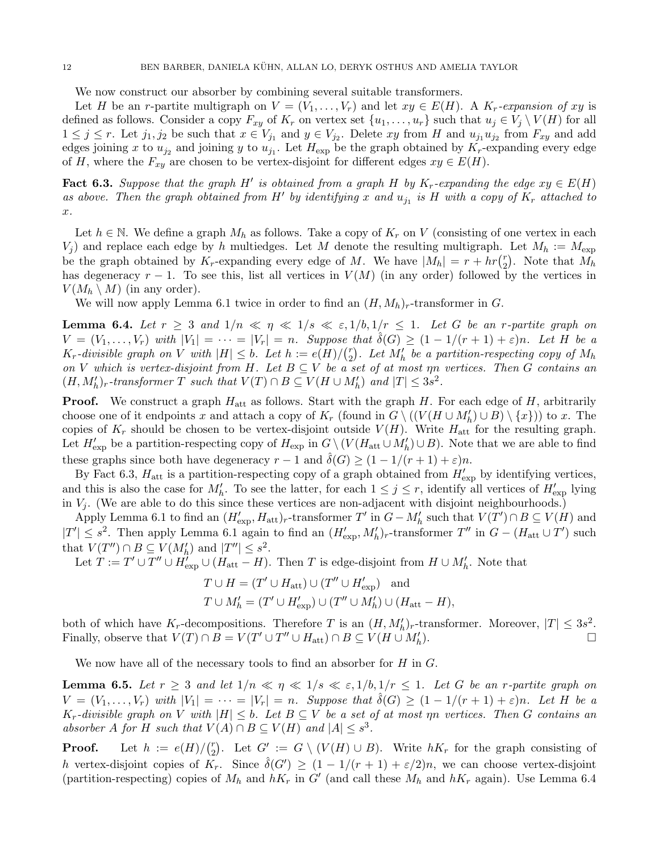We now construct our absorber by combining several suitable transformers.

Let H be an r-partite multigraph on  $V = (V_1, \ldots, V_r)$  and let  $xy \in E(H)$ . A  $K_r$ -expansion of xy is defined as follows. Consider a copy  $F_{xy}$  of  $K_r$  on vertex set  $\{u_1, \ldots, u_r\}$  such that  $u_j \in V_j \setminus V(H)$  for all  $1 \leq j \leq r$ . Let  $j_1, j_2$  be such that  $x \in V_{j_1}$  and  $y \in V_{j_2}$ . Delete  $xy$  from H and  $u_{j_1}u_{j_2}$  from  $F_{xy}$  and add edges joining x to  $u_{j_2}$  and joining y to  $u_{j_1}$ . Let  $H_{\text{exp}}$  be the graph obtained by  $K_r$ -expanding every edge of H, where the  $F_{xy}$  are chosen to be vertex-disjoint for different edges  $xy \in E(H)$ .

**Fact 6.3.** Suppose that the graph H' is obtained from a graph H by  $K_r$ -expanding the edge  $xy \in E(H)$ as above. Then the graph obtained from H' by identifying x and  $u_{j_1}$  is H with a copy of  $K_r$  attached to x.

Let  $h \in \mathbb{N}$ . We define a graph  $M_h$  as follows. Take a copy of  $K_r$  on V (consisting of one vertex in each  $V_j$ ) and replace each edge by h multiedges. Let M denote the resulting multigraph. Let  $M_h := M_{\rm exp}$ be the graph obtained by  $K_r$ -expanding every edge of M. We have  $|M_h| = r + hr\binom{r}{2}$  $\binom{r}{2}$ . Note that  $M_h$ has degeneracy  $r - 1$ . To see this, list all vertices in  $V(M)$  (in any order) followed by the vertices in  $V(M_h \setminus M)$  (in any order).

We will now apply Lemma 6.1 twice in order to find an  $(H, M_h)$ <sup>-transformer in G.</sup>

**Lemma 6.4.** Let  $r \geq 3$  and  $1/n \ll \eta \ll 1/s \ll \varepsilon, 1/b, 1/r \leq 1$ . Let G be an r-partite graph on  $V = (V_1, \ldots, V_r)$  with  $|V_1| = \cdots = |V_r| = n$ . Suppose that  $\hat{\delta}(G) \geq (1 - 1/(r + 1) + \varepsilon)n$ . Let H be a  $K_r$ -divisible graph on V with  $|H| \leq b$ . Let  $h := e(H)/\binom{r}{2}$  $\binom{r}{2}$ . Let  $M_h'$  be a partition-respecting copy of  $M_h$ on V which is vertex-disjoint from H. Let  $B \subseteq V$  be a set of at most  $\eta n$  vertices. Then G contains an  $(H, M'_h)_r$ -transformer T such that  $V(T) \cap B \subseteq V(H \cup M'_h)$  and  $|T| \leq 3s^2$ .

**Proof.** We construct a graph  $H_{\text{att}}$  as follows. Start with the graph H. For each edge of H, arbitrarily choose one of it endpoints x and attach a copy of  $K_r$  (found in  $G \setminus ((V(H \cup M'_h) \cup B) \setminus \{x\}))$  to x. The copies of  $K_r$  should be chosen to be vertex-disjoint outside  $V(H)$ . Write  $H_{\text{att}}$  for the resulting graph. Let  $H'_{\text{exp}}$  be a partition-respecting copy of  $H_{\text{exp}}$  in  $G \setminus (V(H_{\text{att}} \cup M'_{h}) \cup B)$ . Note that we are able to find these graphs since both have degeneracy  $r - 1$  and  $\delta(G) \geq (1 - 1/(r + 1) + \varepsilon)n$ .

By Fact 6.3,  $H_{\text{att}}$  is a partition-respecting copy of a graph obtained from  $H'_{\text{exp}}$  by identifying vertices, and this is also the case for  $M'_h$ . To see the latter, for each  $1 \leq j \leq r$ , identify all vertices of  $H'_{\rm exp}$  lying in  $V_i$ . (We are able to do this since these vertices are non-adjacent with disjoint neighbourhoods.)

Apply Lemma 6.1 to find an  $(H'_{exp}, H_{att})_r$ -transformer T' in  $G - M'_h$  such that  $V(T') \cap B \subseteq V(H)$  and  $|T'| \leq s^2$ . Then apply Lemma 6.1 again to find an  $(H'_{\text{exp}}, M'_{h})_r$ -transformer  $T''$  in  $G - (H_{\text{att}} \cup T')$  such that  $V(T'') \cap B \subseteq V(M'_{h})$  and  $|T''| \leq s^{2}$ .

Let  $T := T' \cup T'' \cup H_{\text{exp}}^j \cup (H_{\text{att}} - H)$ . Then T is edge-disjoint from  $H \cup M'_{h}$ . Note that

$$
T \cup H = (T' \cup H_{\text{att}}) \cup (T'' \cup H'_{\text{exp}}) \text{ and}
$$
  

$$
T \cup M'_{h} = (T' \cup H'_{\text{exp}}) \cup (T'' \cup M'_{h}) \cup (H_{\text{att}} - H),
$$

both of which have  $K_r$ -decompositions. Therefore T is an  $(H, M'_h)_r$ -transformer. Moreover,  $|T| \leq 3s^2$ . Finally, observe that  $V(T) \cap B = V(T' \cup T'' \cup H_{\text{att}}) \cap B \subseteq V(H \cup M'_{h})$ ).  $\qquad \qquad \square$ 

We now have all of the necessary tools to find an absorber for  $H$  in  $G$ .

**Lemma 6.5.** Let  $r \geq 3$  and let  $1/n \ll \eta \ll 1/s \ll \varepsilon, 1/b, 1/r \leq 1$ . Let G be an r-partite graph on  $V = (V_1, \ldots, V_r)$  with  $|V_1| = \cdots = |V_r| = n$ . Suppose that  $\delta(G) \geq (1 - 1/(r + 1) + \varepsilon)n$ . Let H be a  $K_r$ -divisible graph on V with  $|H| \leq b$ . Let  $B \subseteq V$  be a set of at most  $\eta n$  vertices. Then G contains an absorber A for H such that  $V(A) \cap B \subseteq V(H)$  and  $|A| \leq s^3$ .

**Proof.** Let  $h := e(H)/\binom{r}{2}$ <sup>r</sup><sub>2</sub>). Let  $G' := G \setminus (V(H) \cup B)$ . Write  $hK_r$  for the graph consisting of h vertex-disjoint copies of  $K_r$ . Since  $\hat{\delta}(G') \geq (1 - 1/(r + 1) + \varepsilon/2)n$ , we can choose vertex-disjoint (partition-respecting) copies of  $M_h$  and  $hK_r$  in G' (and call these  $M_h$  and  $hK_r$  again). Use Lemma 6.4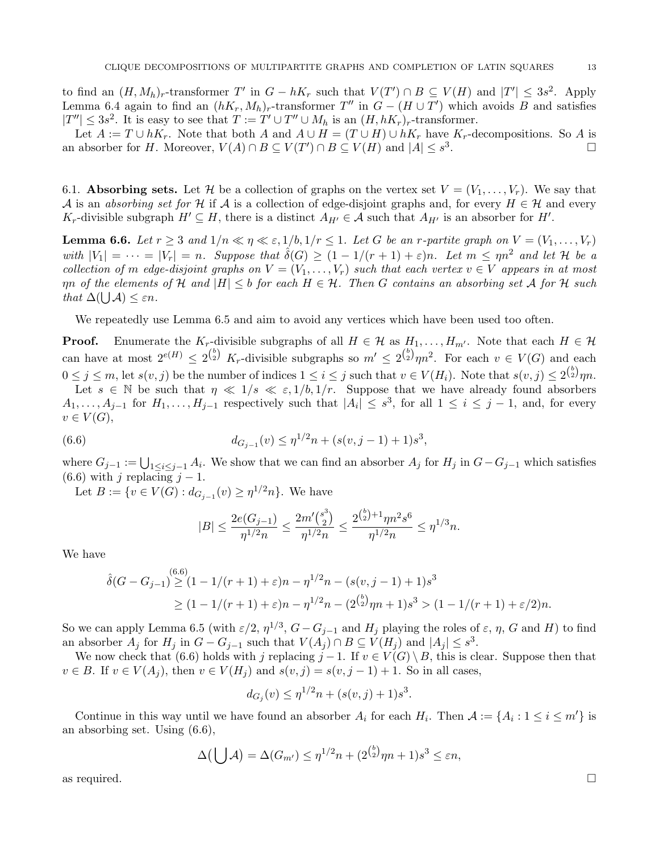to find an  $(H, M_h)$ <sup>r</sup>-transformer T' in  $G - hK_r$  such that  $V(T') \cap B \subseteq V(H)$  and  $|T'| \leq 3s^2$ . Apply Lemma 6.4 again to find an  $(hK_r, M_h)$ <sup>-transformer</sup>  $T''$  in  $G - (H \cup T')$  which avoids B and satisfies  $|T''| \leq 3s^2$ . It is easy to see that  $T := T' \cup T'' \cup M_h$  is an  $(H, hK_r)_r$ -transformer.

Let  $A := T \cup hK_r$ . Note that both A and  $A \cup H = (T \cup H) \cup hK_r$  have  $K_r$ -decompositions. So A is absorber for H. Moreover,  $V(A) \cap B \subseteq V(T') \cap B \subseteq V(H)$  and  $|A| \leq s^3$ . □ an absorber for H. Moreover,  $V(A) \cap B \subseteq V(T') \cap B \subseteq V(H)$  and  $|A| \leq s^3$ . В последните последните и производите в село в последните последните и при в село в село в село в село в сел<br>В село в село в село в село в село в село в село в село в село в село в село в село в село в село в село в сел

6.1. Absorbing sets. Let H be a collection of graphs on the vertex set  $V = (V_1, \ldots, V_r)$ . We say that A is an absorbing set for H if A is a collection of edge-disjoint graphs and, for every  $H \in \mathcal{H}$  and every  $K_r$ -divisible subgraph  $H' \subseteq H$ , there is a distinct  $A_{H'} \in \mathcal{A}$  such that  $A_{H'}$  is an absorber for  $H'$ .

**Lemma 6.6.** Let  $r \geq 3$  and  $1/n \ll \eta \ll \varepsilon, 1/b, 1/r \leq 1$ . Let G be an r-partite graph on  $V = (V_1, \ldots, V_r)$ with  $|V_1| = \cdots = |V_r| = n$ . Suppose that  $\hat{\delta}(G) \geq (1 - 1/(r + 1) + \varepsilon)n$ . Let  $m \leq \eta n^2$  and let H be a collection of m edge-disjoint graphs on  $V = (V_1, \ldots, V_r)$  such that each vertex  $v \in V$  appears in at most  $\eta n$  of the elements of H and  $|H| \leq b$  for each  $H \in \mathcal{H}$ . Then G contains an absorbing set A for H such that  $\Delta(\bigcup \mathcal{A}) \leq \varepsilon n$ .

We repeatedly use Lemma 6.5 and aim to avoid any vertices which have been used too often.

**Proof.** Enumerate the K<sub>r</sub>-divisible subgraphs of all  $H \in \mathcal{H}$  as  $H_1, \ldots, H_{m'}$ . Note that each  $H \in \mathcal{H}$ can have at most  $2^{e(H)} \leq 2^{\binom{b}{2}} K_r$ -divisible subgraphs so  $m' \leq 2^{\binom{b}{2}} \eta n^2$ . For each  $v \in V(G)$  and each  $0 \leq j \leq m$ , let  $s(v, j)$  be the number of indices  $1 \leq i \leq j$  such that  $v \in V(H_i)$ . Note that  $s(v, j) \leq 2^{\binom{b}{2}} \eta n$ . Let  $s \in \mathbb{N}$  be such that  $\eta \ll 1/s \ll \varepsilon, 1/b, 1/r$ . Suppose that we have already found absorbers  $A_1, \ldots, A_{j-1}$  for  $H_1, \ldots, H_{j-1}$  respectively such that  $|A_i| \leq s^3$ , for all  $1 \leq i \leq j-1$ , and, for every  $v \in V(G),$ 

(6.6) 
$$
d_{G_{j-1}}(v) \leq \eta^{1/2} n + (s(v, j-1) + 1)s^3,
$$

where  $G_{j-1} := \bigcup_{1 \leq i \leq j-1} A_i$ . We show that we can find an absorber  $A_j$  for  $H_j$  in  $G - G_{j-1}$  which satisfies (6.6) with j replacing  $j-1$ .

Let  $B := \{v \in V(G) : d_{G_{j-1}}(v) \ge \eta^{1/2} n\}$ . We have

$$
|B|\leq \frac{2e(G_{j-1})}{\eta^{1/2}n}\leq \frac{2m'\binom{s^3}{2}}{\eta^{1/2}n}\leq \frac{2^{\binom{b}{2}+1}\eta n^2s^6}{\eta^{1/2}n}\leq \eta^{1/3}n.
$$

We have

$$
\hat{\delta}(G - G_{j-1}) \stackrel{(6.6)}{\geq} (1 - 1/(r+1) + \varepsilon)n - \eta^{1/2}n - (s(v, j-1) + 1)s^3
$$
  
\n
$$
\geq (1 - 1/(r+1) + \varepsilon)n - \eta^{1/2}n - (2^{{b \choose 2}}\eta n + 1)s^3 > (1 - 1/(r+1) + \varepsilon/2)n.
$$

So we can apply Lemma 6.5 (with  $\varepsilon/2$ ,  $\eta^{1/3}$ ,  $G - G_{j-1}$  and  $H_j$  playing the roles of  $\varepsilon$ ,  $\eta$ ,  $G$  and  $H$ ) to find an absorber  $A_j$  for  $H_j$  in  $G - G_{j-1}$  such that  $V(A_j) \cap B \subseteq V(H_j)$  and  $|A_j| \leq s^3$ .

We now check that (6.6) holds with j replacing  $j-1$ . If  $v \in V(G) \setminus B$ , this is clear. Suppose then that  $v \in B$ . If  $v \in V(A_i)$ , then  $v \in V(H_i)$  and  $s(v, j) = s(v, j - 1) + 1$ . So in all cases,

$$
d_{G_j}(v) \le \eta^{1/2} n + (s(v, j) + 1)s^3.
$$

Continue in this way until we have found an absorber  $A_i$  for each  $H_i$ . Then  $A := \{A_i : 1 \le i \le m'\}$  is an absorbing set. Using (6.6),

$$
\Delta\big(\bigcup \mathcal{A}\big) = \Delta(G_{m'}) \le \eta^{1/2}n + (2^{\binom{b}{2}}\eta n + 1)s^3 \le \varepsilon n,
$$

as required.  $\Box$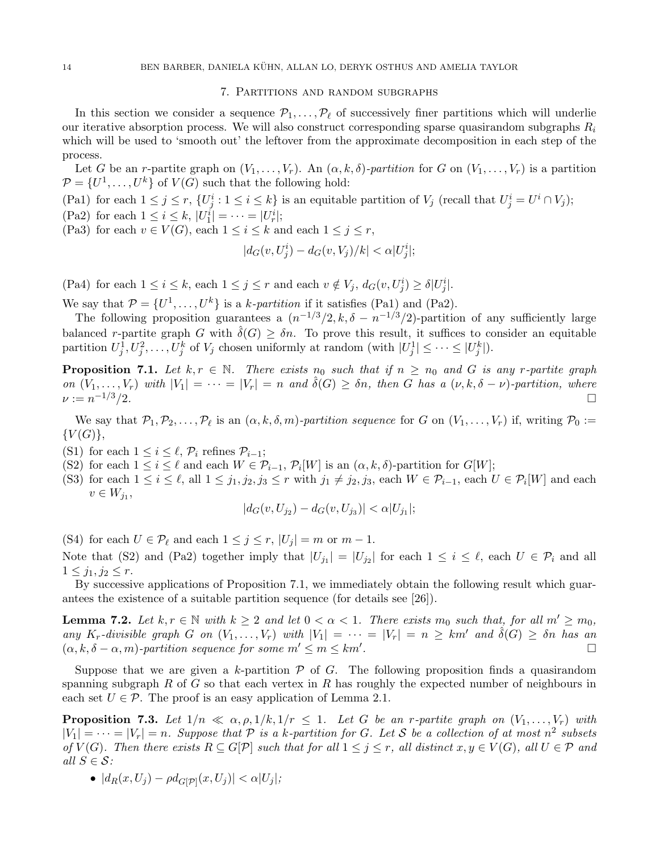## 7. Partitions and random subgraphs

In this section we consider a sequence  $\mathcal{P}_1, \ldots, \mathcal{P}_\ell$  of successively finer partitions which will underlie our iterative absorption process. We will also construct corresponding sparse quasirandom subgraphs  $R_i$ which will be used to 'smooth out' the leftover from the approximate decomposition in each step of the process.

Let G be an r-partite graph on  $(V_1, \ldots, V_r)$ . An  $(\alpha, k, \delta)$ -partition for G on  $(V_1, \ldots, V_r)$  is a partition  $\mathcal{P} = \{U^1, \ldots, U^k\}$  of  $V(G)$  such that the following hold:

(Pa1) for each  $1 \leq j \leq r$ ,  $\{U_j^i : 1 \leq i \leq k\}$  is an equitable partition of  $V_j$  (recall that  $U_j^i = U^i \cap V_j$ );

 $(Pa2)$  for each  $1 \le i \le k$ ,  $|U_1^i| = \cdots = |U_r^i|$ ; (Pa3) for each  $v \in V(G)$ , each  $1 \leq i \leq k$  and each  $1 \leq j \leq r$ ,

$$
|d_G(v, U_j^i) - d_G(v, V_j)/k| < \alpha |U_j^i|;
$$

(Pa4) for each  $1 \leq i \leq k$ , each  $1 \leq j \leq r$  and each  $v \notin V_j$ ,  $d_G(v, U_j^i) \geq \delta |U_j^i|$ .

We say that  $\mathcal{P} = \{U^1, \ldots, U^k\}$  is a k-partition if it satisfies (Pa1) and (Pa2).

The following proposition guarantees a  $(n^{-1/3}/2, k, \delta - n^{-1/3}/2)$ -partition of any sufficiently large balanced r-partite graph G with  $\hat{\delta}(G) \ge \delta n$ . To prove this result, it suffices to consider an equitable partition  $U_j^1, U_j^2, \ldots, U_j^k$  of  $V_j$  chosen uniformly at random (with  $|U_j^1| \leq \cdots \leq |U_j^k|$ ).

**Proposition 7.1.** Let  $k, r \in \mathbb{N}$ . There exists  $n_0$  such that if  $n \geq n_0$  and G is any r-partite graph on  $(V_1, \ldots, V_r)$  with  $|V_1| = \cdots = |V_r| = n$  and  $\hat{\delta}(G) \ge \delta n$ , then G has a  $(\nu, k, \delta - \nu)$ -partition, where  $\nu := n^{-1/3}/2$ .  $\nu := n^{-1/3}/2.$  $^{-1/3}/2.$ 

We say that  $\mathcal{P}_1, \mathcal{P}_2, \ldots, \mathcal{P}_\ell$  is an  $(\alpha, k, \delta, m)$ -partition sequence for G on  $(V_1, \ldots, V_r)$  if, writing  $\mathcal{P}_0 :=$  $\{V(G)\},\$ 

- (S1) for each  $1 \leq i \leq \ell$ ,  $\mathcal{P}_i$  refines  $\mathcal{P}_{i-1}$ ;
- (S2) for each  $1 \leq i \leq \ell$  and each  $W \in \mathcal{P}_{i-1}$ ,  $\mathcal{P}_i[W]$  is an  $(\alpha, k, \delta)$ -partition for  $G[W]$ ;
- (S3) for each  $1 \leq i \leq \ell$ , all  $1 \leq j_1, j_2, j_3 \leq r$  with  $j_1 \neq j_2, j_3$ , each  $W \in \mathcal{P}_{i-1}$ , each  $U \in \mathcal{P}_i[W]$  and each  $v\in W_{j_1},$

$$
|d_G(v, U_{j_2}) - d_G(v, U_{j_3})| < \alpha |U_{j_1}|;
$$

(S4) for each  $U \in \mathcal{P}_\ell$  and each  $1 \leq j \leq r$ ,  $|U_j| = m$  or  $m - 1$ .

Note that (S2) and (Pa2) together imply that  $|U_{j_1}| = |U_{j_2}|$  for each  $1 \le i \le \ell$ , each  $U \in \mathcal{P}_i$  and all  $1 \leq j_1, j_2 \leq r$ .

By successive applications of Proposition 7.1, we immediately obtain the following result which guarantees the existence of a suitable partition sequence (for details see [26]).

**Lemma 7.2.** Let  $k, r \in \mathbb{N}$  with  $k \geq 2$  and let  $0 < \alpha < 1$ . There exists  $m_0$  such that, for all  $m' \geq m_0$ , any K<sub>r</sub>-divisible graph G on  $(V_1, \ldots, V_r)$  with  $|V_1| = \cdots = |V_r| = n \geq km'$  and  $\hat{\delta}(G) \geq \delta n$  has an  $(\alpha \kappa \delta - \alpha m)$ -partition sequence for some  $m' \leq m \leq km'$  $(\alpha, k, \delta - \alpha, m)$ -partition sequence for some  $m' \le m \le km'$ . .

Suppose that we are given a k-partition  $P$  of G. The following proposition finds a quasirandom spanning subgraph R of G so that each vertex in R has roughly the expected number of neighbours in each set  $U \in \mathcal{P}$ . The proof is an easy application of Lemma 2.1.

**Proposition 7.3.** Let  $1/n \ll \alpha, \rho, 1/k, 1/r \leq 1$ . Let G be an r-partite graph on  $(V_1, \ldots, V_r)$  with  $|V_1| = \cdots = |V_r| = n$ . Suppose that  $P$  is a k-partition for G. Let S be a collection of at most  $n^2$  subsets of  $V(G)$ . Then there exists  $R \subseteq G[\mathcal{P}]$  such that for all  $1 \leq j \leq r$ , all distinct  $x, y \in V(G)$ , all  $U \in \mathcal{P}$  and all  $S \in \mathcal{S}$ :

•  $|d_R(x, U_j) - \rho d_{G[\mathcal{P}]}(x, U_j)| < \alpha |U_j|;$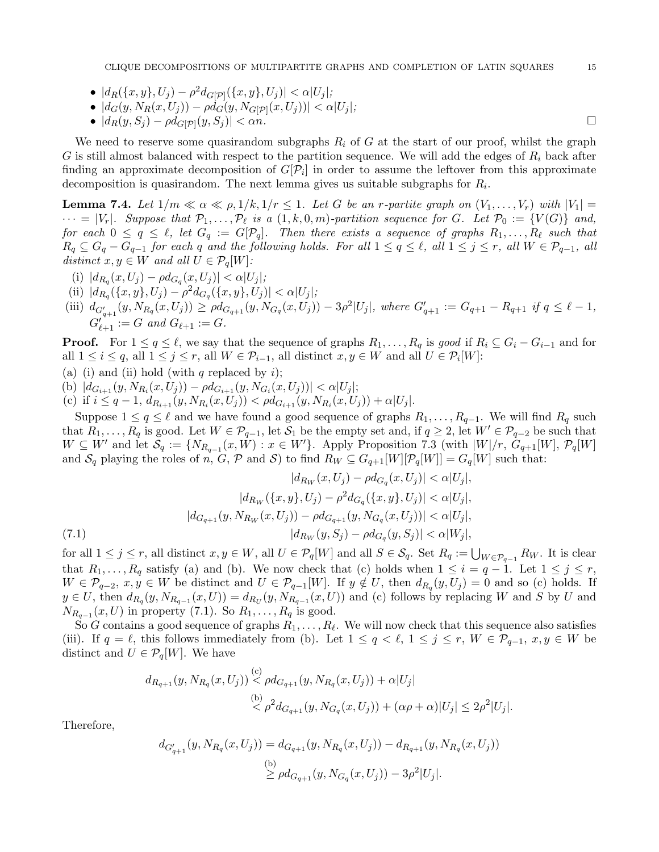CLIQUE DECOMPOSITIONS OF MULTIPARTITE GRAPHS AND COMPLETION OF LATIN SQUARES 15

- $|d_R(\{x,y\}, U_j) \rho^2 d_{G[\mathcal{P}]}(\{x,y\}, U_j)| < \alpha |U_j|;$
- $|d_G(y, N_R(x, U_j)) \rho d_G(y, N_{G[\mathcal{P}]}(x, U_j))| < \alpha |U_j|;$
- $|d_R(y, S_j) \rho d_{G[\mathcal{P}]}(y, S_j)| < \alpha n$ .

We need to reserve some quasirandom subgraphs  $R_i$  of G at the start of our proof, whilst the graph G is still almost balanced with respect to the partition sequence. We will add the edges of  $R_i$  back after finding an approximate decomposition of  $G[\mathcal{P}_i]$  in order to assume the leftover from this approximate decomposition is quasirandom. The next lemma gives us suitable subgraphs for  $R_i$ .

**Lemma 7.4.** Let  $1/m \ll \alpha \ll \rho, 1/k, 1/r \leq 1$ . Let G be an r-partite graph on  $(V_1, \ldots, V_r)$  with  $|V_1|$  $\cdots = |V_r|$ . Suppose that  $\mathcal{P}_1, \ldots, \mathcal{P}_\ell$  is a  $(1, k, 0, m)$ -partition sequence for G. Let  $\mathcal{P}_0 := \{V(G)\}$  and, for each  $0 \le q \le \ell$ , let  $G_q := G[\mathcal{P}_q]$ . Then there exists a sequence of graphs  $R_1, \ldots, R_\ell$  such that  $R_q \subseteq G_q - G_{q-1}$  for each q and the following holds. For all  $1 \le q \le \ell$ , all  $1 \le j \le r$ , all  $W \in \mathcal{P}_{q-1}$ , all distinct  $x, y \in W$  and all  $U \in \mathcal{P}_q[W]$ :

- (i)  $|d_{R_q}(x, U_j) \rho d_{G_q}(x, U_j)| < \alpha |U_j|;$
- (ii)  $|d_{R_q}(\{x, y\}, U_j) \rho^2 d_{G_q}(\{x, y\}, U_j)| < \alpha |U_j|;$
- (iii)  $d_{G'_{q+1}}(y, N_{R_q}(x, U_j)) \geq \rho d_{G_{q+1}}(y, N_{G_q}(x, U_j)) 3\rho^2 |U_j|$ , where  $G'_{q+1} := G_{q+1} R_{q+1}$  if  $q \leq \ell 1$ ,  $G'_{\ell+1} := G$  and  $G_{\ell+1} := G$ .

**Proof.** For  $1 \le q \le \ell$ , we say that the sequence of graphs  $R_1, \ldots, R_q$  is good if  $R_i \subseteq G_i - G_{i-1}$  and for all  $1 \leq i \leq q$ , all  $1 \leq j \leq r$ , all  $W \in \mathcal{P}_{i-1}$ , all distinct  $x, y \in W$  and all  $U \in \mathcal{P}_i[W]$ :

- (a) (i) and (ii) hold (with  $q$  replaced by  $i$ );
- (b)  $|d_{G_{i+1}}(y, N_{R_i}(x, U_j)) \rho d_{G_{i+1}}(y, N_{G_i}(x, U_j))| < \alpha |U_j|;$
- (c) if  $i \leq q-1$ ,  $d_{R_{i+1}}(y, N_{R_i}(x, U_j)) < \rho d_{G_{i+1}}(y, N_{R_i}(x, U_j)) + \alpha |U_j|$ .

Suppose  $1 \le q \le \ell$  and we have found a good sequence of graphs  $R_1, \ldots, R_{q-1}$ . We will find  $R_q$  such that  $R_1, \ldots, R_q$  is good. Let  $W \in \mathcal{P}_{q-1}$ , let  $\mathcal{S}_1$  be the empty set and, if  $q \geq 2$ , let  $W' \in \mathcal{P}_{q-2}$  be such that  $W \subseteq W'$  and let  $\mathcal{S}_q := \{N_{R_{q-1}}(x, W) : x \in W'\}$ . Apply Proposition 7.3 (with  $|W|/r$ ,  $G_{q+1}[W]$ ,  $\mathcal{P}_q[W]$ and  $S_q$  playing the roles of n, G, P and S) to find  $R_W \subseteq G_{q+1}[W][P_q[W]] = G_q[W]$  such that:

$$
|d_{R_W}(x, U_j) - \rho d_{G_q}(x, U_j)| < \alpha |U_j|,
$$
  
\n
$$
|d_{R_W}(\{x, y\}, U_j) - \rho^2 d_{G_q}(\{x, y\}, U_j)| < \alpha |U_j|,
$$
  
\n
$$
|d_{G_{q+1}}(y, N_{R_W}(x, U_j)) - \rho d_{G_{q+1}}(y, N_{G_q}(x, U_j))| < \alpha |U_j|,
$$
  
\n(7.1)  
\n
$$
|d_{R_W}(y, S_j) - \rho d_{G_q}(y, S_j)| < \alpha |W_j|,
$$

for all  $1 \leq j \leq r$ , all distinct  $x, y \in W$ , all  $U \in \mathcal{P}_q[W]$  and all  $S \in \mathcal{S}_q$ . Set  $R_q := \bigcup_{W \in \mathcal{P}_{q-1}} R_W$ . It is clear that  $R_1, \ldots, R_q$  satisfy (a) and (b). We now check that (c) holds when  $1 \leq i = q - 1$ . Let  $1 \leq j \leq r$ ,  $W \in \mathcal{P}_{q-2}, x, y \in W$  be distinct and  $U \in \mathcal{P}_{q-1}[W]$ . If  $y \notin U$ , then  $d_{R_q}(y, U_j) = 0$  and so (c) holds. If  $y \in U$ , then  $d_{R_q}(y, N_{R_{q-1}}(x,U)) = d_{R_U}(y, N_{R_{q-1}}(x,U))$  and (c) follows by replacing W and S by U and  $N_{R_{q-1}}(x,U)$  in property (7.1). So  $R_1,\ldots,R_q$  is good.

So G contains a good sequence of graphs  $R_1, \ldots, R_\ell$ . We will now check that this sequence also satisfies (iii). If  $q = \ell$ , this follows immediately from (b). Let  $1 \le q < \ell$ ,  $1 \le j \le r$ ,  $W \in \mathcal{P}_{q-1}$ ,  $x, y \in W$  be distinct and  $U \in \mathcal{P}_q[W]$ . We have

$$
d_{R_{q+1}}(y, N_{R_q}(x, U_j)) \stackrel{(c)}{<} \rho d_{G_{q+1}}(y, N_{R_q}(x, U_j)) + \alpha |U_j|
$$
  

$$
\stackrel{(b)}{<} \rho^2 d_{G_{q+1}}(y, N_{G_q}(x, U_j)) + (\alpha \rho + \alpha) |U_j| \leq 2\rho^2 |U_j|.
$$

Therefore,

$$
d_{G'_{q+1}}(y, N_{R_q}(x, U_j)) = d_{G_{q+1}}(y, N_{R_q}(x, U_j)) - d_{R_{q+1}}(y, N_{R_q}(x, U_j))
$$
  
\n(b)  
\n
$$
\geq \rho d_{G_{q+1}}(y, N_{G_q}(x, U_j)) - 3\rho^2 |U_j|.
$$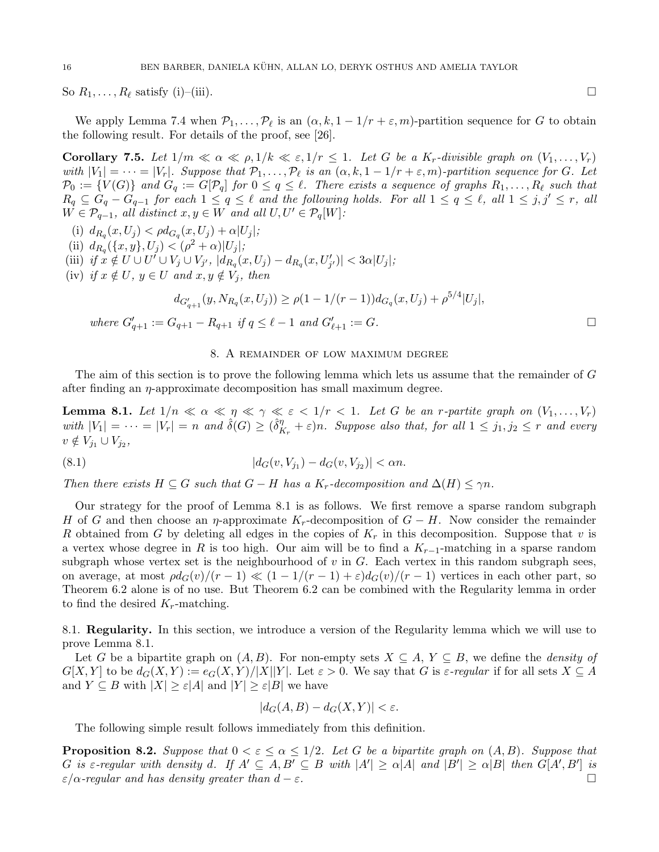So  $R_1, \ldots, R_\ell$  satisfy (i)–(iii).

We apply Lemma 7.4 when  $\mathcal{P}_1, \ldots, \mathcal{P}_\ell$  is an  $(\alpha, k, 1 - 1/r + \varepsilon, m)$ -partition sequence for G to obtain the following result. For details of the proof, see [26].

**Corollary 7.5.** Let  $1/m \ll \alpha \ll \rho, 1/k \ll \epsilon, 1/r \leq 1$ . Let G be a  $K_r$ -divisible graph on  $(V_1, \ldots, V_r)$ with  $|V_1| = \cdots = |V_r|$ . Suppose that  $\mathcal{P}_1, \ldots, \mathcal{P}_\ell$  is an  $(\alpha, k, 1 - 1/r + \varepsilon, m)$ -partition sequence for G. Let  $\mathcal{P}_0 := \{V(G)\}\$ and  $G_q := G[\mathcal{P}_q]$  for  $0 \leq q \leq \ell$ . There exists a sequence of graphs  $R_1, \ldots, R_\ell$  such that  $R_q \subseteq G_q - G_{q-1}$  for each  $1 \le q \le \ell$  and the following holds. For all  $1 \le q \le \ell$ , all  $1 \le j, j' \le r$ , all  $W \in \mathcal{P}_{q-1}$ , all distinct  $x, y \in W$  and all  $U, U' \in \mathcal{P}_q[W]$ :

- (i)  $d_{R_q}(x, U_j) < \rho d_{G_q}(x, U_j) + \alpha |U_j|;$
- (ii)  $d_{R_q}(\{x, y\}, U_j) < (\rho^2 + \alpha)|U_j|;$
- (iii) if  $x \notin U \cup U' \cup V_j \cup V_{j'}$ ,  $|d_{R_q}(x, U_j) d_{R_q}(x, U'_{j'})| < 3\alpha |U_j|$ ;
- (iv) if  $x \notin U$ ,  $y \in U$  and  $x, y \notin V_i$ , then

$$
d_{G'_{q+1}}(y, N_{R_q}(x, U_j)) \ge \rho(1 - 1/(r - 1))d_{G_q}(x, U_j) + \rho^{5/4}|U_j|,
$$

where  $G'_{q+1} := G_{q+1} - R_{q+1}$  if  $q \leq \ell - 1$  and  $G'_{\ell+1} := G$ .

## 8. A remainder of low maximum degree

The aim of this section is to prove the following lemma which lets us assume that the remainder of G after finding an  $\eta$ -approximate decomposition has small maximum degree.

**Lemma 8.1.** Let  $1/n \ll \alpha \ll \eta \ll \gamma \ll \epsilon < 1/r < 1$ . Let G be an r-partite graph on  $(V_1, \ldots, V_r)$ with  $|V_1| = \cdots = |V_r| = n$  and  $\hat{\delta}(G) \geq (\hat{\delta}_R^n)$  $K_r^{\eta} + \varepsilon$ )n. Suppose also that, for all  $1 \leq j_1, j_2 \leq r$  and every  $v \notin V_{j_1} \cup V_{j_2},$ 

(8.1) 
$$
|d_G(v, V_{j_1}) - d_G(v, V_{j_2})| < \alpha n.
$$

Then there exists  $H \subseteq G$  such that  $G - H$  has a  $K_r$ -decomposition and  $\Delta(H) \leq \gamma n$ .

Our strategy for the proof of Lemma 8.1 is as follows. We first remove a sparse random subgraph H of G and then choose an  $\eta$ -approximate K<sub>r</sub>-decomposition of  $G - H$ . Now consider the remainder R obtained from G by deleting all edges in the copies of  $K_r$  in this decomposition. Suppose that v is a vertex whose degree in R is too high. Our aim will be to find a  $K_{r-1}$ -matching in a sparse random subgraph whose vertex set is the neighbourhood of  $v$  in  $G$ . Each vertex in this random subgraph sees, on average, at most  $\rho d_G(v)/(r-1) \ll (1 - 1/(r-1) + \varepsilon) d_G(v)/(r-1)$  vertices in each other part, so Theorem 6.2 alone is of no use. But Theorem 6.2 can be combined with the Regularity lemma in order to find the desired  $K_r$ -matching.

8.1. Regularity. In this section, we introduce a version of the Regularity lemma which we will use to prove Lemma 8.1.

Let G be a bipartite graph on  $(A, B)$ . For non-empty sets  $X \subseteq A, Y \subseteq B$ , we define the *density of*  $G[X, Y]$  to be  $d_G(X, Y) := e_G(X, Y)/|X||Y|$ . Let  $\varepsilon > 0$ . We say that G is  $\varepsilon$ -regular if for all sets  $X \subseteq A$ and  $Y \subseteq B$  with  $|X| \geq \varepsilon |A|$  and  $|Y| \geq \varepsilon |B|$  we have

$$
|d_G(A, B) - d_G(X, Y)| < \varepsilon.
$$

The following simple result follows immediately from this definition.

**Proposition 8.2.** Suppose that  $0 < \varepsilon \le \alpha \le 1/2$ . Let G be a bipartite graph on  $(A, B)$ . Suppose that  $G$  is  $\varepsilon$ -regular with density  $d$ . If  $A' \subseteq A$ ,  $B' \subseteq B$  with  $|A'| \ge \alpha |A|$  and  $|B'| \ge \alpha |B|$  then  $G[A', B']$  is  $\varepsilon/\alpha$ -regular and has density greater than  $d-\varepsilon$ .

$$
\qquad \qquad \Box
$$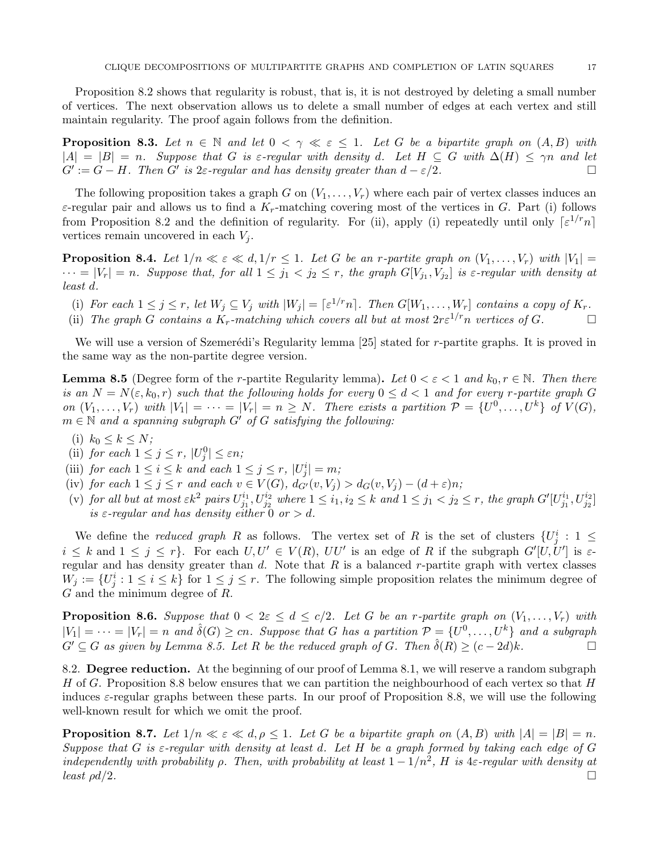Proposition 8.2 shows that regularity is robust, that is, it is not destroyed by deleting a small number of vertices. The next observation allows us to delete a small number of edges at each vertex and still maintain regularity. The proof again follows from the definition.

**Proposition 8.3.** Let  $n \in \mathbb{N}$  and let  $0 < \gamma \ll \varepsilon \leq 1$ . Let G be a bipartite graph on  $(A, B)$  with  $|A| = |B| = n$ . Suppose that G is  $\varepsilon$ -regular with density d. Let  $H \subseteq G$  with  $\Delta(H) \le \gamma n$  and let  $G' := G - H$ . Then G' is  $2\varepsilon$ -regular and has density greater than  $d - \varepsilon/2$ .  $G' := G - H$ . Then  $G'$  is 2 $\varepsilon$ -regular and has density greater than  $d - \varepsilon/2$ .

The following proposition takes a graph G on  $(V_1, \ldots, V_r)$  where each pair of vertex classes induces an  $\varepsilon$ -regular pair and allows us to find a  $K_r$ -matching covering most of the vertices in G. Part (i) follows from Proposition 8.2 and the definition of regularity. For (ii), apply (i) repeatedly until only  $\lceil \varepsilon^{1/r} n \rceil$ vertices remain uncovered in each  $V_i$ .

**Proposition 8.4.** Let  $1/n \ll \varepsilon \ll d$ ,  $1/r \leq 1$ . Let G be an r-partite graph on  $(V_1, \ldots, V_r)$  with  $|V_1|$  =  $\cdots = |V_r| = n$ . Suppose that, for all  $1 \leq j_1 < j_2 \leq r$ , the graph  $G[V_{j_1}, V_{j_2}]$  is  $\varepsilon$ -regular with density at least d.

(i) For each  $1 \leq j \leq r$ , let  $W_j \subseteq V_j$  with  $|W_j| = \lceil \varepsilon^{1/r} n \rceil$ . Then  $G[W_1, \ldots, W_r]$  contains a copy of  $K_r$ .

(ii) The graph G contains a  $K_r$ -matching which covers all but at most  $2r\epsilon^{1/r}n$  vertices of G.

We will use a version of Szemerédi's Regularity lemma  $[25]$  stated for r-partite graphs. It is proved in the same way as the non-partite degree version.

**Lemma 8.5** (Degree form of the r-partite Regularity lemma). Let  $0 < \varepsilon < 1$  and  $k_0, r \in \mathbb{N}$ . Then there is an  $N = N(\varepsilon, k_0, r)$  such that the following holds for every  $0 \leq d < 1$  and for every r-partite graph G on  $(V_1, \ldots, V_r)$  with  $|V_1| = \cdots = |V_r| = n \ge N$ . There exists a partition  $\mathcal{P} = \{U^0, \ldots, U^k\}$  of  $V(G)$ ,  $m \in \mathbb{N}$  and a spanning subgraph G' of G satisfying the following:

- (i)  $k_0 \leq k \leq N$ ;
- (ii) for each  $1 \leq j \leq r$ ,  $|U_j^0| \leq \varepsilon n$ ;
- (iii) for each  $1 \leq i \leq k$  and each  $1 \leq j \leq r$ ,  $|U_j^i| = m$ ;
- (iv) for each  $1 \leq j \leq r$  and each  $v \in V(G)$ ,  $d_{G'}(v, V_j) > d_G(v, V_j) (d + \varepsilon)n$ ;
- (v) for all but at most  $\varepsilon k^2$  pairs  $U_{j_1}^{i_1}$  $j_1^{i_1}, U_{j_2}^{i_2}$  where  $1 \leq i_1, i_2 \leq k$  and  $1 \leq j_1 < j_2 \leq r$ , the graph  $G'[U_{j_1}^{i_1}]$  $\frac{i_1}{j_1}, U^{i_2}_{j_2}]$ is  $\varepsilon$ -regular and has density either 0 or  $> d$ .

We define the *reduced graph* R as follows. The vertex set of R is the set of clusters  $\{U_j^i: 1 \leq j \leq N\}$  $i \leq k$  and  $1 \leq j \leq r$ . For each  $U, U' \in V(R)$ ,  $UU'$  is an edge of R if the subgraph  $G'[U, U']$  is  $\varepsilon$ regular and has density greater than  $d$ . Note that  $R$  is a balanced r-partite graph with vertex classes  $W_j := \{U_j^i : 1 \leq i \leq k\}$  for  $1 \leq j \leq r$ . The following simple proposition relates the minimum degree of G and the minimum degree of R.

**Proposition 8.6.** Suppose that  $0 < 2\varepsilon \leq d \leq c/2$ . Let G be an r-partite graph on  $(V_1, \ldots, V_r)$  with  $|V_1| = \cdots = |V_r| = n$  and  $\hat{\delta}(G) \geq cn$ . Suppose that G has a partition  $\mathcal{P} = \{U^0, \ldots, U^k\}$  and a subgraph  $G' \subseteq G$  as given by Lemma 8.5. Let R be the reduced graph of G. Then  $\hat{\delta}(R) \ge (c - 2d)k$ .

8.2. Degree reduction. At the beginning of our proof of Lemma 8.1, we will reserve a random subgraph H of G. Proposition 8.8 below ensures that we can partition the neighbourhood of each vertex so that  $H$ induces  $\varepsilon$ -regular graphs between these parts. In our proof of Proposition 8.8, we will use the following well-known result for which we omit the proof.

**Proposition 8.7.** Let  $1/n \ll \varepsilon \ll d$ ,  $\rho \leq 1$ . Let G be a bipartite graph on  $(A, B)$  with  $|A| = |B| = n$ . Suppose that  $G$  is  $\varepsilon$ -regular with density at least d. Let  $H$  be a graph formed by taking each edge of  $G$ independently with probability  $\rho$ . Then, with probability at least  $1 - 1/n^2$ , H is 4 $\varepsilon$ -regular with density at least  $\rho d/2$ .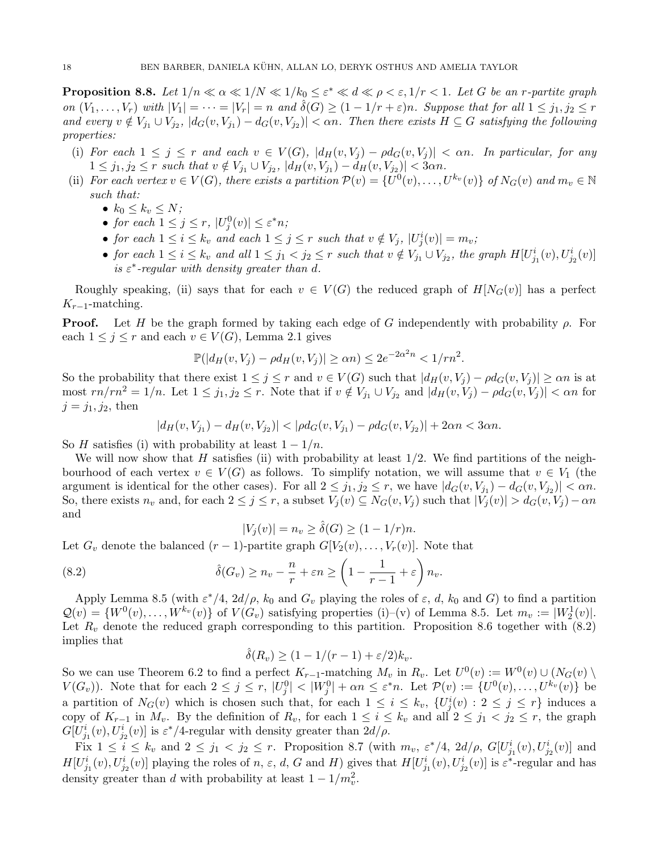**Proposition 8.8.** Let  $1/n \ll \alpha \ll 1/N \ll 1/k_0 \leq \varepsilon^* \ll d \ll \rho < \varepsilon, 1/r < 1$ . Let G be an r-partite graph on  $(V_1,\ldots,V_r)$  with  $|V_1|=\cdots=|V_r|=n$  and  $\hat{\delta}(G)\geq(1-1/r+\varepsilon)n$ . Suppose that for all  $1\leq j_1,j_2\leq r$ and every  $v \notin V_{j_1} \cup V_{j_2}$ ,  $|d_G(v, V_{j_1}) - d_G(v, V_{j_2})| < \alpha n$ . Then there exists  $H \subseteq G$  satisfying the following properties:

- (i) For each  $1 \leq j \leq r$  and each  $v \in V(G)$ ,  $|d_H(v, V_j) \rho d_G(v, V_j)| < \alpha n$ . In particular, for any  $1 \leq j_1, j_2 \leq r$  such that  $v \notin V_{j_1} \cup V_{j_2}, |d_H(v, V_{j_1}) - d_H(v, V_{j_2})| < 3\alpha n$ .
- (ii) For each vertex  $v \in V(G)$ , there exists a partition  $\mathcal{P}(v) = \{U^0(v), \ldots, U^{k_v}(v)\}$  of  $N_G(v)$  and  $m_v \in \mathbb{N}$ such that:
	- $k_0 \leq k_v \leq N;$
	- for each  $1 \leq j \leq r$ ,  $|U_j^0(v)| \leq \varepsilon^* n$ ;
	- for each  $1 \leq i \leq k_v$  and each  $1 \leq j \leq r$  such that  $v \notin V_j$ ,  $|U^i_j(v)| = m_v$ ;
	- for each  $1 \leq i \leq k_v$  and all  $1 \leq j_1 < j_2 \leq r$  such that  $v \notin V_{j_1} \cup V_{j_2}$ , the graph  $H[U^i_{j_1}(v), U^i_{j_2}(v)]$ is  $\varepsilon^*$ -regular with density greater than d.

Roughly speaking, (ii) says that for each  $v \in V(G)$  the reduced graph of  $H[N_G(v)]$  has a perfect  $K_{r-1}$ -matching.

**Proof.** Let H be the graph formed by taking each edge of G independently with probability  $\rho$ . For each  $1 \leq j \leq r$  and each  $v \in V(G)$ , Lemma 2.1 gives

$$
\mathbb{P}(|d_H(v, V_j) - \rho d_H(v, V_j)| \ge \alpha n) \le 2e^{-2\alpha^2 n} < 1/rn^2.
$$

So the probability that there exist  $1 \leq j \leq r$  and  $v \in V(G)$  such that  $|d_H(v, V_j) - \rho d_G(v, V_j)| \geq \alpha n$  is at most  $rn/rn^2 = 1/n$ . Let  $1 \leq j_1, j_2 \leq r$ . Note that if  $v \notin V_{j_1} \cup V_{j_2}$  and  $|d_H(v, V_j) - \rho d_G(v, V_j)| < \alpha n$  for  $j = j_1, j_2$ , then

$$
|d_H(v, V_{j_1}) - d_H(v, V_{j_2})| < |\rho d_G(v, V_{j_1}) - \rho d_G(v, V_{j_2})| + 2\alpha n < 3\alpha n.
$$

So H satisfies (i) with probability at least  $1 - 1/n$ .

We will now show that H satisfies (ii) with probability at least  $1/2$ . We find partitions of the neighbourhood of each vertex  $v \in V(G)$  as follows. To simplify notation, we will assume that  $v \in V_1$  (the argument is identical for the other cases). For all  $2 \leq j_1, j_2 \leq r$ , we have  $|d_G(v, V_{j_1}) - d_G(v, V_{j_2})| < \alpha n$ . So, there exists  $n_v$  and, for each  $2 \leq j \leq r$ , a subset  $V_j(v) \subseteq N_G(v, V_j)$  such that  $|V_j(v)| > d_G(v, V_j) - \alpha n$ and

$$
|V_j(v)| = n_v \ge \hat{\delta}(G) \ge (1 - 1/r)n.
$$

Let  $G_v$  denote the balanced  $(r-1)$ -partite graph  $G[V_2(v),...,V_r(v)]$ . Note that

(8.2) 
$$
\hat{\delta}(G_v) \ge n_v - \frac{n}{r} + \varepsilon n \ge \left(1 - \frac{1}{r-1} + \varepsilon\right) n_v.
$$

Apply Lemma 8.5 (with  $\varepsilon^*/4$ ,  $2d/\rho$ ,  $k_0$  and  $G_v$  playing the roles of  $\varepsilon$ , d,  $k_0$  and G) to find a partition  $\mathcal{Q}(v) = \{W^0(v), \ldots, W^{k_v}(v)\}\$  of  $V(G_v)$  satisfying properties (i)–(v) of Lemma 8.5. Let  $m_v := |W_2^1(v)|$ . Let  $R_v$  denote the reduced graph corresponding to this partition. Proposition 8.6 together with  $(8.2)$ implies that

$$
\hat{\delta}(R_v) \ge (1 - 1/(r - 1) + \varepsilon/2)k_v.
$$

So we can use Theorem 6.2 to find a perfect  $K_{r-1}$ -matching  $M_v$  in  $R_v$ . Let  $U^0(v) := W^0(v) \cup (N_G(v) \setminus$  $V(G_v)$ ). Note that for each  $2 \leq j \leq r$ ,  $|U_j^0| < |W_j^0| + \alpha n \leq \varepsilon^* n$ . Let  $\mathcal{P}(v) := \{U^0(v), \ldots, U^{k_v}(v)\}$  be a partition of  $N_G(v)$  which is chosen such that, for each  $1 \leq i \leq k_v$ ,  $\{U_j^i(v) : 2 \leq j \leq r\}$  induces a copy of  $K_{r-1}$  in  $M_v$ . By the definition of  $R_v$ , for each  $1 \leq i \leq k_v$  and all  $2 \leq j_1 < j_2 \leq r$ , the graph  $G[U^i_{j_1}(v), U^i_{j_2}(v)]$  is  $\varepsilon^*/4$ -regular with density greater than  $2d/\rho$ .

Fix  $1 \leq i \leq k_v$  and  $2 \leq j_1 < j_2 \leq r$ . Proposition 8.7 (with  $m_v$ ,  $\varepsilon^*/4$ ,  $2d/\rho$ ,  $G[U^i_{j_1}(v), U^i_{j_2}(v)]$  and  $H[U^i_{j_1}(v), U^i_{j_2}(v)]$  playing the roles of n,  $\varepsilon$ , d, G and H) gives that  $H[U^i_{j_1}(v), U^i_{j_2}(v)]$  is  $\varepsilon^*$ -regular and has density greater than d with probability at least  $1 - 1/m_v^2$ .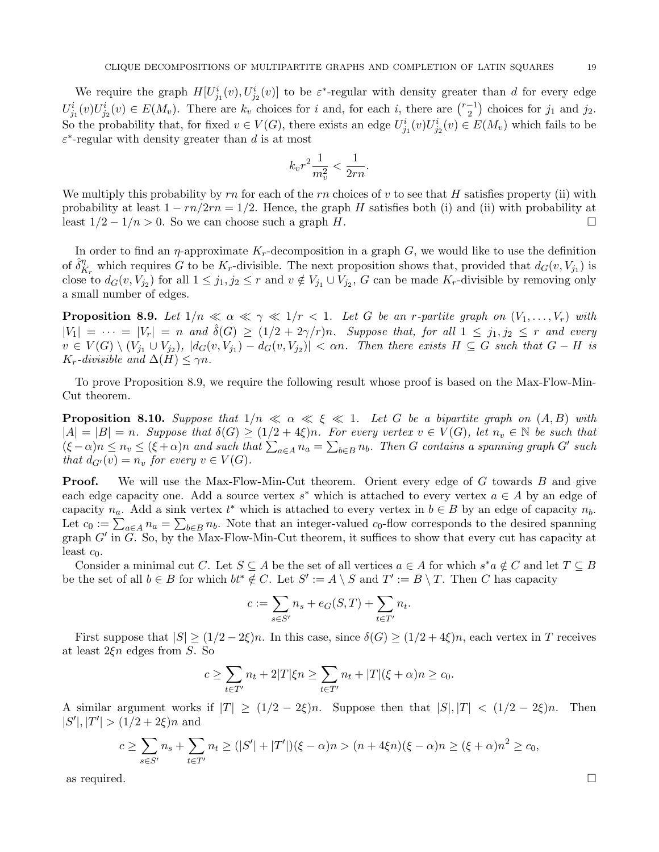We require the graph  $H[U_{j_1}^i(v), U_{j_2}^i(v)]$  to be  $\varepsilon^*$ -regular with density greater than d for every edge  $U_{j_1}^i(v)U_{j_2}^i(v) \in E(M_v)$ . There are  $k_v$  choices for i and, for each i, there are  $\binom{r-1}{2}$  $\binom{-1}{2}$  choices for  $j_1$  and  $j_2$ . So the probability that, for fixed  $v \in V(G)$ , there exists an edge  $U^i_{j_1}(v)U^i_{j_2}(v) \in E(M_v)$  which fails to be  $\varepsilon^*$ -regular with density greater than d is at most

$$
k_v r^2 \frac{1}{m_v^2} < \frac{1}{2rn}.
$$

We multiply this probability by rn for each of the rn choices of v to see that H satisfies property (ii) with probability at least  $1 - rn/2rn = 1/2$ . Hence, the graph H satisfies both (i) and (ii) with probability at least  $1/2 - 1/n > 0$ . So we can choose such a graph H. least  $1/2 - 1/n > 0$ . So we can choose such a graph H.

In order to find an  $\eta$ -approximate  $K_r$ -decomposition in a graph G, we would like to use the definition of  $\hat{\delta}^\eta_{\scriptscriptstyle \mathcal{B}}$  $\frac{\partial f}{\partial K_r}$  which requires G to be  $K_r$ -divisible. The next proposition shows that, provided that  $d_G(v, V_{j_1})$  is close to  $d_G(v, V_{j_2})$  for all  $1 \le j_1, j_2 \le r$  and  $v \notin V_{j_1} \cup V_{j_2}$ , G can be made  $K_r$ -divisible by removing only a small number of edges.

**Proposition 8.9.** Let  $1/n \ll \alpha \ll \gamma \ll 1/r < 1$ . Let G be an r-partite graph on  $(V_1, \ldots, V_r)$  with  $|V_1| = \cdots = |V_r| = n$  and  $\hat{\delta}(G) \ge (1/2 + 2\gamma/r)n$ . Suppose that, for all  $1 \le j_1, j_2 \le r$  and every  $v \in V(G) \setminus (V_{j_1} \cup V_{j_2}), |d_G(v, V_{j_1}) - d_G(v, V_{j_2})| < \alpha n$ . Then there exists  $H \subseteq G$  such that  $G - H$  is  $K_r$ -divisible and  $\Delta(H) \leq \gamma n$ .

To prove Proposition 8.9, we require the following result whose proof is based on the Max-Flow-Min-Cut theorem.

**Proposition 8.10.** Suppose that  $1/n \ll \alpha \ll \xi \ll 1$ . Let G be a bipartite graph on  $(A, B)$  with  $|A| = |B| = n$ . Suppose that  $\delta(G) \ge (1/2 + 4\xi)n$ . For every vertex  $v \in V(G)$ , let  $n_v \in \mathbb{N}$  be such that  $(\xi - \alpha)n \leq n_v \leq (\xi + \alpha)n$  and such that  $\sum_{a \in A} n_a = \sum_{b \in B} n_b$ . Then G contains a spanning graph G' such that  $d_{G'}(v) = n_v$  for every  $v \in V(G)$ .

**Proof.** We will use the Max-Flow-Min-Cut theorem. Orient every edge of G towards B and give each edge capacity one. Add a source vertex  $s^*$  which is attached to every vertex  $a \in A$  by an edge of capacity  $n_a$ . Add a sink vertex  $t^*$  which is attached to every vertex in  $b \in B$  by an edge of capacity  $n_b$ . Let  $c_0 := \sum_{a \in A} n_a = \sum_{b \in B} n_b$ . Note that an integer-valued  $c_0$ -flow corresponds to the desired spanning graph  $G'$  in  $\widetilde{G}$ . So, by the Max-Flow-Min-Cut theorem, it suffices to show that every cut has capacity at least  $c_0$ .

Consider a minimal cut C. Let  $S \subseteq A$  be the set of all vertices  $a \in A$  for which  $s^*a \notin C$  and let  $T \subseteq B$ be the set of all  $b \in B$  for which  $bt^* \notin C$ . Let  $S' := A \setminus S$  and  $T' := B \setminus T$ . Then C has capacity

$$
c := \sum_{s \in S'} n_s + e_G(S, T) + \sum_{t \in T'} n_t
$$

.

First suppose that  $|S| \ge (1/2 - 2\xi)n$ . In this case, since  $\delta(G) \ge (1/2 + 4\xi)n$ , each vertex in T receives at least  $2\xi n$  edges from S. So

$$
c \ge \sum_{t \in T'} n_t + 2|T|\xi n \ge \sum_{t \in T'} n_t + |T|(\xi + \alpha)n \ge c_0.
$$

A similar argument works if  $|T| \ge (1/2 - 2\xi)n$ . Suppose then that  $|S|, |T| < (1/2 - 2\xi)n$ . Then  $|S'|, |T'| > (1/2 + 2\xi)n$  and

$$
c \ge \sum_{s \in S'} n_s + \sum_{t \in T'} n_t \ge (|S'| + |T'|)(\xi - \alpha)n > (n + 4\xi n)(\xi - \alpha)n \ge (\xi + \alpha)n^2 \ge c_0,
$$

as required.  $\Box$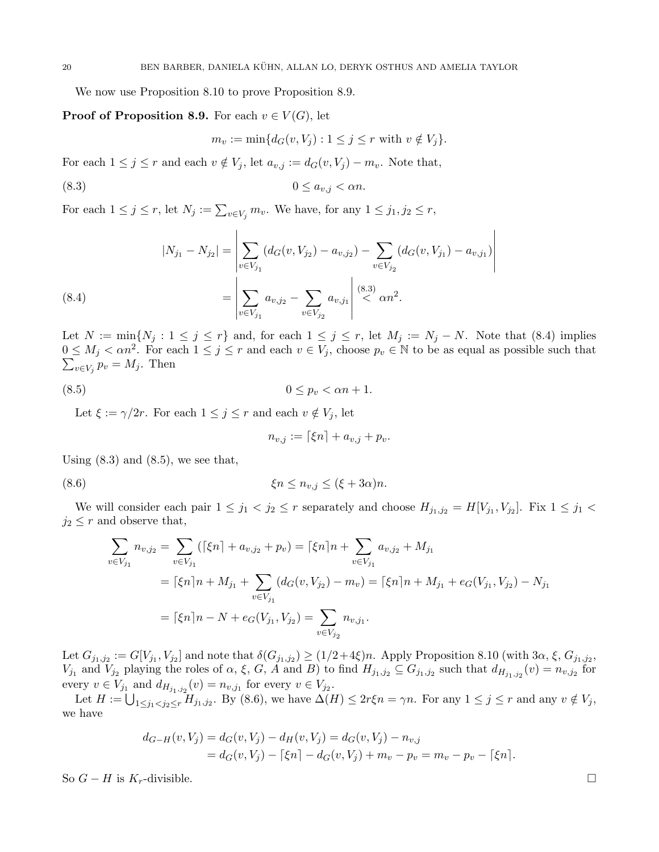We now use Proposition 8.10 to prove Proposition 8.9.

## **Proof of Proposition 8.9.** For each  $v \in V(G)$ , let

$$
m_v := \min\{d_G(v, V_j) : 1 \le j \le r \text{ with } v \notin V_j\}.
$$

For each  $1 \leq j \leq r$  and each  $v \notin V_j$ , let  $a_{v,j} := d_G(v, V_j) - m_v$ . Note that,

$$
(8.3) \t\t 0 \le a_{v,j} < \alpha n.
$$

For each  $1 \leq j \leq r$ , let  $N_j := \sum_{v \in V_j} m_v$ . We have, for any  $1 \leq j_1, j_2 \leq r$ ,

(8.4)  
\n
$$
|N_{j_1} - N_{j_2}| = \left| \sum_{v \in V_{j_1}} (d_G(v, V_{j_2}) - a_{v,j_2}) - \sum_{v \in V_{j_2}} (d_G(v, V_{j_1}) - a_{v,j_1}) \right|
$$
\n
$$
= \left| \sum_{v \in V_{j_1}} a_{v,j_2} - \sum_{v \in V_{j_2}} a_{v,j_1} \right| \stackrel{(8.3)}{\leq} \alpha n^2.
$$

Let  $N := \min\{N_j : 1 \le j \le r\}$  and, for each  $1 \le j \le r$ , let  $M_j := N_j - N$ . Note that (8.4) implies  $0 \leq M_j < \alpha n^2$ . For each  $1 \leq j \leq r$  and each  $v \in V_j$ , choose  $p_v \in \mathbb{N}$  to be as equal as possible such that  $\sum_{v \in V_j} p_v = M_j$ . Then

$$
(8.5) \t\t 0 \le p_v < \alpha n + 1.
$$

Let  $\xi := \gamma/2r$ . For each  $1 \leq j \leq r$  and each  $v \notin V_j$ , let

$$
n_{v,j} := \lceil \xi n \rceil + a_{v,j} + p_v.
$$

Using  $(8.3)$  and  $(8.5)$ , we see that,

(8.6) ξn ≤ nv,j ≤ (ξ + 3α)n.

We will consider each pair  $1 \leq j_1 < j_2 \leq r$  separately and choose  $H_{j_1,j_2} = H[V_{j_1}, V_{j_2}]$ . Fix  $1 \leq j_1 <$  $j_2 \leq r$  and observe that,

$$
\sum_{v \in V_{j_1}} n_{v,j_2} = \sum_{v \in V_{j_1}} (\lceil \xi n \rceil + a_{v,j_2} + p_v) = \lceil \xi n \rceil n + \sum_{v \in V_{j_1}} a_{v,j_2} + M_{j_1}
$$
  
\n
$$
= \lceil \xi n \rceil n + M_{j_1} + \sum_{v \in V_{j_1}} (d_G(v, V_{j_2}) - m_v) = \lceil \xi n \rceil n + M_{j_1} + e_G(V_{j_1}, V_{j_2}) - N_{j_1}
$$
  
\n
$$
= \lceil \xi n \rceil n - N + e_G(V_{j_1}, V_{j_2}) = \sum_{v \in V_{j_2}} n_{v,j_1}.
$$

Let  $G_{j_1,j_2} := G[V_{j_1}, V_{j_2}]$  and note that  $\delta(G_{j_1,j_2}) \geq (1/2+4\xi)n$ . Apply Proposition 8.10 (with  $3\alpha, \xi, G_{j_1,j_2}$ ,  $V_{j_1}$  and  $V_{j_2}$  playing the roles of  $\alpha$ ,  $\xi$ ,  $G$ ,  $A$  and  $B$ ) to find  $H_{j_1,j_2} \subseteq G_{j_1,j_2}$  such that  $d_{H_{j_1,j_2}}(v) = n_{v,j_2}$  for every  $v \in V_{j_1}$  and  $d_{H_{j_1,j_2}}(v) = n_{v,j_1}$  for every  $v \in V_{j_2}$ .

Let  $H := \bigcup_{1 \leq j_1 < j_2 \leq r} H_{j_1, j_2}$ . By (8.6), we have  $\Delta(H) \leq 2r\xi n = \gamma n$ . For any  $1 \leq j \leq r$  and any  $v \notin V_j$ , we have

$$
d_{G-H}(v, V_j) = d_G(v, V_j) - d_H(v, V_j) = d_G(v, V_j) - n_{v,j}
$$
  
= 
$$
d_G(v, V_j) - \lceil \xi n \rceil - d_G(v, V_j) + m_v - p_v = m_v - p_v - \lceil \xi n \rceil.
$$

So  $G - H$  is  $K_r$ -divisible.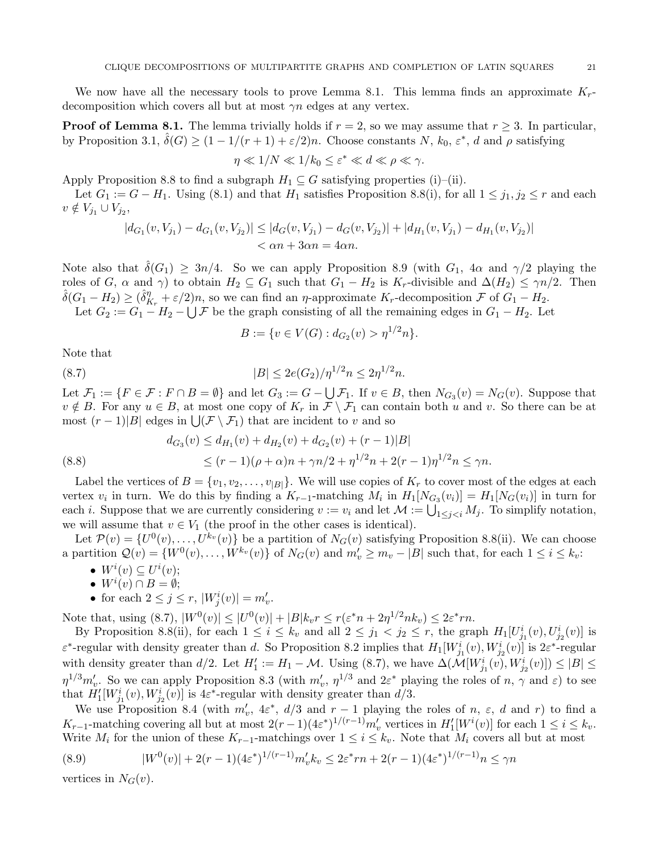We now have all the necessary tools to prove Lemma 8.1. This lemma finds an approximate  $K_r$ decomposition which covers all but at most  $\gamma n$  edges at any vertex.

**Proof of Lemma 8.1.** The lemma trivially holds if  $r = 2$ , so we may assume that  $r \geq 3$ . In particular, by Proposition 3.1,  $\hat{\delta}(G) \geq (1 - 1/(r + 1) + \varepsilon/2)n$ . Choose constants N,  $k_0, \varepsilon^*, d$  and  $\rho$  satisfying

$$
\eta \ll 1/N \ll 1/k_0 \le \varepsilon^* \ll d \ll \rho \ll \gamma.
$$

Apply Proposition 8.8 to find a subgraph  $H_1 \subseteq G$  satisfying properties (i)–(ii).

Let  $G_1 := G - H_1$ . Using (8.1) and that  $H_1$  satisfies Proposition 8.8(i), for all  $1 \leq j_1, j_2 \leq r$  and each  $v \notin V_{j_1} \cup V_{j_2},$ 

$$
|d_{G_1}(v, V_{j_1}) - d_{G_1}(v, V_{j_2})| \le |d_G(v, V_{j_1}) - d_G(v, V_{j_2})| + |d_{H_1}(v, V_{j_1}) - d_{H_1}(v, V_{j_2})|
$$
  

$$
< \alpha n + 3\alpha n = 4\alpha n.
$$

Note also that  $\delta(G_1) \geq 3n/4$ . So we can apply Proposition 8.9 (with  $G_1$ ,  $4\alpha$  and  $\gamma/2$  playing the roles of G,  $\alpha$  and  $\gamma$ ) to obtain  $H_2 \subseteq G_1$  such that  $G_1 - H_2$  is  $K_r$ -divisible and  $\Delta(H_2) \leq \gamma n/2$ . Then  $\hat{\delta}(G_1 - H_2) \geq (\hat{\delta}_R^{\eta})$  $K_r + \varepsilon/2$ , so we can find an  $\eta$ -approximate  $K_r$ -decomposition  $\mathcal F$  of  $G_1 - H_2$ .

Let  $G_2 := G_1 - H_2 - \bigcup \mathcal{F}$  be the graph consisting of all the remaining edges in  $G_1 - H_2$ . Let

$$
B := \{ v \in V(G) : d_{G_2}(v) > \eta^{1/2} n \}.
$$

Note that

(8.7) 
$$
|B| \le 2e(G_2)/\eta^{1/2} n \le 2\eta^{1/2} n.
$$

Let  $\mathcal{F}_1 := \{F \in \mathcal{F} : F \cap B = \emptyset\}$  and let  $G_3 := G - \bigcup \mathcal{F}_1$ . If  $v \in B$ , then  $N_{G_3}(v) = N_G(v)$ . Suppose that  $v \notin B$ . For any  $u \in B$ , at most one copy of  $K_r$  in  $\mathcal{F} \setminus \mathcal{F}_1$  can contain both u and v. So there can be at most  $(r-1)|B|$  edges in  $\bigcup (\mathcal{F} \setminus \mathcal{F}_1)$  that are incident to v and so

(8.8) 
$$
d_{G_3}(v) \le d_{H_1}(v) + d_{H_2}(v) + d_{G_2}(v) + (r-1)|B|
$$

$$
\le (r-1)(\rho + \alpha)n + \gamma n/2 + \eta^{1/2}n + 2(r-1)\eta^{1/2}n \le \gamma n.
$$

Label the vertices of  $B = \{v_1, v_2, \ldots, v_{|B|}\}.$  We will use copies of  $K_r$  to cover most of the edges at each vertex  $v_i$  in turn. We do this by finding a  $K_{r-1}$ -matching  $M_i$  in  $H_1[N_{G_3}(v_i)] = H_1[N_G(v_i)]$  in turn for each *i*. Suppose that we are currently considering  $v := v_i$  and let  $\mathcal{M} := \bigcup_{1 \leq j < i} M_j$ . To simplify notation, we will assume that  $v \in V_1$  (the proof in the other cases is identical).

Let  $\mathcal{P}(v) = \{U^0(v), \ldots, U^{k_v}(v)\}\$ be a partition of  $N_G(v)$  satisfying Proposition 8.8(ii). We can choose a partition  $\mathcal{Q}(v) = \{W^0(v), \ldots, W^{k_v}(v)\}\$  of  $N_G(v)$  and  $m'_v \ge m_v - |B|$  such that, for each  $1 \le i \le k_v$ :

- $W^i(v) \subseteq U^i(v);$
- $W^i(v) \cap B = \emptyset;$
- for each  $2 \leq j \leq r$ ,  $|W_j^i(v)| = m'_v$ .

Note that, using  $(8.7)$ ,  $|W^0(v)| \leq |U^0(v)| + |B|k_v r \leq r(\varepsilon^* n + 2\eta^{1/2} n k_v) \leq 2\varepsilon^* r n$ .

By Proposition 8.8(ii), for each  $1 \leq i \leq k_v$  and all  $2 \leq j_1 < j_2 \leq r$ , the graph  $H_1[U^i_{j_1}(v), U^i_{j_2}(v)]$  is  $\varepsilon^*$ -regular with density greater than d. So Proposition 8.2 implies that  $H_1[W^i_{j_1}(v), W^i_{j_2}(v)]$  is  $2\varepsilon^*$ -regular with density greater than  $d/2$ . Let  $H'_1 := H_1 - \mathcal{M}$ . Using (8.7), we have  $\Delta(\mathcal{M}[W^i_{j_1}(v), W^i_{j_2}(v)]) \leq |B| \leq$  $\eta^{1/3}m'_v$ . So we can apply Proposition 8.3 (with  $m'_v$ ,  $\eta^{1/3}$  and  $2\varepsilon^*$  playing the roles of  $n, \gamma$  and  $\varepsilon$ ) to see that  $H_1'[W_{j_1}^i(v), W_{j_2}^i(v)]$  is  $4\varepsilon^*$ -regular with density greater than  $d/3$ .

We use Proposition 8.4 (with  $m'_v$ ,  $4\varepsilon^*$ ,  $d/3$  and  $r-1$  playing the roles of n,  $\varepsilon$ , d and r) to find a  $K_{r-1}$ -matching covering all but at most  $2(r-1)(4\varepsilon^*)^{1/(r-1)}m_v'$  vertices in  $H'_1[W^i(v)]$  for each  $1 \le i \le k_v$ . Write  $M_i$  for the union of these  $K_{r-1}$ -matchings over  $1 \leq i \leq k_v$ . Note that  $M_i$  covers all but at most

(8.9) 
$$
|W^{0}(v)| + 2(r - 1)(4\varepsilon^{*})^{1/(r-1)}m_{v}'k_{v} \le 2\varepsilon^{*}rn + 2(r - 1)(4\varepsilon^{*})^{1/(r-1)}n \le \gamma n
$$

vertices in  $N_G(v)$ .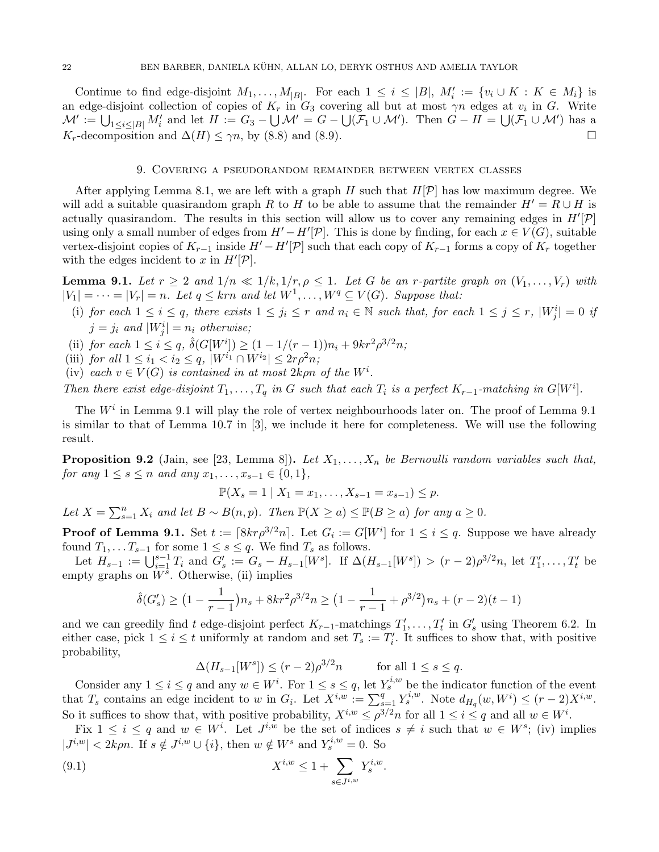Continue to find edge-disjoint  $M_1, \ldots, M_{|B|}$ . For each  $1 \leq i \leq |B|$ ,  $M'_i := \{v_i \cup K : K \in M_i\}$  is an edge-disjoint collection of copies of  $K_r$  in  $G_3$  covering all but at most  $\gamma n$  edges at  $v_i$  in G. Write  $\mathcal{M}' := \bigcup_{1 \leq i \leq |B|} M'_i$  and let  $H := G_3 - \bigcup \mathcal{M}' = G - \bigcup (\mathcal{F}_1 \cup \mathcal{M}')$ . Then  $G - H = \bigcup (\mathcal{F}_1 \cup \mathcal{M}')$  has a  $K_r$ -decomposition and  $\Delta(H) \leq \gamma n$ , by (8.8) and (8.9).

## 9. Covering a pseudorandom remainder between vertex classes

After applying Lemma 8.1, we are left with a graph H such that  $H[\mathcal{P}]$  has low maximum degree. We will add a suitable quasirandom graph R to H to be able to assume that the remainder  $H' = R \cup H$  is actually quasirandom. The results in this section will allow us to cover any remaining edges in  $H'[\mathcal{P}]$ using only a small number of edges from  $H'-H'[\mathcal{P}]$ . This is done by finding, for each  $x \in V(G)$ , suitable vertex-disjoint copies of  $K_{r-1}$  inside  $H'-H'[P]$  such that each copy of  $K_{r-1}$  forms a copy of  $K_r$  together with the edges incident to x in  $H'[\mathcal{P}].$ 

**Lemma 9.1.** Let  $r \geq 2$  and  $1/n \ll 1/k, 1/r, \rho \leq 1$ . Let G be an r-partite graph on  $(V_1, \ldots, V_r)$  with  $|V_1| = \cdots = |V_r| = n$ . Let  $q \leq krn$  and let  $W^1, \ldots, W^q \subseteq V(G)$ . Suppose that:

- (i) for each  $1 \leq i \leq q$ , there exists  $1 \leq j_i \leq r$  and  $n_i \in \mathbb{N}$  such that, for each  $1 \leq j \leq r$ ,  $|W_j^i| = 0$  if  $j = j_i$  and  $|W^i_j| = n_i$  otherwise;
- (ii) for each  $1 \leq i \leq q$ ,  $\hat{\delta}(G[W^i]) \geq (1 1/(r-1))n_i + 9kr^2\rho^{3/2}n$ ;
- (iii) for all  $1 \le i_1 < i_2 \le q$ ,  $|W^{i_1} \cap W^{i_2}| \le 2r\rho^2 n$ ;
- (iv) each  $v \in V(G)$  is contained in at most  $2k\rho n$  of the  $W^i$ .

Then there exist edge-disjoint  $T_1, \ldots, T_q$  in G such that each  $T_i$  is a perfect  $K_{r-1}$ -matching in  $G[W^i]$ .

The  $W<sup>i</sup>$  in Lemma 9.1 will play the role of vertex neighbourhoods later on. The proof of Lemma 9.1 is similar to that of Lemma 10.7 in [3], we include it here for completeness. We will use the following result.

**Proposition 9.2** (Jain, see [23, Lemma 8]). Let  $X_1, \ldots, X_n$  be Bernoulli random variables such that, for any  $1 \le s \le n$  and any  $x_1, \ldots, x_{s-1} \in \{0, 1\},$ 

$$
\mathbb{P}(X_s = 1 \mid X_1 = x_1, \dots, X_{s-1} = x_{s-1}) \le p.
$$

Let  $X = \sum_{s=1}^{n} X_i$  and let  $B \sim B(n, p)$ . Then  $\mathbb{P}(X \ge a) \le \mathbb{P}(B \ge a)$  for any  $a \ge 0$ .

**Proof of Lemma 9.1.** Set  $t := \lceil 8kr\rho^{3/2}n \rceil$ . Let  $G_i := G[W^i]$  for  $1 \leq i \leq q$ . Suppose we have already found  $T_1, \ldots T_{s-1}$  for some  $1 \leq s \leq q$ . We find  $T_s$  as follows.

Let  $H_{s-1} := \bigcup_{i=1}^{s-1} T_i$  and  $G'_s := G_s - H_{s-1}[W^s]$ . If  $\Delta(H_{s-1}[W^s]) > (r-2)\rho^{3/2}n$ , let  $T'_1, \ldots, T'_t$  be empty graphs on  $W^s$ . Otherwise, (ii) implies

$$
\hat{\delta}(G_s') \ge (1 - \frac{1}{r-1})n_s + 8kr^2\rho^{3/2}n \ge (1 - \frac{1}{r-1} + \rho^{3/2})n_s + (r-2)(t-1)
$$

and we can greedily find t edge-disjoint perfect  $K_{r-1}$ -matchings  $T'_1, \ldots, T'_t$  in  $G'_s$  using Theorem 6.2. In either case, pick  $1 \leq i \leq t$  uniformly at random and set  $T_s := T'_i$ . It suffices to show that, with positive probability,

$$
\Delta(H_{s-1}[W^s]) \le (r-2)\rho^{3/2}n \qquad \text{for all } 1 \le s \le q.
$$

Consider any  $1 \leq i \leq q$  and any  $w \in W^i$ . For  $1 \leq s \leq q$ , let  $Y_s^{i,w}$  be the indicator function of the event that  $T_s$  contains an edge incident to w in  $G_i$ . Let  $X^{i,w} := \sum_{s=1}^q Y_s^{i,w}$ . Note  $d_{H_q}(w, W^i) \le (r-2)X^{i,w}$ . So it suffices to show that, with positive probability,  $X^{i,w} \n\t\leq \rho^{3/2} n$  for all  $1 \leq i \leq q$  and all  $w \in W^i$ .

Fix  $1 \leq i \leq q$  and  $w \in W^i$ . Let  $J^{i,w}$  be the set of indices  $s \neq i$  such that  $w \in W^s$ ; (iv) implies  $|J^{i,w}| < 2k\rho n$ . If  $s \notin J^{i,w} \cup \{i\}$ , then  $w \notin W^s$  and  $Y_s^{i,w} = 0$ . So

.

(9.1) 
$$
X^{i,w} \leq 1 + \sum_{s \in J^{i,w}} Y_s^{i,w}
$$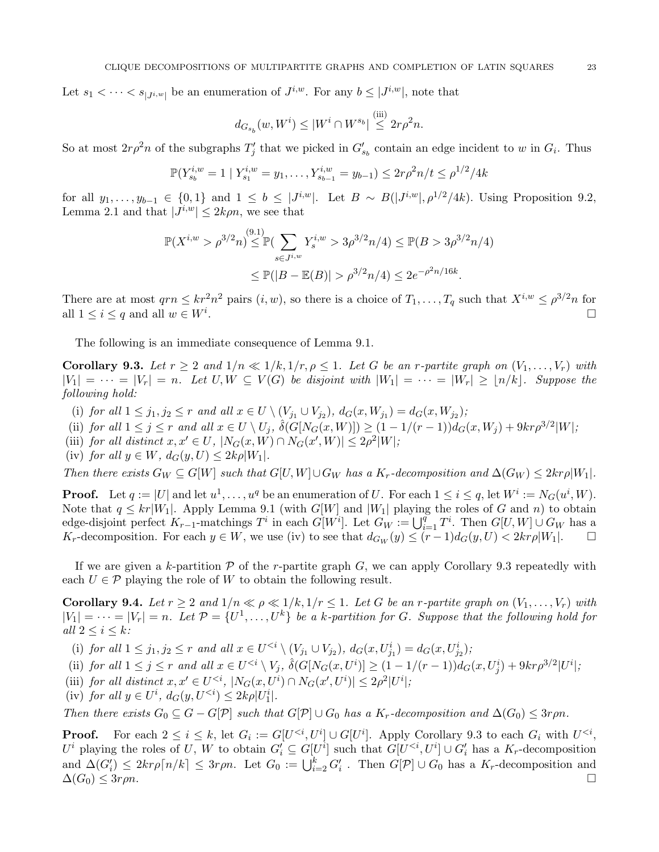Let  $s_1 < \cdots < s_{|J^{i,w}|}$  be an enumeration of  $J^{i,w}$ . For any  $b \leq |J^{i,w}|$ , note that

$$
d_{G_{s_b}}(w, W^i) \le |W^i \cap W^{s_b}| \stackrel{\text{(iii)}}{\le} 2r\rho^2 n.
$$

So at most  $2r\rho^2 n$  of the subgraphs  $T'_j$  that we picked in  $G'_{s_b}$  contain an edge incident to w in  $G_i$ . Thus

$$
\mathbb{P}(Y_{s_b}^{i,w} = 1 | Y_{s_1}^{i,w} = y_1, \dots, Y_{s_{b-1}}^{i,w} = y_{b-1}) \le 2r\rho^2 n/t \le \rho^{1/2}/4k
$$

for all  $y_1, \ldots, y_{b-1} \in \{0,1\}$  and  $1 \leq b \leq |J^{i,w}|$ . Let  $B \sim B(|J^{i,w}|, \rho^{1/2}/4k)$ . Using Proposition 9.2, Lemma 2.1 and that  $|\tilde{J}^{i,w}| \leq 2k\rho n$ , we see that

$$
\mathbb{P}(X^{i,w} > \rho^{3/2}n) \stackrel{(9.1)}{\leq} \mathbb{P}(\sum_{s \in J^{i,w}} Y_s^{i,w} > 3\rho^{3/2}n/4) \leq \mathbb{P}(B > 3\rho^{3/2}n/4)
$$

$$
\leq \mathbb{P}(|B - \mathbb{E}(B)| > \rho^{3/2}n/4) \leq 2e^{-\rho^2 n/16k}.
$$

There are at most  $qrn \leq kr^2n^2$  pairs  $(i, w)$ , so there is a choice of  $T_1, \ldots, T_q$  such that  $X^{i,w} \leq \rho^{3/2}n$  for all  $1 \leq i \leq q$  and all  $w \in W^i$ . .

The following is an immediate consequence of Lemma 9.1.

**Corollary 9.3.** Let  $r \geq 2$  and  $1/n \ll 1/k, 1/r, \rho \leq 1$ . Let G be an r-partite graph on  $(V_1, \ldots, V_r)$  with  $|V_1| = \cdots = |V_r| = n$ . Let  $U, W \subseteq V(G)$  be disjoint with  $|W_1| = \cdots = |W_r| \geq \lfloor n/k \rfloor$ . Suppose the following hold:

- (i) for all  $1 \le j_1, j_2 \le r$  and all  $x \in U \setminus (V_{j_1} \cup V_{j_2}), d_G(x, W_{j_1}) = d_G(x, W_{j_2});$
- (ii) for all  $1 \le j \le r$  and all  $x \in U \setminus U_j$ ,  $\hat{\delta}(G[N_G(x,W)]) \ge (1 1/(r 1))d_G(x, W_j) + 9kr\rho^{3/2}|W|$ ;
- (iii) for all distinct  $x, x' \in U$ ,  $|N_G(x, W) \cap N_G(x', W)| \leq 2\rho^2|W|$ ;
- (iv) for all  $y \in W$ ,  $d_G(y, U) \leq 2k\rho|W_1|$ .

Then there exists  $G_W \subseteq G[W]$  such that  $G[U, W] \cup G_W$  has a  $K_r$ -decomposition and  $\Delta(G_W) \leq 2kr\rho|W_1|$ .

**Proof.** Let  $q := |U|$  and let  $u^1, \ldots, u^q$  be an enumeration of U. For each  $1 \leq i \leq q$ , let  $W^i := N_G(u^i, W)$ . Note that  $q \leq kr|W_1|$ . Apply Lemma 9.1 (with  $G[W]$  and  $|W_1|$  playing the roles of G and n) to obtain edge-disjoint perfect  $K_{r-1}$ -matchings  $T^i$  in each  $G[W^i]$ . Let  $G_W := \bigcup_{i=1}^q T^i$ . Then  $G[U, W] \cup G_W$  has a K<sub>r</sub>-decomposition. For each  $y \in W$ , we use (iv) to see that  $d_{G_W}(y) \le (r-1)d_G(y,U) < 2kr\rho|W_1|$ .

If we are given a k-partition  $P$  of the r-partite graph G, we can apply Corollary 9.3 repeatedly with each  $U \in \mathcal{P}$  playing the role of W to obtain the following result.

**Corollary 9.4.** Let  $r \geq 2$  and  $1/n \ll \rho \ll 1/k, 1/r \leq 1$ . Let G be an r-partite graph on  $(V_1, \ldots, V_r)$  with  $|V_1| = \cdots = |V_r| = n.$  Let  $\mathcal{P} = \{U^1, \ldots, U^k\}$  be a k-partition for G. Suppose that the following hold for all  $2 \leq i \leq k$ :

(i) for all  $1 \le j_1, j_2 \le r$  and all  $x \in U^{\le i} \setminus (V_{j_1} \cup V_{j_2}), d_G(x, U^i_{j_1}) = d_G(x, U^i_{j_2});$ 

(ii) for all 
$$
1 \le j \le r
$$
 and all  $x \in U^{\le i} \setminus V_j$ ,  $\hat{\delta}(G[N_G(x, U^i)] \ge (1 - 1/(r - 1))d_G(x, U^i_j) + 9kr\rho^{3/2}|U^i|$ ;

- (iii) for all distinct  $x, x' \in U^{\leq i}$ ,  $|N_G(x, U^i) \cap N_G(x', U^i)| \leq 2\rho^2|U^i|$ ;
- (iv) for all  $y \in U^i$ ,  $d_G(y, U^{.$

Then there exists  $G_0 \subseteq G - G[\mathcal{P}]$  such that  $G[\mathcal{P}] \cup G_0$  has a  $K_r$ -decomposition and  $\Delta(G_0) \leq 3r\rho n$ .

**Proof.** For each  $2 \leq i \leq k$ , let  $G_i := G[U^{\leq i}, U^i] \cup G[U^i]$ . Apply Corollary 9.3 to each  $G_i$  with  $U^{\leq i}$ ,  $U^i$  playing the roles of U, W to obtain  $G_i' \subseteq G[U^i]$  such that  $G[U^{\leq i}, U^i] \cup G_i'$  has a  $K_r$ -decomposition and  $\Delta(G_i') \leq 2kr\rho\lceil n/k \rceil \leq 3r\rho n$ . Let  $G_0 := \bigcup_{i=2}^k G_i'$ . Then  $G[\mathcal{P}] \cup G_0$  has a  $K_r$ -decomposition and  $\Delta(G_0) \leq 3r\rho n.$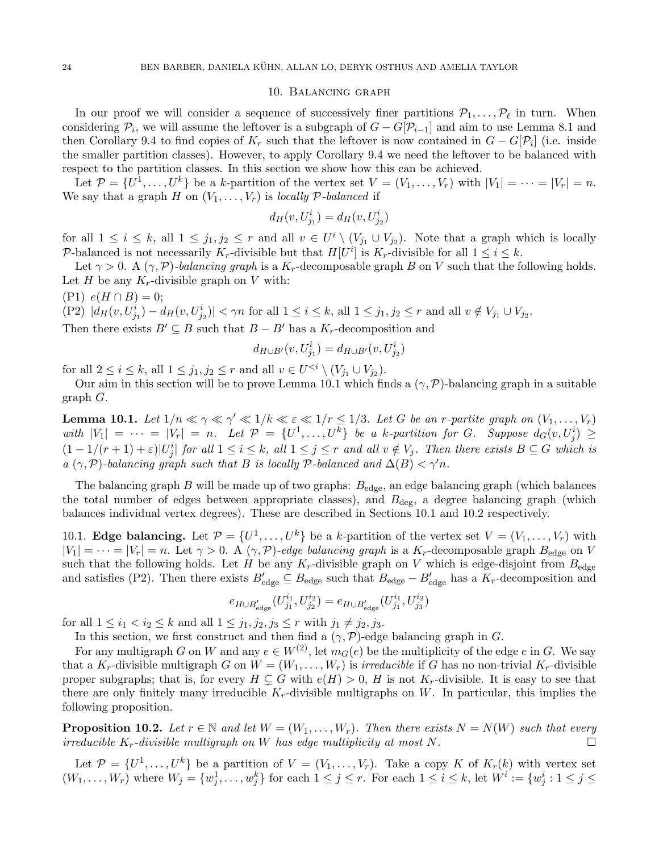#### 10. Balancing graph

In our proof we will consider a sequence of successively finer partitions  $\mathcal{P}_1, \ldots, \mathcal{P}_\ell$  in turn. When considering  $\mathcal{P}_i$ , we will assume the leftover is a subgraph of  $G - G[\mathcal{P}_{i-1}]$  and aim to use Lemma 8.1 and then Corollary 9.4 to find copies of  $K_r$  such that the leftover is now contained in  $G - G[P_i]$  (i.e. inside the smaller partition classes). However, to apply Corollary 9.4 we need the leftover to be balanced with respect to the partition classes. In this section we show how this can be achieved.

Let  $\mathcal{P} = \{U^1, \ldots, U^k\}$  be a k-partition of the vertex set  $V = (V_1, \ldots, V_r)$  with  $|V_1| = \cdots = |V_r| = n$ . We say that a graph H on  $(V_1, \ldots, V_r)$  is locally P-balanced if

$$
d_H(v,U^i_{j_1})=d_H(v,U^i_{j_2})\,
$$

for all  $1 \leq i \leq k$ , all  $1 \leq j_1, j_2 \leq r$  and all  $v \in U^i \setminus (V_{j_1} \cup V_{j_2})$ . Note that a graph which is locally P-balanced is not necessarily  $K_r$ -divisible but that  $H[U^i]$  is  $K_r$ -divisible for all  $1 \leq i \leq k$ .

Let  $\gamma > 0$ . A  $(\gamma, \mathcal{P})$ -balancing graph is a K<sub>r</sub>-decomposable graph B on V such that the following holds. Let H be any  $K_r$ -divisible graph on V with:

 $(P1) e(H \cap B) = 0;$ 

(P2)  $|d_H(v, U^i_{j_1}) - d_H(v, U^i_{j_2})| < \gamma n$  for all  $1 \le i \le k$ , all  $1 \le j_1, j_2 \le r$  and all  $v \notin V_{j_1} \cup V_{j_2}$ . Then there exists  $B' \subseteq B$  such that  $B - B'$  has a  $K_r$ -decomposition and

$$
d_{H \cup B'}(v, U^i_{j_1}) = d_{H \cup B'}(v, U^i_{j_2})
$$

for all  $2 \leq i \leq k$ , all  $1 \leq j_1, j_2 \leq r$  and all  $v \in U^{\leq i} \setminus (V_{j_1} \cup V_{j_2})$ .

Our aim in this section will be to prove Lemma 10.1 which finds a  $(\gamma, \mathcal{P})$ -balancing graph in a suitable graph G.

**Lemma 10.1.** Let  $1/n \ll \gamma \ll \gamma' \ll 1/k \ll \varepsilon \ll 1/r \leq 1/3$ . Let G be an r-partite graph on  $(V_1, \ldots, V_r)$ with  $|V_1| = \cdots = |V_r| = n$ . Let  $\mathcal{P} = \{U^1, \ldots, U^k\}$  be a k-partition for G. Suppose  $d_G(v, U_j^i) \ge$  $(1-1/(r+1)+\varepsilon)|U_j^i|$  for all  $1 \leq i \leq k$ , all  $1 \leq j \leq r$  and all  $v \notin V_j$ . Then there exists  $B \subseteq G$  which is a  $(\gamma, \mathcal{P})$ -balancing graph such that B is locally  $\mathcal{P}$ -balanced and  $\Delta(B) < \gamma' n$ .

The balancing graph B will be made up of two graphs:  $B_{\text{edge}}$ , an edge balancing graph (which balances the total number of edges between appropriate classes), and  $B_{\text{deg}}$ , a degree balancing graph (which balances individual vertex degrees). These are described in Sections 10.1 and 10.2 respectively.

10.1. Edge balancing. Let  $\mathcal{P} = \{U^1, \ldots, U^k\}$  be a k-partition of the vertex set  $V = (V_1, \ldots, V_r)$  with  $|V_1| = \cdots = |V_r| = n$ . Let  $\gamma > 0$ . A  $(\gamma, \mathcal{P})$ -edge balancing graph is a  $K_r$ -decomposable graph  $B_{\text{edge}}$  on V such that the following holds. Let H be any  $K_r$ -divisible graph on V which is edge-disjoint from  $B_{\text{edge}}$ and satisfies (P2). Then there exists  $B'_{\text{edge}} \subseteq B_{\text{edge}}$  such that  $B_{\text{edge}} - B'_{\text{edge}}$  has a  $K_r$ -decomposition and

$$
e_{H \cup B'_{\text{edge}}}(U^{i_1}_{j_1},U^{i_2}_{j_2}) = e_{H \cup B'_{\text{edge}}}(U^{i_1}_{j_1},U^{i_2}_{j_3})
$$

for all  $1 \le i_1 < i_2 \le k$  and all  $1 \le j_1, j_2, j_3 \le r$  with  $j_1 \ne j_2, j_3$ .

In this section, we first construct and then find a  $(\gamma, \mathcal{P})$ -edge balancing graph in G.

For any multigraph G on W and any  $e \in W^{(2)}$ , let  $m_G(e)$  be the multiplicity of the edge e in G. We say that a  $K_r$ -divisible multigraph G on  $W = (W_1, \ldots, W_r)$  is *irreducible* if G has no non-trivial  $K_r$ -divisible proper subgraphs; that is, for every  $H \subsetneq G$  with  $e(H) > 0$ , H is not  $K_r$ -divisible. It is easy to see that there are only finitely many irreducible  $K_r$ -divisible multigraphs on W. In particular, this implies the following proposition.

**Proposition 10.2.** Let  $r \in \mathbb{N}$  and let  $W = (W_1, \ldots, W_r)$ . Then there exists  $N = N(W)$  such that every irreducible  $K_r$ -divisible multigraph on W has edge multiplicity at most N. irreducible  $K_r$ -divisible multigraph on W has edge multiplicity at most N.

Let  $\mathcal{P} = \{U^1, \ldots, U^k\}$  be a partition of  $V = (V_1, \ldots, V_r)$ . Take a copy K of  $K_r(k)$  with vertex set  $(W_1,\ldots,W_r)$  where  $W_j = \{w_j^1,\ldots,w_j^k\}$  for each  $1 \leq j \leq r$ . For each  $1 \leq i \leq k$ , let  $W^i := \{w_j^i : 1 \leq j \leq r\}$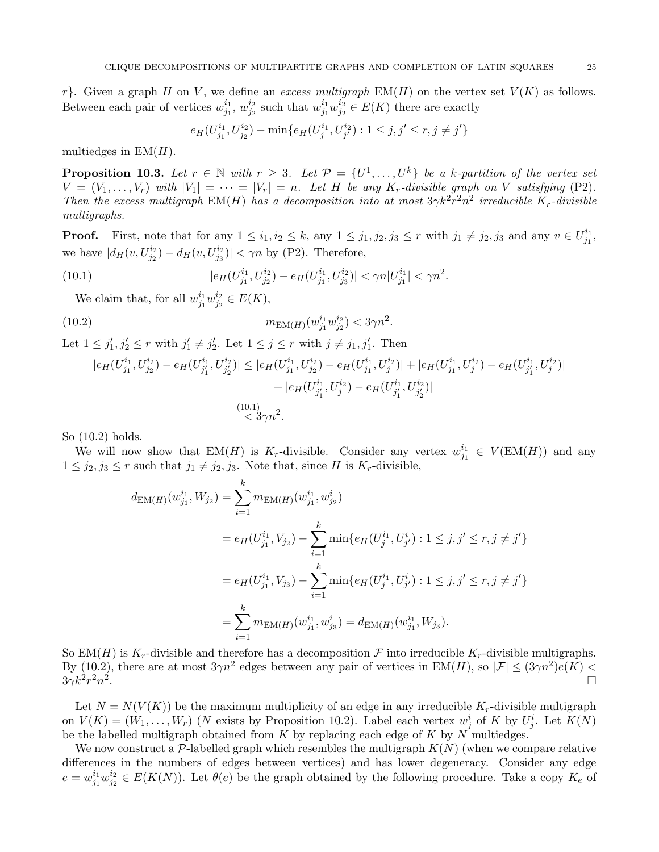r}. Given a graph H on V, we define an excess multigraph  $EM(H)$  on the vertex set  $V(K)$  as follows. Between each pair of vertices  $w_{j_1}^{i_1}$  $_{j_1}^{i_1}, w_{j_2}^{i_2}$  $\frac{i_2}{j_2}$  such that  $w_{j_1}^{i_1}$  ${}^{i_1}_{j_1}w^{i_2}_{j_2}$  $j_2^{i_2} \in E(K)$  there are exactly

$$
e_H(U_{j_1}^{i_1}, U_{j_2}^{i_2}) - \min\{e_H(U_j^{i_1}, U_{j'}^{i_2}) : 1 \le j, j' \le r, j \ne j'\}
$$

multiedges in  $EM(H)$ .

**Proposition 10.3.** Let  $r \in \mathbb{N}$  with  $r \geq 3$ . Let  $\mathcal{P} = \{U^1, \ldots, U^k\}$  be a k-partition of the vertex set  $V = (V_1, \ldots, V_r)$  with  $|V_1| = \cdots = |V_r| = n$ . Let H be any  $K_r$ -divisible graph on V satisfying (P2). Then the excess multigraph  $EM(H)$  has a decomposition into at most  $3\gamma k^2 r^2 n^2$  irreducible  $K_r$ -divisible multigraphs.

**Proof.** First, note that for any  $1 \leq i_1, i_2 \leq k$ , any  $1 \leq j_1, j_2, j_3 \leq r$  with  $j_1 \neq j_2, j_3$  and any  $v \in U_{j_1}^{i_1}$  $\frac{i_1}{j_1},$ we have  $|d_H(v, U_{j_2}^{i_2}) - d_H(v, U_{j_3}^{i_2})| < \gamma n$  by (P2). Therefore,

(10.1) 
$$
|e_H(U_{j_1}^{i_1}, U_{j_2}^{i_2}) - e_H(U_{j_1}^{i_1}, U_{j_3}^{i_2})| < \gamma n |U_{j_1}^{i_1}| < \gamma n^2.
$$

We claim that, for all  $w_{i_1}^{i_1}$  $_{j_{1}}^{i_{1}}w_{j_{2}}^{i_{2}}$  $j_2^{i_2} \in E(K)$ ,

(10.2) 
$$
m_{\text{EM}(H)}(w_{j_1}^{i_1}w_{j_2}^{i_2}) < 3\gamma n^2.
$$

Let  $1 \leq j'_1, j'_2 \leq r$  with  $j'_1 \neq j'_2$ . Let  $1 \leq j \leq r$  with  $j \neq j_1, j'_1$ . Then

$$
|e_H(U_{j_1}^{i_1}, U_{j_2}^{i_2}) - e_H(U_{j'_1}^{i_1}, U_{j'_2}^{i_2})| \le |e_H(U_{j_1}^{i_1}, U_{j_2}^{i_2}) - e_H(U_{j_1}^{i_1}, U_{j}^{i_2})| + |e_H(U_{j_1}^{i_1}, U_{j}^{i_2}) - e_H(U_{j'_1}^{i_1}, U_{j}^{i_2})|
$$
  
+  $|e_H(U_{j'_1}^{i_1}, U_{j}^{i_2}) - e_H(U_{j'_1}^{i_1}, U_{j'_2}^{i_2})|$   
 $\le 3\gamma n^2.$ 

So (10.2) holds.

We will now show that EM(H) is  $K_r$ -divisible. Consider any vertex  $w_{j_1}^{i_1}$  $j_1^{i_1} \in V(\text{EM}(H))$  and any  $1 \leq j_2, j_3 \leq r$  such that  $j_1 \neq j_2, j_3$ . Note that, since H is  $K_r$ -divisible,

$$
d_{\text{EM}(H)}(w_{j_1}^{i_1}, W_{j_2}) = \sum_{i=1}^k m_{\text{EM}(H)}(w_{j_1}^{i_1}, w_{j_2}^i)
$$
  
\n
$$
= e_H(U_{j_1}^{i_1}, V_{j_2}) - \sum_{i=1}^k \min\{e_H(U_j^{i_1}, U_{j'}^i) : 1 \le j, j' \le r, j \ne j'\}
$$
  
\n
$$
= e_H(U_{j_1}^{i_1}, V_{j_3}) - \sum_{i=1}^k \min\{e_H(U_j^{i_1}, U_{j'}^i) : 1 \le j, j' \le r, j \ne j'\}
$$
  
\n
$$
= \sum_{i=1}^k m_{\text{EM}(H)}(w_{j_1}^{i_1}, w_{j_3}^i) = d_{\text{EM}(H)}(w_{j_1}^{i_1}, W_{j_3}).
$$

So  $EM(H)$  is  $K_r$ -divisible and therefore has a decomposition F into irreducible  $K_r$ -divisible multigraphs. By (10.2), there are at most  $3\gamma n^2$  edges between any pair of vertices in  $EM(H)$ , so  $|\mathcal{F}| \leq (3\gamma n^2)e(K) \leq$  $3\gamma k^2 r^2 n^2$ .

Let  $N = N(V(K))$  be the maximum multiplicity of an edge in any irreducible  $K_r$ -divisible multigraph on  $V(K) = (W_1, \ldots, W_r)$  (N exists by Proposition 10.2). Label each vertex  $w_j^i$  of K by  $U_j^i$ . Let  $K(N)$ be the labelled multigraph obtained from  $K$  by replacing each edge of  $K$  by  $N$  multiedges.

We now construct a P-labelled graph which resembles the multigraph  $K(N)$  (when we compare relative differences in the numbers of edges between vertices) and has lower degeneracy. Consider any edge  $e = w_{j_1}^{i_1}$  $_{j_1}^{i_1}w_{j_2}^{i_2}$  $j_2^{i_2} \in E(K(N))$ . Let  $\theta(e)$  be the graph obtained by the following procedure. Take a copy  $K_e$  of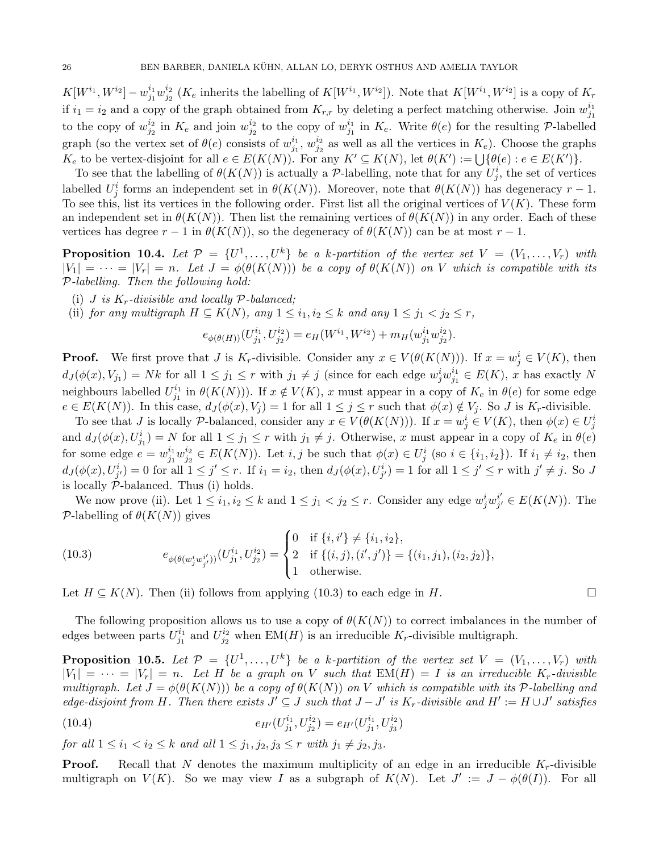$K[W^{i_1}, W^{i_2}] - w^{i_1}_{j_1}$  $_{j_{1}}^{i_{1}}w_{j_{2}}^{i_{2}}$  $j_2^{i_2}$  ( $K_e$  inherits the labelling of  $K[W^{i_1}, W^{i_2}]$ ). Note that  $K[W^{i_1}, W^{i_2}]$  is a copy of  $K_r$ if  $i_1 = i_2$  and a copy of the graph obtained from  $K_{r,r}$  by deleting a perfect matching otherwise. Join  $w_{j_1}^{i_1}$  $\mathfrak{j}_1$ to the copy of  $w_{i_2}^{i_2}$  $\frac{i_2}{j_2}$  in  $K_e$  and join  $w_{j_2}^{i_2}$  $\frac{i_2}{j_2}$  to the copy of  $w_{j_1}^{i_1}$  $j_1^{i_1}$  in  $K_e$ . Write  $\theta(e)$  for the resulting P-labelled graph (so the vertex set of  $\theta(e)$  consists of  $w_{j_1}^{i_1}$  $j_1^{i_1}, w_{j_2}^{i_2}$  $j_2^{i_2}$  as well as all the vertices in  $K_e$ ). Choose the graphs  $K_e$  to be vertex-disjoint for all  $e \in E(K(N))$ . For any  $K' \subseteq K(N)$ , let  $\theta(K') := \bigcup \{\theta(e) : e \in E(K')\}$ .

To see that the labelling of  $\theta(K(N))$  is actually a P-labelling, note that for any  $U_j^i$ , the set of vertices labelled  $U_j^i$  forms an independent set in  $\theta(K(N))$ . Moreover, note that  $\theta(K(N))$  has degeneracy  $r-1$ . To see this, list its vertices in the following order. First list all the original vertices of  $V(K)$ . These form an independent set in  $\theta(K(N))$ . Then list the remaining vertices of  $\theta(K(N))$  in any order. Each of these vertices has degree  $r - 1$  in  $\theta(K(N))$ , so the degeneracy of  $\theta(K(N))$  can be at most  $r - 1$ .

**Proposition 10.4.** Let  $\mathcal{P} = \{U^1, \ldots, U^k\}$  be a k-partition of the vertex set  $V = (V_1, \ldots, V_r)$  with  $|V_1| = \cdots = |V_r| = n$ . Let  $J = \phi(\theta(K(N)))$  be a copy of  $\theta(K(N))$  on V which is compatible with its P-labelling. Then the following hold:

- (i) J is  $K_r$ -divisible and locally  $\mathcal P$ -balanced;
- (ii) for any multigraph  $H \subseteq K(N)$ , any  $1 \leq i_1, i_2 \leq k$  and any  $1 \leq j_1 < j_2 \leq r$ ,

$$
e_{\phi(\theta(H))}(U_{j_1}^{i_1}, U_{j_2}^{i_2}) = e_H(W^{i_1}, W^{i_2}) + m_H(w_{j_1}^{i_1}w_{j_2}^{i_2}).
$$

**Proof.** We first prove that J is  $K_r$ -divisible. Consider any  $x \in V(\theta(K(N)))$ . If  $x = w_j^i \in V(K)$ , then  $d_J(\phi(x), V_{j_1}) = Nk$  for all  $1 \leq j_1 \leq r$  with  $j_1 \neq j$  (since for each edge  $w_j^i w_{j_1}^{i_1}$  $j_1^{i_1} \in E(K)$ , x has exactly N neighbours labelled  $U_{i_1}^{i_1}$  $j_1^{i_1}$  in  $\theta(K(N))$ ). If  $x \notin V(K)$ , x must appear in a copy of  $K_e$  in  $\theta(e)$  for some edge  $e \in E(K(N))$ . In this case,  $d_J(\phi(x), V_j) = 1$  for all  $1 \leq j \leq r$  such that  $\phi(x) \notin V_j$ . So J is  $K_r$ -divisible.

To see that *J* is locally P-balanced, consider any  $x \in V(\theta(K(N)))$ . If  $x = w_j^i \in V(K)$ , then  $\phi(x) \in U_j^i$ and  $d_J(\phi(x), U^i_{j_1}) = N$  for all  $1 \leq j_1 \leq r$  with  $j_1 \neq j$ . Otherwise, x must appear in a copy of  $K_e$  in  $\theta(e)$ for some edge  $e = w_{i_1}^{i_1}$  $_{j_1}^{i_1}w_{j_2}^{i_2}$  $j_2^{i_2} \in E(K(N))$ . Let  $i, j$  be such that  $\phi(x) \in U_j^i$  (so  $i \in \{i_1, i_2\}$ ). If  $i_1 \neq i_2$ , then  $d_J(\phi(x), U^i_{j'}) = 0$  for all  $1 \leq j' \leq r$ . If  $i_1 = i_2$ , then  $d_J(\phi(x), U^i_{j'}) = 1$  for all  $1 \leq j' \leq r$  with  $j' \neq j$ . So J is locally  $\mathcal{P}\text{-balanced. Thus (i) holds.}$ 

We now prove (ii). Let  $1 \le i_1, i_2 \le k$  and  $1 \le j_1 < j_2 \le r$ . Consider any edge  $w_j^i w_{j'}^{i'}$  $_{j'}^{i'} \in E(K(N))$ . The P-labelling of  $\theta(K(N))$  gives

(10.3) 
$$
e_{\phi(\theta(w_j^iw_{j'}^{i'}))}(U_{j_1}^{i_1}, U_{j_2}^{i_2}) = \begin{cases} 0 & \text{if } \{i, i'\} \neq \{i_1, i_2\}, \\ 2 & \text{if } \{(i, j), (i', j')\} = \{(i_1, j_1), (i_2, j_2)\}, \\ 1 & \text{otherwise.} \end{cases}
$$

Let  $H \subseteq K(N)$ . Then (ii) follows from applying (10.3) to each edge in H.

The following proposition allows us to use a copy of  $\theta(K(N))$  to correct imbalances in the number of edges between parts  $U_{j_1}^{i_1}$  $j_1^{i_1}$  and  $U_{j_2}^{i_2}$  $j_2^{i_2}$  when EM(*H*) is an irreducible *K*<sub>r</sub>-divisible multigraph.

**Proposition 10.5.** Let  $\mathcal{P} = \{U^1, \ldots, U^k\}$  be a k-partition of the vertex set  $V = (V_1, \ldots, V_r)$  with  $|V_1| = \cdots = |V_r| = n$ . Let H be a graph on V such that  $EM(H) = I$  is an irreducible  $K_r$ -divisible multigraph. Let  $J = \phi(\theta(K(N)))$  be a copy of  $\theta(K(N))$  on V which is compatible with its P-labelling and edge-disjoint from H. Then there exists  $J' \subseteq J$  such that  $J-J'$  is  $K_r$ -divisible and  $H' := H \cup J'$  satisfies

(10.4) 
$$
e_{H'}(U_{j_1}^{i_1}, U_{j_2}^{i_2}) = e_{H'}(U_{j_1}^{i_1}, U_{j_3}^{i_2})
$$

for all  $1 \le i_1 < i_2 \le k$  and all  $1 \le j_1, j_2, j_3 \le r$  with  $j_1 \ne j_2, j_3$ .

**Proof.** Recall that N denotes the maximum multiplicity of an edge in an irreducible  $K_r$ -divisible multigraph on  $V(K)$ . So we may view I as a subgraph of  $K(N)$ . Let  $J' := J - \phi(\theta(I))$ . For all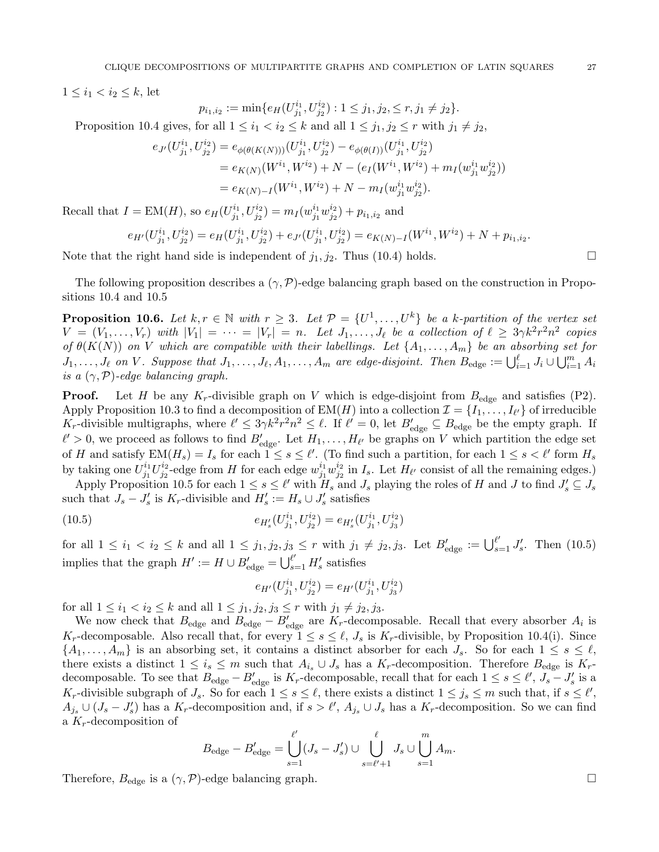$1 \leq i_1 < i_2 \leq k$ , let

$$
p_{i_1,i_2} := \min\{e_H(U_{j_1}^{i_1}, U_{j_2}^{i_2}) : 1 \leq j_1, j_2, \leq r, j_1 \neq j_2\}.
$$

Proposition 10.4 gives, for all  $1 \leq i_1 < i_2 \leq k$  and all  $1 \leq j_1, j_2 \leq r$  with  $j_1 \neq j_2$ ,

$$
e_{J'}(U_{j_1}^{i_1}, U_{j_2}^{i_2}) = e_{\phi(\theta(K(N)))}(U_{j_1}^{i_1}, U_{j_2}^{i_2}) - e_{\phi(\theta(I))}(U_{j_1}^{i_1}, U_{j_2}^{i_2})
$$
  
=  $e_{K(N)}(W^{i_1}, W^{i_2}) + N - (e_I(W^{i_1}, W^{i_2}) + m_I(w_{j_1}^{i_1}w_{j_2}^{i_2}))$   
=  $e_{K(N)-I}(W^{i_1}, W^{i_2}) + N - m_I(w_{j_1}^{i_1}w_{j_2}^{i_2}).$ 

Recall that  $I = EM(H)$ , so  $e_H(U_{j_1}^{i_1})$  $j_1^{i_1}, U_{j_2}^{i_2}) = m_I(w_{j_1}^{i_1})$  $_{j_1}^{i_1}w_{j_2}^{i_2}$  $j_2^{i_2}$  +  $p_{i_1,i_2}$  and

$$
e_{H'}(U_{j_1}^{i_1}, U_{j_2}^{i_2}) = e_H(U_{j_1}^{i_1}, U_{j_2}^{i_2}) + e_{J'}(U_{j_1}^{i_1}, U_{j_2}^{i_2}) = e_{K(N)-I}(W^{i_1}, W^{i_2}) + N + p_{i_1, i_2}.
$$

Note that the right hand side is independent of  $j_1, j_2$ . Thus (10.4) holds.

The following proposition describes a  $(\gamma, \mathcal{P})$ -edge balancing graph based on the construction in Propositions 10.4 and 10.5

**Proposition 10.6.** Let  $k, r \in \mathbb{N}$  with  $r \geq 3$ . Let  $\mathcal{P} = \{U^1, \ldots, U^k\}$  be a k-partition of the vertex set  $V = (V_1, \ldots, V_r)$  with  $|V_1| = \cdots = |V_r| = n$ . Let  $J_1, \ldots, J_\ell$  be a collection of  $\ell \geq 3\gamma k^2 r^2 n^2$  copies of  $\theta(K(N))$  on V which are compatible with their labellings. Let  $\{A_1, \ldots, A_m\}$  be an absorbing set for  $J_1, \ldots, J_\ell$  on V. Suppose that  $J_1, \ldots, J_\ell, A_1, \ldots, A_m$  are edge-disjoint. Then  $B_{\text{edge}} := \bigcup_{i=1}^{\ell} J_i \cup \bigcup_{i=1}^m A_i$ is a  $(\gamma, \mathcal{P})$ -edge balancing graph.

**Proof.** Let H be any  $K_r$ -divisible graph on V which is edge-disjoint from  $B_{\text{edge}}$  and satisfies (P2). Apply Proposition 10.3 to find a decomposition of  $EM(H)$  into a collection  $\mathcal{I} = \{I_1, \ldots, I_{\ell'}\}$  of irreducible  $K_r$ -divisible multigraphs, where  $\ell' \leq 3\gamma k^2 r^2 n^2 \leq \ell$ . If  $\ell' = 0$ , let  $B'_{\text{edge}} \subseteq B_{\text{edge}}$  be the empty graph. If  $\ell' > 0$ , we proceed as follows to find  $B'_{\text{edge}}$ . Let  $H_1, \ldots, H_{\ell'}$  be graphs on V which partition the edge set of H and satisfy  $EM(H_s) = I_s$  for each  $1 \leq s \leq \ell'$ . (To find such a partition, for each  $1 \leq s \leq \ell'$  form  $H_s$ by taking one  $U_{i_1}^{i_1}$  ${}^{i_1}_{j_1}U^{i_2}_{j_2}$  $\frac{i_2}{j_2}$  -edge from  $H$  for each edge  $w_{j_1}^{i_1}$  $_{j_{1}}^{i_{1}}w_{j_{2}}^{i_{2}}$  $j_2^{i_2}$  in  $I_s$ . Let  $H_{\ell'}$  consist of all the remaining edges.)

Apply Proposition 10.5 for each  $1 \leq s \leq \ell'$  with  $H_s$  and  $J_s$  playing the roles of H and J to find  $J'_s \subseteq J_s$ such that  $J_s - J'_s$  is  $K_r$ -divisible and  $H'_s := H_s \cup J'_s$  satisfies

(10.5) 
$$
e_{H'_s}(U_{j_1}^{i_1}, U_{j_2}^{i_2}) = e_{H'_s}(U_{j_1}^{i_1}, U_{j_3}^{i_2})
$$

for all  $1 \le i_1 < i_2 \le k$  and all  $1 \le j_1, j_2, j_3 \le r$  with  $j_1 \ne j_2, j_3$ . Let  $B'_{\text{edge}} := \bigcup_{s=1}^{\ell'} J'_s$ . Then (10.5) implies that the graph  $H' := H \cup B'_{\text{edge}} = \bigcup_{s=1}^{\ell'} H'_{s}$  satisfies

$$
e_{H'}(U_{j_1}^{i_1},U_{j_2}^{i_2})=e_{H'}(U_{j_1}^{i_1},U_{j_3}^{i_2})
$$

for all  $1 \le i_1 < i_2 \le k$  and all  $1 \le j_1, j_2, j_3 \le r$  with  $j_1 \ne j_2, j_3$ .

We now check that  $B_{\text{edge}}$  and  $B_{\text{edge}} - B'_{\text{edge}}$  are  $K_r$ -decomposable. Recall that every absorber  $A_i$  is  $K_r$ -decomposable. Also recall that, for every  $1 \leq s \leq \ell$ ,  $J_s$  is  $K_r$ -divisible, by Proposition 10.4(i). Since  $\{A_1, \ldots, A_m\}$  is an absorbing set, it contains a distinct absorber for each  $J_s$ . So for each  $1 \le s \le \ell$ , there exists a distinct  $1 \le i_s \le m$  such that  $A_{i_s} \cup J_s$  has a  $K_r$ -decomposition. Therefore  $B_{\text{edge}}$  is  $K_r$ decomposable. To see that  $B_{\text{edge}} - B'_{\text{edge}}$  is  $K_r$ -decomposable, recall that for each  $1 \le s \le \ell', J_s - J'_s$  is a  $K_r$ -divisible subgraph of  $J_s$ . So for each  $1 \leq s \leq \ell$ , there exists a distinct  $1 \leq j_s \leq m$  such that, if  $s \leq \ell'$ ,  $A_{j_s} \cup (J_s - J'_s)$  has a  $K_r$ -decomposition and, if  $s > \ell'$ ,  $A_{j_s} \cup J_s$  has a  $K_r$ -decomposition. So we can find a  $K_r$ -decomposition of

$$
B_{\text{edge}} - B'_{\text{edge}} = \bigcup_{s=1}^{\ell'} (J_s - J'_s) \cup \bigcup_{s=\ell'+1}^{\ell} J_s \cup \bigcup_{s=1}^m A_m.
$$

Therefore,  $B_{\text{edge}}$  is a  $(\gamma, \mathcal{P})$ -edge balancing graph.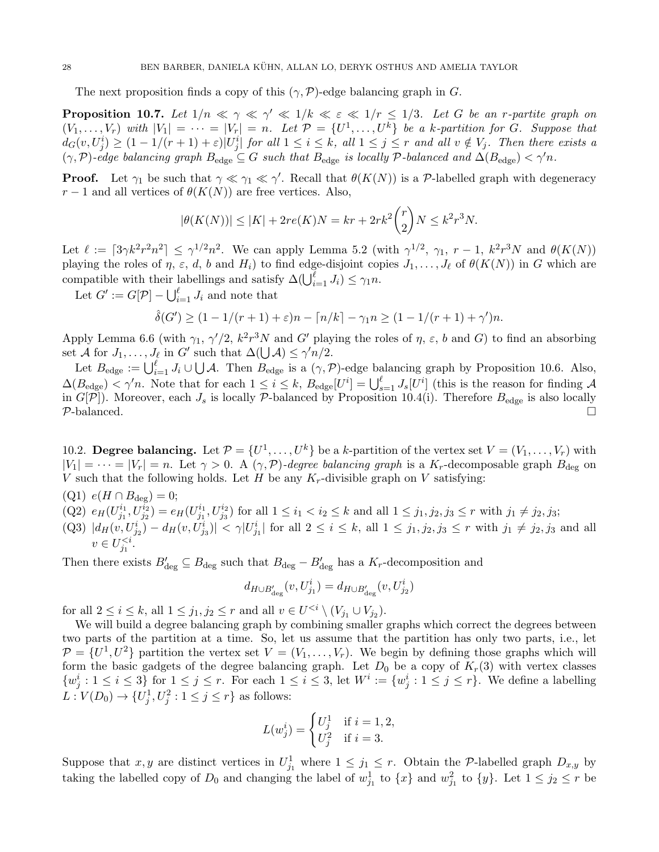The next proposition finds a copy of this  $(\gamma, \mathcal{P})$ -edge balancing graph in G.

**Proposition 10.7.** Let  $1/n \ll \gamma \ll \gamma' \ll 1/k \ll \varepsilon \ll 1/r \leq 1/3$ . Let G be an r-partite graph on  $(V_1,\ldots,V_r)$  with  $|V_1|=\cdots=|V_r|=n$ . Let  $\mathcal{P}=\{U^1,\ldots,U^k\}$  be a k-partition for G. Suppose that  $d_G(v, U_j^i) \geq (1 - 1/(r + 1) + \varepsilon)|U_j^i|$  for all  $1 \leq i \leq k$ , all  $1 \leq j \leq r$  and all  $v \notin V_j$ . Then there exists a  $(\gamma, \mathcal{P})$ -edge balancing graph  $B_{\text{edge}} \subseteq G$  such that  $B_{\text{edge}}$  is locally  $\mathcal{P}$ -balanced and  $\Delta(B_{\text{edge}}) < \gamma' n$ .

**Proof.** Let  $\gamma_1$  be such that  $\gamma \ll \gamma_1 \ll \gamma'$ . Recall that  $\theta(K(N))$  is a P-labelled graph with degeneracy  $r-1$  and all vertices of  $\theta(K(N))$  are free vertices. Also,

$$
|\theta(K(N))| \le |K| + 2re(K)N = kr + 2rk^2 \binom{r}{2}N \le k^2r^3N.
$$

Let  $\ell := \lceil 3\gamma k^2 r^2 n^2 \rceil \leq \gamma^{1/2} n^2$ . We can apply Lemma 5.2 (with  $\gamma^{1/2}$ ,  $\gamma_1$ ,  $r-1$ ,  $k^2 r^3 N$  and  $\theta(K(N))$ playing the roles of  $\eta$ ,  $\varepsilon$ , d, b and  $H_i$ ) to find edge-disjoint copies  $J_1, \ldots, J_\ell$  of  $\theta(K(N))$  in G which are compatible with their labellings and satisfy  $\Delta(\bigcup_{i=1}^{\ell} J_i) \leq \gamma_1 n$ .

Let  $G' := G[\mathcal{P}] - \bigcup_{i=1}^{\ell} J_i$  and note that

$$
\hat{\delta}(G') \ge (1 - 1/(r + 1) + \varepsilon)n - \lceil n/k \rceil - \gamma_1 n \ge (1 - 1/(r + 1) + \gamma')n.
$$

Apply Lemma 6.6 (with  $\gamma_1, \gamma'/2, k^2r^3N$  and G' playing the roles of  $\eta, \varepsilon, b$  and G) to find an absorbing set A for  $J_1, \ldots, J_\ell$  in G' such that  $\Delta(\bigcup \mathcal{A}) \leq \gamma' n/2$ .

Let  $B_{\text{edge}} := \bigcup_{i=1}^{\ell} J_i \cup \bigcup \mathcal{A}$ . Then  $B_{\text{edge}}$  is a  $(\gamma, \mathcal{P})$ -edge balancing graph by Proposition 10.6. Also,  $\Delta(B_{\text{edge}}) < \gamma' n$ . Note that for each  $1 \leq i \leq k$ ,  $B_{\text{edge}}[U^i] = \bigcup_{s=1}^{\ell} J_s[U^i]$  (this is the reason for finding A in  $G[\mathcal{P}]$ ). Moreover, each  $J_s$  is locally  $\mathcal{P}\text{-balanced by Proposition 10.4(i)}$ . Therefore  $B_{\text{edge}}$  is also locally  $\mathcal{P}\text{-balanced.}$  $\mathcal P\text{-balanced.}$ 

10.2. Degree balancing. Let  $\mathcal{P} = \{U^1, \ldots, U^k\}$  be a k-partition of the vertex set  $V = (V_1, \ldots, V_r)$  with  $|V_1| = \cdots = |V_r| = n$ . Let  $\gamma > 0$ . A  $(\gamma, \mathcal{P})$ -degree balancing graph is a  $K_r$ -decomposable graph  $B_{\text{deg}}$  on V such that the following holds. Let H be any  $K_r$ -divisible graph on V satisfying:

- (Q1)  $e(H \cap B_{\text{deg}}) = 0;$
- (Q2)  $e_H(U_{j_1}^{i_1})$  $\tilde{U}^{i_1}_{j_1}, U^{i_2}_{j_2}) = e_H(U^{i_1}_{j_1})$  $j_1^{i_1}, U_{j_3}^{i_2}$ ) for all  $1 \le i_1 < i_2 \le k$  and all  $1 \le j_1, j_2, j_3 \le r$  with  $j_1 \ne j_2, j_3$ ;
- $(Q3)$   $|d_H(v, U_{j_2}^i) d_H(v, U_{j_3}^i)| < \gamma |U_{j_1}^i|$  for all  $2 \le i \le k$ , all  $1 \le j_1, j_2, j_3 \le r$  with  $j_1 \ne j_2, j_3$  and all  $v \in U_{j_1}^{.$

Then there exists  $B'_{\text{deg}} \subseteq B_{\text{deg}}$  such that  $B_{\text{deg}} - B'_{\text{deg}}$  has a  $K_r$ -decomposition and

$$
d_{H \cup B'_{\deg}}(v,U^i_{j_1}) = d_{H \cup B'_{\deg}}(v,U^i_{j_2})
$$

for all  $2 \leq i \leq k$ , all  $1 \leq j_1, j_2 \leq r$  and all  $v \in U^{\leq i} \setminus (V_{j_1} \cup V_{j_2})$ .

We will build a degree balancing graph by combining smaller graphs which correct the degrees between two parts of the partition at a time. So, let us assume that the partition has only two parts, i.e., let  $\mathcal{P} = \{U^1, U^2\}$  partition the vertex set  $V = (V_1, \ldots, V_r)$ . We begin by defining those graphs which will form the basic gadgets of the degree balancing graph. Let  $D_0$  be a copy of  $K_r(3)$  with vertex classes  $\{w_j^i : 1 \leq i \leq 3\}$  for  $1 \leq j \leq r$ . For each  $1 \leq i \leq 3$ , let  $W^i := \{w_j^i : 1 \leq j \leq r\}$ . We define a labelling  $L: V(D_0) \to \{U_j^1, U_j^2 : 1 \le j \le r\}$  as follows:

$$
L(w_j^i) = \begin{cases} U_j^1 & \text{if } i = 1, 2, \\ U_j^2 & \text{if } i = 3. \end{cases}
$$

Suppose that  $x, y$  are distinct vertices in  $U_{j_1}^1$  where  $1 \leq j_1 \leq r$ . Obtain the P-labelled graph  $D_{x,y}$  by taking the labelled copy of  $D_0$  and changing the label of  $w_{j_1}^1$  to  $\{x\}$  and  $w_{j_1}^2$  to  $\{y\}$ . Let  $1 \leq j_2 \leq r$  be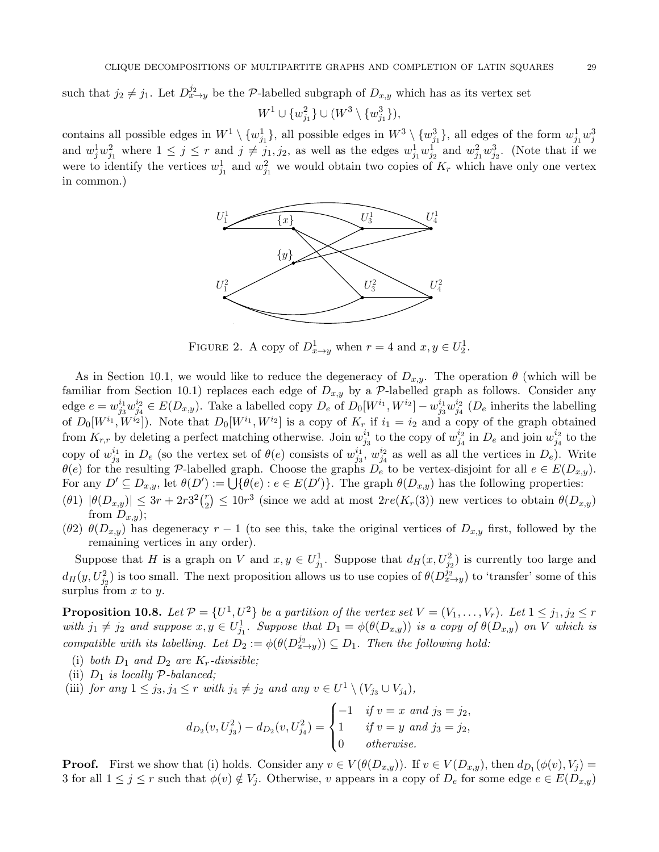such that  $j_2 \neq j_1$ . Let  $D_{x\to y}^{j_2}$  be the P-labelled subgraph of  $D_{x,y}$  which has as its vertex set

 $W^1 \cup \{w_{j_1}^2\} \cup (W^3 \setminus \{w_{j_1}^3\}),$ 

contains all possible edges in  $W^1 \setminus \{w_{j_1}^1\}$ , all possible edges in  $W^3 \setminus \{w_{j_1}^3\}$ , all edges of the form  $w_{j_1}^1 w_j^3$ and  $w_j^1 w_{j_1}^2$  where  $1 \leq j \leq r$  and  $j \neq j_1, j_2$ , as well as the edges  $w_{j_1}^1 w_{j_2}^1$  and  $w_{j_1}^2 w_{j_2}^3$ . (Note that if we were to identify the vertices  $w_{j_1}^1$  and  $w_{j_1}^2$  we would obtain two copies of  $K_r$  which have only one vertex in common.)



FIGURE 2. A copy of  $D_{x\to y}^1$  when  $r=4$  and  $x, y \in U_2^1$ .

As in Section 10.1, we would like to reduce the degeneracy of  $D_{x,y}$ . The operation  $\theta$  (which will be familiar from Section 10.1) replaces each edge of  $D_{x,y}$  by a P-labelled graph as follows. Consider any edge  $e = w_{i_3}^{i_1}$  ${}^{i_{1}}_{j_{3}}w^{i_{2}}_{j_{4}}$  $j_4^{i_2} \in E(D_{x,y})$ . Take a labelled copy  $D_e$  of  $D_0[W^{i_1}, W^{i_2}] - w_{j_3}^{i_1}$  ${}^{i_{1}}_{j_{3}}w^{i_{2}}_{j_{4}}$  $j_4^{i_2}$  ( $D_e$  inherits the labelling of  $D_0[W^{i_1}, W^{i_2}]$ ). Note that  $D_0[W^{i_1}, W^{i_2}]$  is a copy of  $K_r$  if  $i_1 = i_2$  and a copy of the graph obtained from  $K_{r,r}$  by deleting a perfect matching otherwise. Join  $w_{j_3}^{i_1}$  $\frac{i_1}{j_3}$  to the copy of  $w_{j_4}^{i_2}$  $_{j_4}^{i_2}$  in  $D_e$  and join  $w_{j_4}^{i_2}$  $\frac{i_2}{j_4}$  to the copy of  $w_{i_2}^{i_1}$  $j_3^{i_1}$  in  $D_e$  (so the vertex set of  $\theta(e)$  consists of  $w_{j_3}^{i_1}$  $_{j_3}^{i_1}, \, w_{j_4}^{i_2}$  $j_4^{i_2}$  as well as all the vertices in  $D_e$ ). Write  $\theta(e)$  for the resulting P-labelled graph. Choose the graphs  $D_e$  to be vertex-disjoint for all  $e \in E(D_{x,y})$ . For any  $D' \subseteq D_{x,y}$ , let  $\theta(D') := \bigcup \{\theta(e) : e \in E(D')\}$ . The graph  $\theta(D_{x,y})$  has the following properties:

- (*θ*1)  $|\theta(D_{x,y})| \leq 3r + 2r3^2 \binom{r}{2}$  $\mathcal{L}_2^r$   $\leq 10r^3$  (since we add at most  $2re(K_r(3))$  new vertices to obtain  $\theta(D_{x,y})$ from  $D_{x,y}$ ;
- (θ2)  $\theta(D_{x,y})$  has degeneracy  $r-1$  (to see this, take the original vertices of  $D_{x,y}$  first, followed by the remaining vertices in any order).

Suppose that H is a graph on V and  $x, y \in U_{j_1}^1$ . Suppose that  $d_H(x, U_{j_2}^2)$  is currently too large and  $d_H(y, U_{j_2}^2)$  is too small. The next proposition allows us to use copies of  $\theta(D_{x\to y}^{j_2})$  to 'transfer' some of this surplus from  $x$  to  $y$ .

**Proposition 10.8.** Let  $P = \{U^1, U^2\}$  be a partition of the vertex set  $V = (V_1, \ldots, V_r)$ . Let  $1 \leq j_1, j_2 \leq r$ with  $j_1 \neq j_2$  and suppose  $x, y \in U_{j_1}^1$ . Suppose that  $D_1 = \phi(\theta(D_{x,y}))$  is a copy of  $\theta(D_{x,y})$  on V which is compatible with its labelling. Let  $D_2 := \phi(\theta(D_{x \to y}^{j_2})) \subseteq D_1$ . Then the following hold:

- (i) both  $D_1$  and  $D_2$  are  $K_r$ -divisible;
- (ii)  $D_1$  is locally  $P$ -balanced;
- (iii) for any  $1 \leq j_3, j_4 \leq r$  with  $j_4 \neq j_2$  and any  $v \in U^1 \setminus (V_{j_3} \cup V_{j_4}),$

$$
d_{D_2}(v, U_{j_3}^2) - d_{D_2}(v, U_{j_4}^2) = \begin{cases} -1 & \text{if } v = x \text{ and } j_3 = j_2, \\ 1 & \text{if } v = y \text{ and } j_3 = j_2, \\ 0 & \text{otherwise.} \end{cases}
$$

**Proof.** First we show that (i) holds. Consider any  $v \in V(\theta(D_{x,y}))$ . If  $v \in V(D_{x,y})$ , then  $d_{D_1}(\phi(v), V_j) =$ 3 for all  $1 \leq j \leq r$  such that  $\phi(v) \notin V_j$ . Otherwise, v appears in a copy of  $D_e$  for some edge  $e \in E(D_{x,y})$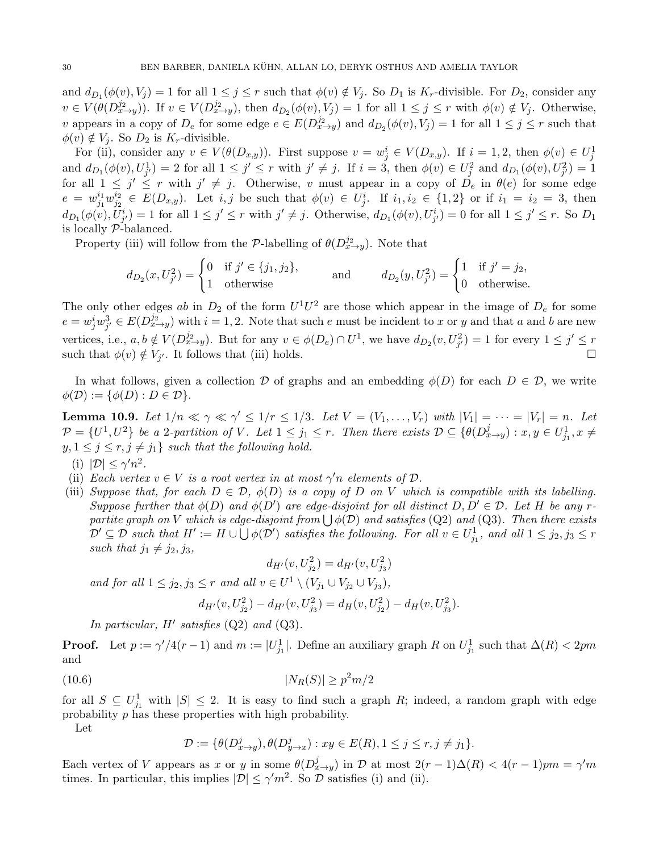and  $d_{D_1}(\phi(v), V_j) = 1$  for all  $1 \le j \le r$  such that  $\phi(v) \notin V_j$ . So  $D_1$  is  $K_r$ -divisible. For  $D_2$ , consider any  $v \in V(\theta(D_{x\to y}^{j_2}))$ . If  $v \in V(D_{x\to y}^{j_2})$ , then  $d_{D_2}(\phi(v), V_j) = 1$  for all  $1 \leq j \leq r$  with  $\phi(v) \notin V_j$ . Otherwise, v appears in a copy of  $D_e$  for some edge  $e \in E(D_{x \to y}^{j_2})$  and  $d_{D_2}(\phi(v), V_j) = 1$  for all  $1 \le j \le r$  such that  $\phi(v) \notin V_j$ . So  $D_2$  is  $K_r$ -divisible.

For (ii), consider any  $v \in V(\theta(D_{x,y}))$ . First suppose  $v = w_j^i \in V(D_{x,y})$ . If  $i = 1, 2$ , then  $\phi(v) \in U_j^1$ and  $d_{D_1}(\phi(v), U_{j'}^1) = 2$  for all  $1 \leq j' \leq r$  with  $j' \neq j$ . If  $i = 3$ , then  $\phi(v) \in U_j^2$  and  $d_{D_1}(\phi(v), U_{j'}^2) = 1$ for all  $1 \leq j' \leq r$  with  $j' \neq j$ . Otherwise, v must appear in a copy of  $D_e$  in  $\theta(e)$  for some edge  $e = w_{i_1}^{i_1}$  $_{j_{1}}^{i_{1}}w_{j_{2}}^{i_{2}}$  $j_2^{i_2} \in E(D_{x,y})$ . Let  $i, j$  be such that  $\phi(v) \in U_j^i$ . If  $i_1, i_2 \in \{1,2\}$  or if  $i_1 = i_2 = 3$ , then  $d_{D_1}(\phi(v), U^i_{j'}) = 1$  for all  $1 \leq j' \leq r$  with  $j' \neq j$ . Otherwise,  $d_{D_1}(\phi(v), U^i_{j'}) = 0$  for all  $1 \leq j' \leq r$ . So  $D_1$ is locally P-balanced.

Property (iii) will follow from the P-labelling of  $\theta(D_{x\to y}^{j_2})$ . Note that

$$
d_{D_2}(x, U_{j'}^2) = \begin{cases} 0 & \text{if } j' \in \{j_1, j_2\}, \\ 1 & \text{otherwise} \end{cases} \quad \text{and} \quad d_{D_2}(y, U_{j'}^2) = \begin{cases} 1 & \text{if } j' = j_2, \\ 0 & \text{otherwise.} \end{cases}
$$

The only other edges ab in  $D_2$  of the form  $U^1U^2$  are those which appear in the image of  $D_e$  for some  $e = w_j^i w_{j'}^3 \in E(D_{x \to y}^{j_2})$  with  $i = 1, 2$ . Note that such e must be incident to x or y and that a and b are new vertices, i.e.,  $a, b \notin V(D_{x\to y}^{j_2})$ . But for any  $v \in \phi(D_e) \cap U^1$ , we have  $d_{D_2}(v, U_{j'}^2) = 1$  for every  $1 \leq j' \leq r$ such that  $\phi(v) \notin V_{j'}$ . It follows that (iii) holds.

In what follows, given a collection D of graphs and an embedding  $\phi(D)$  for each  $D \in \mathcal{D}$ , we write  $\phi(\mathcal{D}) := \{ \phi(D) : D \in \mathcal{D} \}.$ 

**Lemma 10.9.** Let  $1/n \ll \gamma \ll \gamma' \leq 1/r \leq 1/3$ . Let  $V = (V_1, \ldots, V_r)$  with  $|V_1| = \cdots = |V_r| = n$ . Let  $\mathcal{P} = \{U^1, U^2\}$  be a 2-partition of V. Let  $1 \leq j_1 \leq r$ . Then there exists  $\mathcal{D} \subseteq \{\theta(D_{x \to y}^j) : x, y \in U_{j_1}^1, x \neq j_2 \}$  $y, 1 \leq j \leq r, j \neq j_1$  such that the following hold.

- (i)  $|\mathcal{D}| \leq \gamma' n^2$ .
- (ii) Each vertex  $v \in V$  is a root vertex in at most  $\gamma^n n$  elements of  $\mathcal{D}$ .
- (iii) Suppose that, for each  $D \in \mathcal{D}$ ,  $\phi(D)$  is a copy of D on V which is compatible with its labelling. Suppose further that  $\phi(D)$  and  $\phi(D')$  are edge-disjoint for all distinct  $D, D' \in \mathcal{D}$ . Let H be any rpartite graph on V which is edge-disjoint from  $\bigcup \phi(\mathcal{D})$  and satisfies (Q2) and (Q3). Then there exists  $\mathcal{D}' \subseteq \mathcal{D}$  such that  $H' := H \cup \bigcup \phi(\mathcal{D}')$  satisfies the following. For all  $v \in U^1_{j_1}$ , and all  $1 \leq j_2, j_3 \leq r$ such that  $j_1 \neq j_2, j_3$ ,

$$
d_{H'}(v, U_{j_2}^2) = d_{H'}(v, U_{j_3}^2)
$$

and for all  $1 \leq j_2, j_3 \leq r$  and all  $v \in U^1 \setminus (V_{j_1} \cup V_{j_2} \cup V_{j_3}),$ 

$$
d_{H'}(v, U_{j_2}^2) - d_{H'}(v, U_{j_3}^2) = d_H(v, U_{j_2}^2) - d_H(v, U_{j_3}^2).
$$

In particular,  $H'$  satisfies  $(Q2)$  and  $(Q3)$ .

**Proof.** Let  $p := \frac{\gamma}{4}(r-1)$  and  $m := |U_{j_1}^1|$ . Define an auxiliary graph R on  $U_{j_1}^1$  such that  $\Delta(R) < 2pm$ and

(10.6) 
$$
|N_R(S)| \ge p^2 m/2
$$

for all  $S \subseteq U_{j_1}^1$  with  $|S| \leq 2$ . It is easy to find such a graph R; indeed, a random graph with edge probability p has these properties with high probability.

Let

$$
\mathcal{D}:=\{\theta(D_{x\rightarrow y}^j),\theta(D_{y\rightarrow x}^j): xy\in E(R), 1\leq j\leq r, j\neq j_1\}.
$$

Each vertex of V appears as x or y in some  $\theta(D_{x-y}^j)$  in D at most  $2(r-1)\Delta(R) < 4(r-1)pm = \gamma'm$ times. In particular, this implies  $|\mathcal{D}| \leq \gamma' m^2$ . So  $\mathcal{D}$  satisfies (i) and (ii).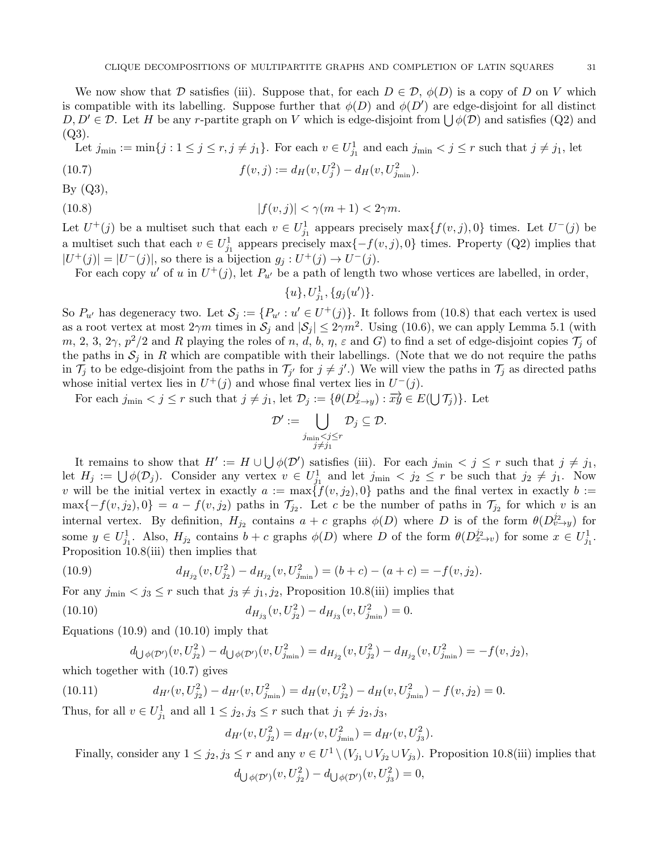We now show that D satisfies (iii). Suppose that, for each  $D \in \mathcal{D}$ ,  $\phi(D)$  is a copy of D on V which is compatible with its labelling. Suppose further that  $\phi(D)$  and  $\phi(D')$  are edge-disjoint for all distinct  $D, D' \in \mathcal{D}$ . Let H be any r-partite graph on V which is edge-disjoint from  $\bigcup \phi(\mathcal{D})$  and satisfies (Q2) and  $(Q3)$ .

Let  $j_{\min} := \min\{j : 1 \leq j \leq r, j \neq j_1\}$ . For each  $v \in U_{j_1}^1$  and each  $j_{\min} < j \leq r$  such that  $j \neq j_1$ , let (10.7)  $f(v, j) := d_H(v, U_j^2) - d_H(v, U_{j_{\min}}^2).$ 

By  $(Q3)$ ,

$$
(10.8) \t\t |f(v,j)| < \gamma(m+1) < 2\gamma m.
$$

Let  $U^+(j)$  be a multiset such that each  $v \in U^1_{j_1}$  appears precisely  $\max\{f(v,j),0\}$  times. Let  $U^-(j)$  be a multiset such that each  $v \in U_{j_1}^1$  appears precisely  $\max\{-f(v, j), 0\}$  times. Property (Q2) implies that  $|U^+(j)| = |U^-(j)|$ , so there is a bijection  $g_j : U^+(j) \to U^-(j)$ .

For each copy u' of u in  $U^+(j)$ , let  $P_{u'}$  be a path of length two whose vertices are labelled, in order,

 ${u}, U_{j_1}^1, {g_j(u')}$ .

So  $P_{u'}$  has degeneracy two. Let  $S_j := \{P_{u'} : u' \in U^+(j)\}$ . It follows from (10.8) that each vertex is used as a root vertex at most  $2\gamma m$  times in  $S_j$  and  $|S_j| \leq 2\gamma m^2$ . Using (10.6), we can apply Lemma 5.1 (with m, 2, 3, 2 $\gamma$ ,  $p^2/2$  and R playing the roles of n, d, b,  $\eta$ ,  $\varepsilon$  and G) to find a set of edge-disjoint copies  $\mathcal{T}_j$  of the paths in  $S_i$  in R which are compatible with their labellings. (Note that we do not require the paths in  $\mathcal{T}_j$  to be edge-disjoint from the paths in  $\mathcal{T}_{j'}$  for  $j \neq j'$ .) We will view the paths in  $\mathcal{T}_j$  as directed paths whose initial vertex lies in  $U^+(j)$  and whose final vertex lies in  $U^-(j)$ .

For each  $j_{\min} < j \leq r$  such that  $j \neq j_1$ , let  $\mathcal{D}_j := \{ \theta(D_{x \to y}^j) : \overrightarrow{xy} \in E(\bigcup \mathcal{T}_j) \}$ . Let

$$
\mathcal{D}':=\bigcup_{\substack{j_{\min} < j \leq r \\ j \neq j_1}} \mathcal{D}_j \subseteq \mathcal{D}.
$$

It remains to show that  $H' := H \cup \bigcup \phi(\mathcal{D}')$  satisfies (iii). For each  $j_{\min} < j \leq r$  such that  $j \neq j_1$ , let  $H_j := \bigcup \phi(\mathcal{D}_j)$ . Consider any vertex  $v \in U_{j_1}^1$  and let  $j_{\min} < j_2 \leq r$  be such that  $j_2 \neq j_1$ . Now v will be the initial vertex in exactly  $a := max{f(v, j_2), 0}$  paths and the final vertex in exactly  $b :=$  $\max\{-f(v, j_2), 0\} = a - f(v, j_2)$  paths in  $\mathcal{T}_{j_2}$ . Let c be the number of paths in  $\mathcal{T}_{j_2}$  for which v is an internal vertex. By definition,  $H_{j_2}$  contains  $a + c$  graphs  $\phi(D)$  where D is of the form  $\theta(D_{v \to y}^{j_2})$  for some  $y \in U_{j_1}^1$ . Also,  $H_{j_2}$  contains  $b + c$  graphs  $\phi(D)$  where D of the form  $\theta(D_{x \to v}^{j_2})$  for some  $x \in U_{j_1}^1$ . Proposition 10.8(iii) then implies that

(10.9) 
$$
d_{H_{j_2}}(v, U_{j_2}^2) - d_{H_{j_2}}(v, U_{j_{\min}}^2) = (b+c) - (a+c) = -f(v, j_2).
$$

For any  $j_{\text{min}} < j_3 \leq r$  such that  $j_3 \neq j_1, j_2$ , Proposition 10.8(iii) implies that

(10.10) 
$$
d_{H_{j_3}}(v, U_{j_2}^2) - d_{H_{j_3}}(v, U_{j_{\min}}^2) = 0.
$$

Equations (10.9) and (10.10) imply that

$$
d_{\bigcup \phi(\mathcal{D}')}(v, U_{j_2}^2) - d_{\bigcup \phi(\mathcal{D}')}(v, U_{j_{\min}}^2) = d_{H_{j_2}}(v, U_{j_2}^2) - d_{H_{j_2}}(v, U_{j_{\min}}^2) = -f(v, j_2),
$$

which together with (10.7) gives

(10.11) 
$$
d_{H'}(v, U_{j_2}^2) - d_{H'}(v, U_{j_{\min}}^2) = d_H(v, U_{j_2}^2) - d_H(v, U_{j_{\min}}^2) - f(v, j_2) = 0.
$$

Thus, for all  $v \in U_{j_1}^1$  and all  $1 \leq j_2, j_3 \leq r$  such that  $j_1 \neq j_2, j_3$ ,

$$
d_{H'}(v, U_{j_2}^2) = d_{H'}(v, U_{j_{\min}}^2) = d_{H'}(v, U_{j_3}^2).
$$

Finally, consider any  $1 \leq j_2, j_3 \leq r$  and any  $v \in U^1 \setminus (V_{j_1} \cup V_{j_2} \cup V_{j_3})$ . Proposition 10.8(iii) implies that

$$
d_{\bigcup \phi(\mathcal{D}')}(v, U_{j_2}^2) - d_{\bigcup \phi(\mathcal{D}')}(v, U_{j_3}^2) = 0,
$$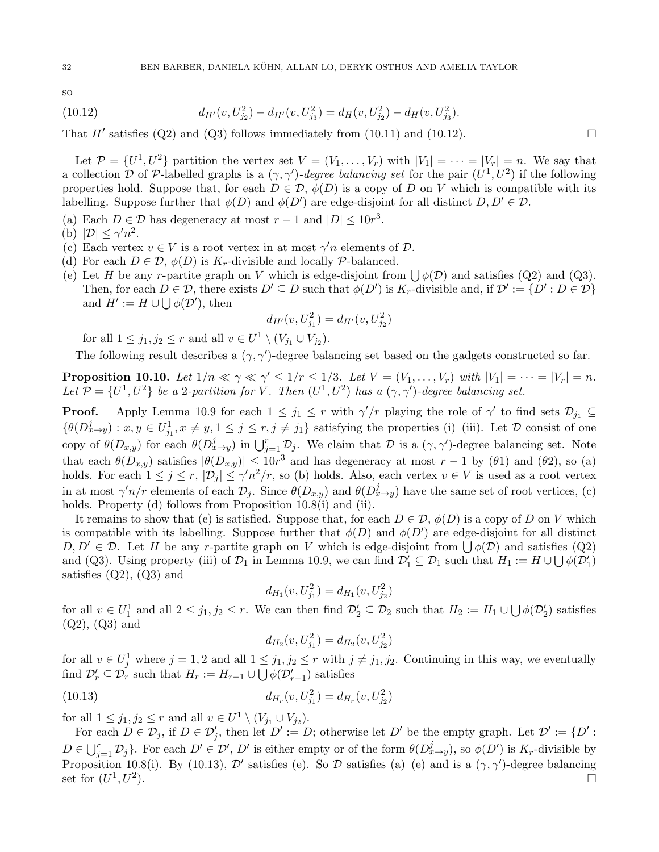so

(10.12) 
$$
d_{H'}(v, U_{j_2}^2) - d_{H'}(v, U_{j_3}^2) = d_H(v, U_{j_2}^2) - d_H(v, U_{j_3}^2).
$$

That  $H'$  satisfies (Q2) and (Q3) follows immediately from (10.11) and (10.12).

Let  $\mathcal{P} = \{U^1, U^2\}$  partition the vertex set  $V = (V_1, \ldots, V_r)$  with  $|V_1| = \cdots = |V_r| = n$ . We say that a collection D of P-labelled graphs is a  $(\gamma, \gamma')$ -degree balancing set for the pair  $(U^1, U^2)$  if the following properties hold. Suppose that, for each  $D \in \mathcal{D}$ ,  $\phi(D)$  is a copy of D on V which is compatible with its labelling. Suppose further that  $\phi(D)$  and  $\phi(D')$  are edge-disjoint for all distinct  $D, D' \in \mathcal{D}$ .

- (a) Each  $D \in \mathcal{D}$  has degeneracy at most  $r 1$  and  $|D| \leq 10r^3$ .
- (b)  $|\mathcal{D}| \leq \gamma' n^2$ .
- (c) Each vertex  $v \in V$  is a root vertex in at most  $\gamma' n$  elements of  $\mathcal{D}$ .
- (d) For each  $D \in \mathcal{D}$ ,  $\phi(D)$  is  $K_r$ -divisible and locally  $\mathcal{P}$ -balanced.
- (e) Let H be any r-partite graph on V which is edge-disjoint from  $\bigcup \phi(\mathcal{D})$  and satisfies (Q2) and (Q3). Then, for each  $D \in \mathcal{D}$ , there exists  $D' \subseteq D$  such that  $\phi(D')$  is  $K_r$ -divisible and, if  $\mathcal{D}' := \{D' : D \in \mathcal{D}\}\$ and  $H' := H \cup \bigcup \phi(\mathcal{D}')$ , then

$$
d_{H'}(v, U_{j_1}^2) = d_{H'}(v, U_{j_2}^2)
$$

for all  $1 \leq j_1, j_2 \leq r$  and all  $v \in U^1 \setminus (V_{j_1} \cup V_{j_2})$ .

The following result describes a  $(\gamma, \gamma')$ -degree balancing set based on the gadgets constructed so far.

**Proposition 10.10.** Let  $1/n \ll \gamma \ll \gamma' \leq 1/r \leq 1/3$ . Let  $V = (V_1, \ldots, V_r)$  with  $|V_1| = \cdots = |V_r| = n$ . Let  $\mathcal{P} = \{U^1, U^2\}$  be a 2-partition for V. Then  $(U^1, U^2)$  has a  $(\gamma, \gamma')$ -degree balancing set.

**Proof.** Apply Lemma 10.9 for each  $1 \leq j_1 \leq r$  with  $\gamma'/r$  playing the role of  $\gamma'$  to find sets  $\mathcal{D}_{j_1} \subseteq$  $\{\theta(D_{x\to y}^j): x, y \in U_{j_1}^1, x \neq y, 1 \leq j \leq r, j \neq j_1\}$  satisfying the properties (i)–(iii). Let  $\mathcal D$  consist of one copy of  $\theta(D_{x,y})$  for each  $\theta(D_{x\to y}^j)$  in  $\bigcup_{j=1}^r \mathcal{D}_j$ . We claim that  $\mathcal D$  is a  $(\gamma, \gamma')$ -degree balancing set. Note that each  $\theta(D_{x,y})$  satisfies  $|\theta(D_{x,y})| \leq 10r^3$  and has degeneracy at most  $r-1$  by  $(\theta_1)$  and  $(\theta_2)$ , so (a) holds. For each  $1 \leq j \leq r$ ,  $|\mathcal{D}_j| \leq \gamma'n^2/r$ , so (b) holds. Also, each vertex  $v \in V$  is used as a root vertex in at most  $\gamma' n/r$  elements of each  $\mathcal{D}_j$ . Since  $\theta(D_{x,y})$  and  $\theta(D_{x\to y})$  have the same set of root vertices, (c) holds. Property (d) follows from Proposition 10.8(i) and (ii).

It remains to show that (e) is satisfied. Suppose that, for each  $D \in \mathcal{D}$ ,  $\phi(D)$  is a copy of D on V which is compatible with its labelling. Suppose further that  $\phi(D)$  and  $\phi(D')$  are edge-disjoint for all distinct  $D, D' \in \mathcal{D}$ . Let H be any r-partite graph on V which is edge-disjoint from  $\bigcup \phi(\mathcal{D})$  and satisfies (Q2) and (Q3). Using property (iii) of  $\mathcal{D}_1$  in Lemma 10.9, we can find  $\mathcal{D}_1' \subseteq \mathcal{D}_1$  such that  $H_1 := H \cup \bigcup \phi(\mathcal{D}_1')$ satisfies  $(Q2)$ ,  $(Q3)$  and

$$
d_{H_1}(v, U_{j_1}^2) = d_{H_1}(v, U_{j_2}^2)
$$

for all  $v \in U_1^1$  and all  $2 \leq j_1, j_2 \leq r$ . We can then find  $\mathcal{D}_2' \subseteq \mathcal{D}_2$  such that  $H_2 := H_1 \cup \bigcup \phi(\mathcal{D}_2')$  satisfies (Q2), (Q3) and

$$
d_{H_2}(v, U_{j_1}^2) = d_{H_2}(v, U_{j_2}^2)
$$

for all  $v \in U_j^1$  where  $j = 1, 2$  and all  $1 \le j_1, j_2 \le r$  with  $j \ne j_1, j_2$ . Continuing in this way, we eventually find  $\mathcal{D}'_r \subseteq \mathcal{D}_r$  such that  $H_r := H_{r-1} \cup \bigcup \phi(\mathcal{D}'_{r-1})$  satisfies

(10.13) 
$$
d_{H_r}(v, U_{j_1}^2) = d_{H_r}(v, U_{j_2}^2)
$$

for all  $1 \leq j_1, j_2 \leq r$  and all  $v \in U^1 \setminus (V_{j_1} \cup V_{j_2})$ .

For each  $D \in \mathcal{D}_j$ , if  $D \in \mathcal{D}'_j$ , then let  $D' := D$ ; otherwise let  $D'$  be the empty graph. Let  $\mathcal{D}' := \{D' : D' \mid D' \in D\}$  $D \in \bigcup_{j=1}^r D_j$ . For each  $D' \in \mathcal{D}'$ ,  $D'$  is either empty or of the form  $\theta(D_{x \to y}^j)$ , so  $\phi(D')$  is  $K_r$ -divisible by Proposition 10.8(i). By (10.13),  $\mathcal{D}'$  satisfies (e). So  $\mathcal{D}$  satisfies (a)–(e) and is a  $(\gamma, \gamma')$ -degree balancing set for  $(U^1, U^2)$ ).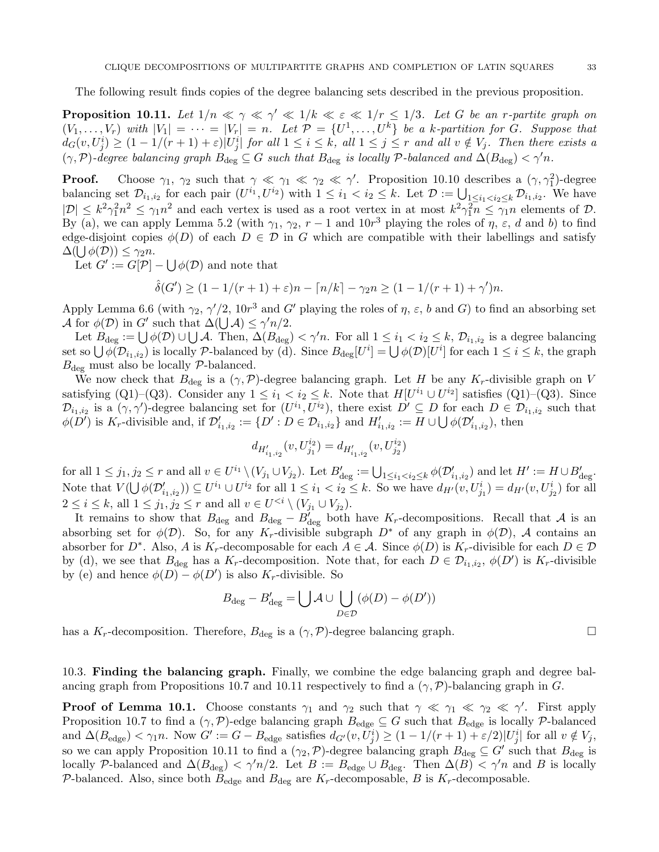The following result finds copies of the degree balancing sets described in the previous proposition.

**Proposition 10.11.** Let  $1/n \ll \gamma \ll \gamma' \ll 1/k \ll \varepsilon \ll 1/r \leq 1/3$ . Let G be an r-partite graph on  $(V_1,\ldots,V_r)$  with  $|V_1|=\cdots=|V_r|=n$ . Let  $\mathcal{P}=\{U^1,\ldots,U^k\}$  be a k-partition for G. Suppose that  $d_G(v, U_j^i) \geq (1 - 1/(r + 1) + \varepsilon)|U_j^i|$  for all  $1 \leq i \leq k$ , all  $1 \leq j \leq r$  and all  $v \notin V_j$ . Then there exists a  $(\gamma, \mathcal{P})$ -degree balancing graph  $B_{\text{deg}} \subseteq G$  such that  $B_{\text{deg}}$  is locally  $\mathcal{P}$ -balanced and  $\Delta(B_{\text{deg}}) < \gamma'n$ .

**Proof.** Choose  $\gamma_1$ ,  $\gamma_2$  such that  $\gamma \ll \gamma_1 \ll \gamma_2 \ll \gamma'$ . Proposition 10.10 describes a  $(\gamma, \gamma_1^2)$ -degree balancing set  $\mathcal{D}_{i_1,i_2}$  for each pair  $(U^{i_1}, U^{i_2})$  with  $1 \leq i_1 < i_2 \leq k$ . Let  $\mathcal{D} := \bigcup_{1 \leq i_1 < i_2 \leq k} \mathcal{D}_{i_1,i_2}$ . We have  $|\mathcal{D}| \leq k^2 \gamma_1^2 n^2 \leq \gamma_1 n^2$  and each vertex is used as a root vertex in at most  $k^2 \gamma_1^2 n \leq \gamma_1 n$  elements of  $\mathcal{D}$ . By (a), we can apply Lemma 5.2 (with  $\gamma_1, \gamma_2, r - 1$  and  $10r^3$  playing the roles of  $\eta$ ,  $\varepsilon$ , d and b) to find edge-disjoint copies  $\phi(D)$  of each  $D \in \mathcal{D}$  in G which are compatible with their labellings and satisfy  $\Delta(\bigcup \phi(\mathcal{D})) \leq \gamma_2 n.$ 

Let  $G' := G[\mathcal{P}] - \bigcup \phi(\mathcal{D})$  and note that

$$
\hat{\delta}(G') \ge (1 - 1/(r + 1) + \varepsilon)n - \lceil n/k \rceil - \gamma_2 n \ge (1 - 1/(r + 1) + \gamma')n.
$$

Apply Lemma 6.6 (with  $\gamma_2$ ,  $\gamma'/2$ ,  $10r^3$  and G' playing the roles of  $\eta$ ,  $\varepsilon$ , b and G) to find an absorbing set A for  $\phi(\mathcal{D})$  in G' such that  $\Delta(\bigcup \mathcal{A}) \leq \gamma' n/2$ .

Let  $B_{\text{deg}} := \bigcup \phi(D) \cup \bigcup \mathcal{A}$ . Then,  $\Delta(B_{\text{deg}}) < \gamma' n$ . For all  $1 \leq i_1 < i_2 \leq k$ ,  $\mathcal{D}_{i_1, i_2}$  is a degree balancing set so  $\bigcup \phi(\mathcal{D}_{i_1,i_2})$  is locally  $\mathcal{P}$ -balanced by (d). Since  $B_{\text{deg}}[U^i] = \bigcup \phi(\mathcal{D})[U^i]$  for each  $1 \leq i \leq k$ , the graph  $B_{\text{deg}}$  must also be locally  $P$ -balanced.

We now check that  $B_{\text{deg}}$  is a  $(\gamma, \mathcal{P})$ -degree balancing graph. Let H be any  $K_r$ -divisible graph on V satisfying (Q1)–(Q3). Consider any  $1 \leq i_1 < i_2 \leq k$ . Note that  $H[U^{i_1} \cup U^{i_2}]$  satisfies (Q1)–(Q3). Since  $\mathcal{D}_{i_1,i_2}$  is a  $(\gamma, \gamma')$ -degree balancing set for  $(U^{i_1}, U^{i_2})$ , there exist  $D' \subseteq D$  for each  $D \in \mathcal{D}_{i_1,i_2}$  such that  $\phi(D^{\prime})$  is  $K_r$ -divisible and, if  $\mathcal{D}'_{i_1,i_2} := \{D' : D \in \mathcal{D}_{i_1,i_2}\}$  and  $H'_{i_1,i_2} := H \cup \bigcup \phi(\mathcal{D}'_{i_1,i_2})$ , then

$$
d_{H'_{i_1,i_2}}(v,U^{i_2}_{j_1}) = d_{H'_{i_1,i_2}}(v,U^{i_2}_{j_2})
$$

for all  $1 \leq j_1, j_2 \leq r$  and all  $v \in U^{i_1} \setminus (V_{j_1} \cup V_{j_2})$ . Let  $B'_{\text{deg}} := \bigcup_{1 \leq i_1 < i_2 \leq k} \phi(\mathcal{D}'_{i_1, i_2})$  and let  $H' := H \cup B'_{\text{deg}}$ . Note that  $V(\bigcup \phi(\mathcal{D}'_{i_1,i_2})) \subseteq U^{i_1} \cup U^{i_2}$  for all  $1 \leq i_1 < i_2 \leq k$ . So we have  $d_{H'}(v, U^i_{j_1}) = d_{H'}(v, U^i_{j_2})$  for all  $2 \leq i \leq k$ , all  $1 \leq j_1, j_2 \leq r$  and all  $v \in U^{\leq i} \setminus (V_{j_1} \cup V_{j_2})$ .

It remains to show that  $B_{\text{deg}}$  and  $B_{\text{deg}} - B'_{\text{deg}}$  both have K<sub>r</sub>-decompositions. Recall that A is an absorbing set for  $\phi(\mathcal{D})$ . So, for any K<sub>r</sub>-divisible subgraph  $D^*$  of any graph in  $\phi(\mathcal{D})$ , A contains an absorber for  $D^*$ . Also, A is  $K_r$ -decomposable for each  $A \in \mathcal{A}$ . Since  $\phi(D)$  is  $K_r$ -divisible for each  $D \in \mathcal{D}$ by (d), we see that  $B_{\text{deg}}$  has a  $K_r$ -decomposition. Note that, for each  $D \in \mathcal{D}_{i_1,i_2}$ ,  $\phi(D')$  is  $K_r$ -divisible by (e) and hence  $\phi(D) - \phi(D')$  is also K<sub>r</sub>-divisible. So

$$
B_{\text{deg}} - B'_{\text{deg}} = \bigcup \mathcal{A} \cup \bigcup_{D \in \mathcal{D}} (\phi(D) - \phi(D'))
$$

has a  $K_r$ -decomposition. Therefore,  $B_{\text{deg}}$  is a  $(\gamma, \mathcal{P})$ -degree balancing graph.

10.3. Finding the balancing graph. Finally, we combine the edge balancing graph and degree balancing graph from Propositions 10.7 and 10.11 respectively to find a  $(\gamma, \mathcal{P})$ -balancing graph in G.

**Proof of Lemma 10.1.** Choose constants  $\gamma_1$  and  $\gamma_2$  such that  $\gamma \ll \gamma_1 \ll \gamma_2 \ll \gamma'$ . First apply Proposition 10.7 to find a  $(\gamma, \mathcal{P})$ -edge balancing graph  $B_{\text{edge}} \subseteq G$  such that  $B_{\text{edge}}$  is locally  $\mathcal{P}$ -balanced and  $\Delta(B_{\text{edge}}) < \gamma_1 n$ . Now  $G' := G - B_{\text{edge}}$  satisfies  $d_{G'}(v, \bar{U}_j^i) \geq (1 - 1/(r + 1) + \varepsilon/2)|U_j^i|$  for all  $v \notin V_j$ , so we can apply Proposition 10.11 to find a  $(\gamma_2, \mathcal{P})$ -degree balancing graph  $B_{\text{deg}} \subseteq G'$  such that  $B_{\text{deg}}$  is locally P-balanced and  $\Delta(B_{\text{deg}}) < \gamma' n/2$ . Let  $B := B_{\text{edge}} \cup B_{\text{deg}}$ . Then  $\Delta(B) < \gamma' n$  and B is locally P-balanced. Also, since both  $B_{\text{edge}}$  and  $B_{\text{deg}}$  are  $K_r$ -decomposable, B is  $K_r$ -decomposable.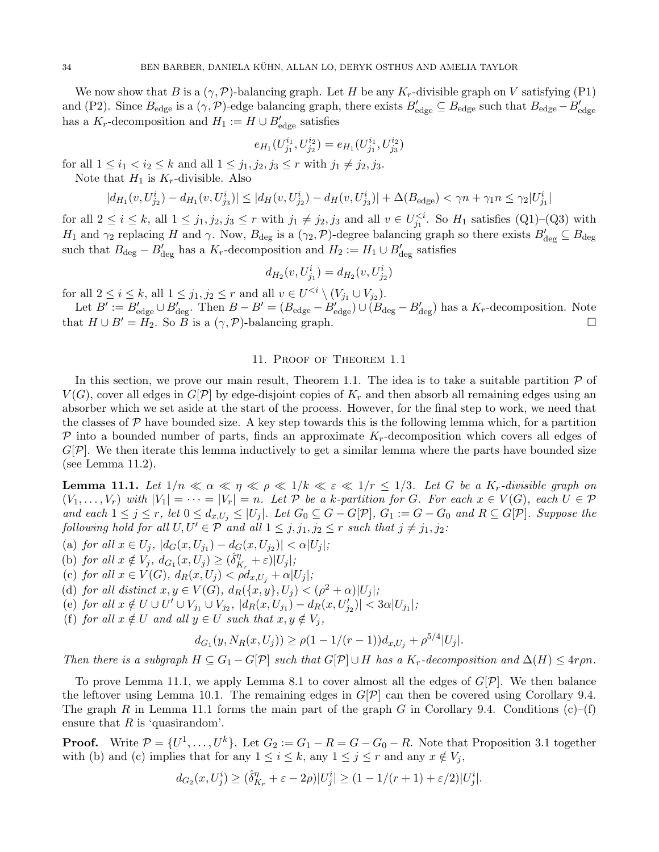We now show that B is a  $(\gamma, \mathcal{P})$ -balancing graph. Let H be any  $K_r$ -divisible graph on V satisfying (P1) and (P2). Since  $B_{\text{edge}}$  is a  $(\gamma, \mathcal{P})$ -edge balancing graph, there exists  $B'_{\text{edge}} \subseteq B_{\text{edge}}$  such that  $B_{\text{edge}} - B'_{\text{edge}}$ has a  $K_r$ -decomposition and  $H_1 := H \cup B'_{\text{edge}}$  satisfies

$$
e_{H_1}(U_{j_1}^{i_1},U_{j_2}^{i_2})=e_{H_1}(U_{j_1}^{i_1},U_{j_3}^{i_2})
$$

for all  $1 \le i_1 < i_2 \le k$  and all  $1 \le j_1, j_2, j_3 \le r$  with  $j_1 \ne j_2, j_3$ .

Note that  $H_1$  is  $K_r$ -divisible. Also

$$
|d_{H_1}(v,U_{j_2}^i) - d_{H_1}(v,U_{j_3}^i)| \leq |d_H(v,U_{j_2}^i) - d_H(v,U_{j_3}^i)| + \Delta(B_{\text{edge}}) < \gamma n + \gamma_1 n \leq \gamma_2 |U_{j_1}^i|
$$

for all  $2 \leq i \leq k$ , all  $1 \leq j_1, j_2, j_3 \leq r$  with  $j_1 \neq j_2, j_3$  and all  $v \in U_{j_1}^{\leq i}$ . So  $H_1$  satisfies  $(Q_1)$ - $(Q_3)$  with  $H_1$  and  $\gamma_2$  replacing H and  $\gamma$ . Now,  $B_{\text{deg}}$  is a  $(\gamma_2, \mathcal{P})$ -degree balancing graph so there exists  $B'_{\text{deg}} \subseteq B_{\text{deg}}$ such that  $B_{\text{deg}} - B'_{\text{deg}}$  has a  $K_r$ -decomposition and  $H_2 := H_1 \cup B'_{\text{deg}}$  satisfies

$$
d_{H_2}(v,U^i_{j_1})=d_{H_2}(v,U^i_{j_2})\\
$$

for all  $2 \leq i \leq k$ , all  $1 \leq j_1, j_2 \leq r$  and all  $v \in U^{\leq i} \setminus (V_{j_1} \cup V_{j_2})$ .

Let  $B' := B'_{\text{edge}} \cup B'_{\text{deg}}$ . Then  $B - B' = (B_{\text{edge}} - B'_{\text{edge}}) \cup (B_{\text{deg}} - B'_{\text{deg}})$  has a  $K_r$ -decomposition. Note that  $H \cup B' = \tilde{H}_2$ . So  $\tilde{B}$  is a  $(\gamma, \mathcal{P})$ -balancing graph.

## 11. Proof of Theorem 1.1

In this section, we prove our main result, Theorem 1.1. The idea is to take a suitable partition  $P$  of  $V(G)$ , cover all edges in  $G[\mathcal{P}]$  by edge-disjoint copies of  $K_r$  and then absorb all remaining edges using an absorber which we set aside at the start of the process. However, for the final step to work, we need that the classes of  $\mathcal P$  have bounded size. A key step towards this is the following lemma which, for a partition  $\mathcal P$  into a bounded number of parts, finds an approximate  $K_r$ -decomposition which covers all edges of  $G[\mathcal{P}]$ . We then iterate this lemma inductively to get a similar lemma where the parts have bounded size (see Lemma 11.2).

**Lemma 11.1.** Let  $1/n \ll \alpha \ll \eta \ll \rho \ll 1/k \ll \varepsilon \ll 1/r \leq 1/3$ . Let G be a K<sub>r</sub>-divisible graph on  $(V_1,\ldots,V_r)$  with  $|V_1|=\cdots=|V_r|=n$ . Let  $P$  be a k-partition for G. For each  $x\in V(G)$ , each  $U\in \mathcal{P}$ and each  $1 \le j \le r$ , let  $0 \le d_{x,U_j} \le |U_j|$ . Let  $G_0 \subseteq G - G[\mathcal{P}]$ ,  $G_1 := G - G_0$  and  $R \subseteq G[\mathcal{P}]$ . Suppose the following hold for all  $U, U' \in \mathcal{P}$  and all  $1 \leq j, j_1, j_2 \leq r$  such that  $j \neq j_1, j_2$ :

- (a) for all  $x \in U_j$ ,  $|d_G(x, U_{j_1}) d_G(x, U_{j_2})| < \alpha |U_j|$ ;
- (b) for all  $x \notin V_j$ ,  $d_{G_1}(x, U_j) \geq (\hat{\delta}_k^n)$  $\frac{\eta}{K_r}+\varepsilon)|U_j|;$
- (c) for all  $x \in V(G)$ ,  $d_R(x, U_j) < \rho d_{x, U_j} + \alpha |U_j|$ ;
- (d) for all distinct  $x, y \in V(G)$ ,  $d_R(\{x, y\}, U_j) < (\rho^2 + \alpha)|U_j|$ ;
- (e) for all  $x \notin U \cup U' \cup V_{j_1} \cup V_{j_2}$ ,  $|d_R(x, U_{j_1}) d_R(x, U'_{j_2})| < 3\alpha |U_{j_1}|$ ;
- (f) for all  $x \notin U$  and all  $y \in U$  such that  $x, y \notin V_j$ ,

$$
d_{G_1}(y, N_R(x, U_j)) \ge \rho(1 - 1/(r - 1))d_{x, U_j} + \rho^{5/4}|U_j|.
$$

Then there is a subgraph  $H \subseteq G_1 - G[\mathcal{P}]$  such that  $G[\mathcal{P}] \cup H$  has a  $K_r$ -decomposition and  $\Delta(H) \leq 4r\rho n$ .

To prove Lemma 11.1, we apply Lemma 8.1 to cover almost all the edges of  $G[\mathcal{P}]$ . We then balance the leftover using Lemma 10.1. The remaining edges in  $G[\mathcal{P}]$  can then be covered using Corollary 9.4. The graph R in Lemma 11.1 forms the main part of the graph G in Corollary 9.4. Conditions  $(c)$ – $(f)$ ensure that  $R$  is 'quasirandom'.

**Proof.** Write  $P = \{U^1, \ldots, U^k\}$ . Let  $G_2 := G_1 - R = G - G_0 - R$ . Note that Proposition 3.1 together with (b) and (c) implies that for any  $1 \leq i \leq k$ , any  $1 \leq j \leq r$  and any  $x \notin V_j$ ,

$$
d_{G_2}(x, U_j^i) \ge (\hat{\delta}_{K_r}^{\eta} + \varepsilon - 2\rho)|U_j^i| \ge (1 - 1/(r+1) + \varepsilon/2)|U_j^i|.
$$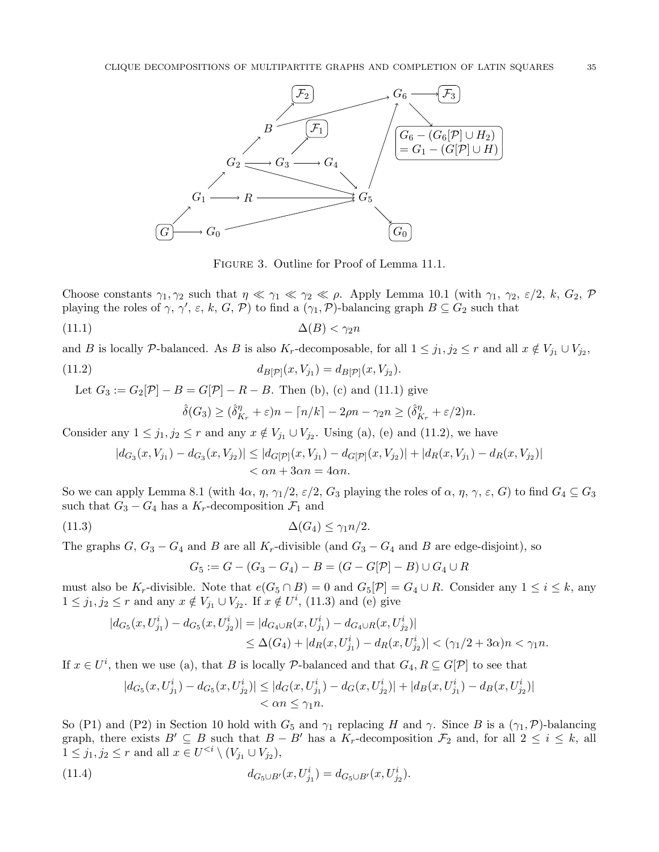

Figure 3. Outline for Proof of Lemma 11.1.

Choose constants  $\gamma_1, \gamma_2$  such that  $\eta \ll \gamma_1 \ll \gamma_2 \ll \rho$ . Apply Lemma 10.1 (with  $\gamma_1, \gamma_2, \varepsilon/2, k, G_2, \mathcal{P}$ playing the roles of  $\gamma$ ,  $\gamma'$ ,  $\varepsilon$ ,  $k$ ,  $G$ ,  $\mathcal{P}$ ) to find a  $(\gamma_1, \mathcal{P})$ -balancing graph  $B \subseteq G_2$  such that

$$
\Delta(B) < \gamma_2 n
$$

and B is locally P-balanced. As B is also K<sub>r</sub>-decomposable, for all  $1 \leq j_1, j_2 \leq r$  and all  $x \notin V_{j_1} \cup V_{j_2}$ , (11.2)  $d_{B[\mathcal{P}]}(x, V_{j_1}) = d_{B[\mathcal{P}]}(x, V_{j_2}).$ 

Let  $G_3 := G_2[\mathcal{P}] - B = G[\mathcal{P}] - R - B$ . Then (b), (c) and (11.1) give

$$
\hat{\delta}(G_3) \ge (\hat{\delta}_{K_r}^{\eta} + \varepsilon)n - \lceil n/k \rceil - 2\rho n - \gamma_2 n \ge (\hat{\delta}_{K_r}^{\eta} + \varepsilon/2)n.
$$

Consider any  $1 \leq j_1, j_2 \leq r$  and any  $x \notin V_{j_1} \cup V_{j_2}$ . Using (a), (e) and (11.2), we have

$$
|d_{G_3}(x, V_{j_1}) - d_{G_3}(x, V_{j_2})| \le |d_{G[\mathcal{P}]}(x, V_{j_1}) - d_{G[\mathcal{P}]}(x, V_{j_2})| + |d_R(x, V_{j_1}) - d_R(x, V_{j_2})|
$$
  
<  $\alpha n + 3\alpha n = 4\alpha n$ .

So we can apply Lemma 8.1 (with  $4\alpha$ ,  $\eta$ ,  $\gamma_1/2$ ,  $\varepsilon/2$ ,  $G_3$  playing the roles of  $\alpha$ ,  $\eta$ ,  $\gamma$ ,  $\varepsilon$ ,  $G$ ) to find  $G_4 \subseteq G_3$ such that  $G_3 - G_4$  has a  $K_r$ -decomposition  $\mathcal{F}_1$  and

(11.3) 
$$
\Delta(G_4) \leq \gamma_1 n/2.
$$

The graphs  $G, G_3 - G_4$  and B are all  $K_r$ -divisible (and  $G_3 - G_4$  and B are edge-disjoint), so

$$
G_5 := G - (G_3 - G_4) - B = (G - G[\mathcal{P}] - B) \cup G_4 \cup R
$$

must also be K<sub>r</sub>-divisible. Note that  $e(G_5 \cap B) = 0$  and  $G_5[\mathcal{P}] = G_4 \cup R$ . Consider any  $1 \leq i \leq k$ , any  $1 \leq j_1, j_2 \leq r$  and any  $x \notin V_{j_1} \cup V_{j_2}$ . If  $x \notin U^i$ , (11.3) and (e) give

$$
|d_{G_5}(x, U_{j_1}^i) - d_{G_5}(x, U_{j_2}^i)| = |d_{G_4 \cup R}(x, U_{j_1}^i) - d_{G_4 \cup R}(x, U_{j_2}^i)|
$$
  
\n
$$
\leq \Delta(G_4) + |d_R(x, U_{j_1}^i) - d_R(x, U_{j_2}^i)| < (\gamma_1/2 + 3\alpha)n < \gamma_1 n.
$$

If  $x \in U^i$ , then we use (a), that B is locally P-balanced and that  $G_4, R \subseteq G[P]$  to see that

$$
|d_{G_5}(x, U_{j_1}^i) - d_{G_5}(x, U_{j_2}^i)| \le |d_G(x, U_{j_1}^i) - d_G(x, U_{j_2}^i)| + |d_B(x, U_{j_1}^i) - d_B(x, U_{j_2}^i)|
$$
  

$$
< \alpha n \le \gamma_1 n.
$$

So (P1) and (P2) in Section 10 hold with  $G_5$  and  $\gamma_1$  replacing H and  $\gamma$ . Since B is a  $(\gamma_1, \mathcal{P})$ -balancing graph, there exists  $B' \subseteq B$  such that  $B - B'$  has a  $K_r$ -decomposition  $\mathcal{F}_2$  and, for all  $2 \leq i \leq k$ , all  $1 \leq j_1, j_2 \leq r$  and all  $x \in U^{\leq i} \setminus (V_{j_1} \cup V_{j_2}),$ 

(11.4) 
$$
d_{G_5 \cup B'}(x, U^i_{j_1}) = d_{G_5 \cup B'}(x, U^i_{j_2}).
$$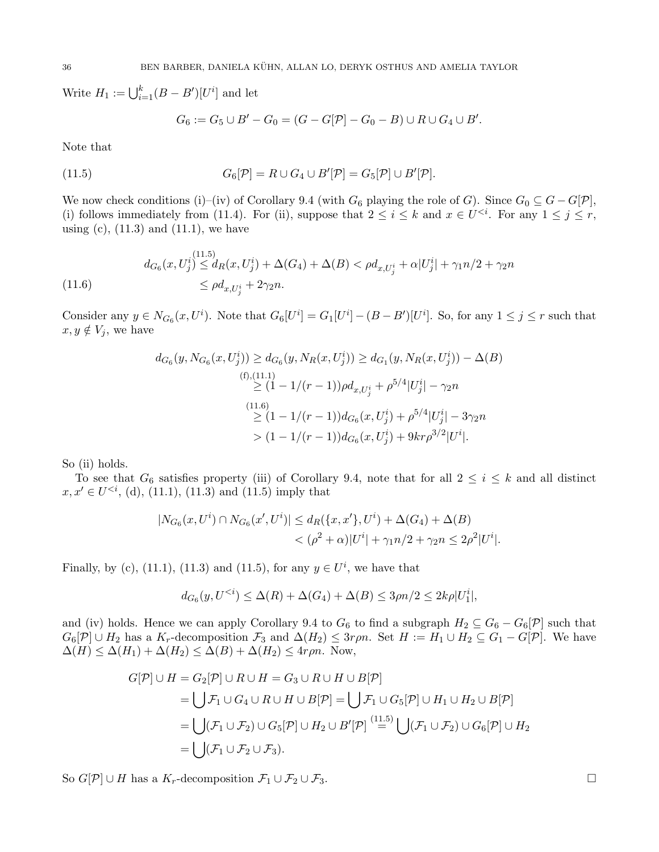Write  $H_1 := \bigcup_{i=1}^k (B - B') [U^i]$  and let

$$
G_6 := G_5 \cup B' - G_0 = (G - G[\mathcal{P}] - G_0 - B) \cup R \cup G_4 \cup B'.
$$

Note that

(11.5) 
$$
G_6[\mathcal{P}] = R \cup G_4 \cup B'[\mathcal{P}] = G_5[\mathcal{P}] \cup B'[\mathcal{P}].
$$

We now check conditions (i)–(iv) of Corollary 9.4 (with  $G_6$  playing the role of G). Since  $G_0 \subseteq G - G[\mathcal{P}]$ , (i) follows immediately from (11.4). For (ii), suppose that  $2 \le i \le k$  and  $x \in U^{< i}$ . For any  $1 \le j \le r$ , using (c),  $(11.3)$  and  $(11.1)$ , we have

(11.6) 
$$
d_{G_6}(x, U_j^i) \leq d_R(x, U_j^i) + \Delta(G_4) + \Delta(B) < \rho d_{x, U_j^i} + \alpha |U_j^i| + \gamma_1 n/2 + \gamma_2 n
$$
\n
$$
\leq \rho d_{x, U_j^i} + 2\gamma_2 n.
$$

Consider any  $y \in N_{G_6}(x, U^i)$ . Note that  $G_6[U^i] = G_1[U^i] - (B - B')[U^i]$ . So, for any  $1 \le j \le r$  such that  $x, y \notin V_j$ , we have

$$
d_{G_6}(y, N_{G_6}(x, U_j^i)) \ge d_{G_6}(y, N_R(x, U_j^i)) \ge d_{G_1}(y, N_R(x, U_j^i)) - \Delta(B)
$$
  
\n
$$
\ge (1 - 1/(r - 1))\rho d_{x, U_j^i} + \rho^{5/4} |U_j^i| - \gamma_2 n
$$
  
\n
$$
\ge (1 - 1/(r - 1))d_{G_6}(x, U_j^i) + \rho^{5/4} |U_j^i| - 3\gamma_2 n
$$
  
\n
$$
> (1 - 1/(r - 1))d_{G_6}(x, U_j^i) + 9kr\rho^{3/2} |U^i|.
$$

So (ii) holds.

To see that  $G_6$  satisfies property (iii) of Corollary 9.4, note that for all  $2 \le i \le k$  and all distinct  $x, x' \in U^{\leq i}$ , (d), (11.1), (11.3) and (11.5) imply that

$$
|N_{G_6}(x, U^i) \cap N_{G_6}(x', U^i)| \le d_R(\{x, x'\}, U^i) + \Delta(G_4) + \Delta(B)
$$
  

$$
< (\rho^2 + \alpha)|U^i| + \gamma_1 n/2 + \gamma_2 n \le 2\rho^2 |U^i|.
$$

Finally, by (c), (11.1), (11.3) and (11.5), for any  $y \in U^i$ , we have that

$$
d_{G_6}(y, U^{< i}) \le \Delta(R) + \Delta(G_4) + \Delta(B) \le 3\rho n/2 \le 2k\rho |U_1^i|,
$$

and (iv) holds. Hence we can apply Corollary 9.4 to  $G_6$  to find a subgraph  $H_2 \subseteq G_6 - G_6[\mathcal{P}]$  such that  $G_6[\mathcal{P}] \cup H_2$  has a  $K_r$ -decomposition  $\mathcal{F}_3$  and  $\Delta(H_2) \leq 3r\rho n$ . Set  $H := H_1 \cup H_2 \subseteq G_1 - G[\mathcal{P}]$ . We have  $\Delta(H) \leq \Delta(H_1) + \Delta(H_2) \leq \Delta(B) + \Delta(H_2) \leq 4r\rho n$ . Now,

$$
G[\mathcal{P}] \cup H = G_2[\mathcal{P}] \cup R \cup H = G_3 \cup R \cup H \cup B[\mathcal{P}]
$$
  
= 
$$
\bigcup \mathcal{F}_1 \cup G_4 \cup R \cup H \cup B[\mathcal{P}] = \bigcup \mathcal{F}_1 \cup G_5[\mathcal{P}] \cup H_1 \cup H_2 \cup B[\mathcal{P}]
$$
  
= 
$$
\bigcup (\mathcal{F}_1 \cup \mathcal{F}_2) \cup G_5[\mathcal{P}] \cup H_2 \cup B'[\mathcal{P}] \stackrel{(11.5)}{=} \bigcup (\mathcal{F}_1 \cup \mathcal{F}_2) \cup G_6[\mathcal{P}] \cup H_2
$$
  
= 
$$
\bigcup (\mathcal{F}_1 \cup \mathcal{F}_2 \cup \mathcal{F}_3).
$$

So  $G[\mathcal{P}] \cup H$  has a  $K_r$ -decomposition  $\mathcal{F}_1 \cup \mathcal{F}_2 \cup \mathcal{F}_3$ .  $□$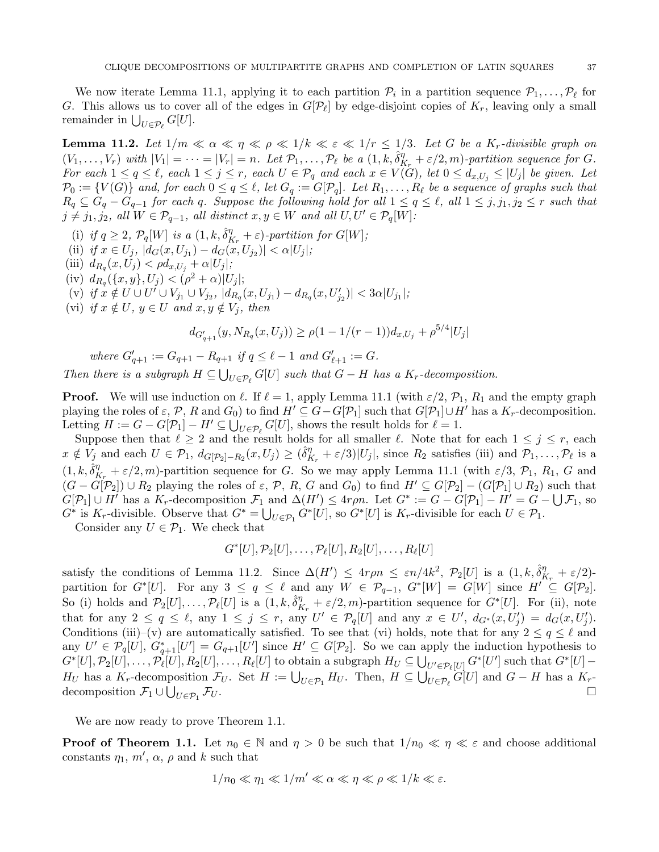We now iterate Lemma 11.1, applying it to each partition  $\mathcal{P}_i$  in a partition sequence  $\mathcal{P}_1, \ldots, \mathcal{P}_\ell$  for G. This allows us to cover all of the edges in  $G[\mathcal{P}_\ell]$  by edge-disjoint copies of  $K_r$ , leaving only a small remainder in  $\bigcup_{U \in \mathcal{P}_{\ell}} G[U]$ .

**Lemma 11.2.** Let  $1/m \ll \alpha \ll \eta \ll \rho \ll 1/k \ll \varepsilon \ll 1/r \leq 1/3$ . Let G be a K<sub>r</sub>-divisible graph on  $(V_1, \ldots, V_r)$  with  $|V_1| = \cdots = |V_r| = n$ . Let  $\mathcal{P}_1, \ldots, \mathcal{P}_\ell$  be a  $(1, k, \hat{\delta}_R^{\eta})$  $\frac{\eta}{K_r} + \varepsilon/2, m$ )-partition sequence for G. For each  $1 \le q \le \ell$ , each  $1 \le j \le r$ , each  $U \in \mathcal{P}_q$  and each  $x \in V(G)$ , let  $0 \le d_{x,U_j} \le |U_j|$  be given. Let  $\mathcal{P}_0 := \{V(G)\}\$ and, for each  $0 \leq q \leq \ell$ , let  $G_q := G[\mathcal{P}_q]$ . Let  $R_1, \ldots, R_\ell$  be a sequence of graphs such that  $R_q \subseteq G_q - G_{q-1}$  for each q. Suppose the following hold for all  $1 \le q \le \ell$ , all  $1 \le j, j_1, j_2 \le r$  such that  $j \neq j_1, j_2, \text{ all } W \in \mathcal{P}_{q-1}, \text{ all distinct } x, y \in W \text{ and all } U, U' \in \mathcal{P}_q[W]$ :

- (i) if  $q \geq 2$ ,  $\mathcal{P}_q[W]$  is  $a(1, k, \hat{\delta}_R^{\eta})$  $K_r^{\eta}+\varepsilon$ )-partition for  $G[W]$ ;
- (ii) if  $x \in U_j$ ,  $|d_G(x, U_{j_1}) d_G(x, U_{j_2})| < \alpha |U_j|$ ;
- (iii)  $d_{R_q}(x, U_j) < \rho d_{x, U_j} + \alpha |U_j|;$
- (iv)  $d_{R_q}(\{x, y\}, U_j) < (\rho^2 + \alpha)|U_j|;$
- (v) if  $x \notin U \cup U' \cup V_{j_1} \cup V_{j_2}$ ,  $|d_{R_q}(x, U_{j_1}) d_{R_q}(x, U'_{j_2})| < 3\alpha |U_{j_1}|$ ;
- (vi) if  $x \notin U$ ,  $y \in U$  and  $x, y \notin V_j$ , then

$$
d_{G'_{q+1}}(y, N_{R_q}(x, U_j)) \ge \rho(1 - 1/(r - 1))d_{x, U_j} + \rho^{5/4}|U_j|
$$

where 
$$
G'_{q+1} := G_{q+1} - R_{q+1}
$$
 if  $q \leq \ell - 1$  and  $G'_{\ell+1} := G$ .

Then there is a subgraph  $H \subseteq \bigcup_{U \in \mathcal{P}_\ell} G[U]$  such that  $G - H$  has a  $K_r$ -decomposition.

**Proof.** We will use induction on  $\ell$ . If  $\ell = 1$ , apply Lemma 11.1 (with  $\epsilon/2$ ,  $\mathcal{P}_1$ ,  $R_1$  and the empty graph playing the roles of  $\varepsilon$ , P, R and  $G_0$ ) to find  $H' \subseteq G - G[P_1]$  such that  $G[P_1] \cup H'$  has a  $K_r$ -decomposition. Letting  $H := G - G[\mathcal{P}_1] - H' \subseteq \bigcup_{U \in \mathcal{P}_\ell} G[U]$ , shows the result holds for  $\ell = 1$ .

Suppose then that  $\ell \geq 2$  and the result holds for all smaller  $\ell$ . Note that for each  $1 \leq j \leq r$ , each  $x \notin V_j$  and each  $U \in \mathcal{P}_1$ ,  $d_{G[\mathcal{P}_2] - R_2}(x, U_j) \geq (\hat{\delta}_R^{\eta})$  $K_r'' + \varepsilon/3$ |U<sub>j</sub>|, since  $R_2$  satisfies (iii) and  $\mathcal{P}_1, \ldots, \mathcal{P}_\ell$  is a  $(1, k, \hat{\delta}_k^{\eta})$  $K_r'' + \varepsilon/2, m$ )-partition sequence for G. So we may apply Lemma 11.1 (with  $\varepsilon/3$ ,  $\mathcal{P}_1$ ,  $R_1$ , G and  $(G - G[\mathcal{P}_2]) \cup R_2$  playing the roles of  $\varepsilon$ ,  $\mathcal{P}$ ,  $R$ ,  $G$  and  $G_0$ ) to find  $H' \subseteq G[\mathcal{P}_2] - (G[\mathcal{P}_1] \cup R_2)$  such that  $G[P_1] \cup H'$  has a  $K_r$ -decomposition  $\mathcal{F}_1$  and  $\Delta(H') \leq 4r\rho n$ . Let  $G^* := G - G[P_1] - H' = G - \bigcup \mathcal{F}_1$ , so  $G^*$  is  $K_r$ -divisible. Observe that  $G^* = \bigcup_{U \in \mathcal{P}_1} G^*[U]$ , so  $G^*[U]$  is  $K_r$ -divisible for each  $U \in \mathcal{P}_1$ .

Consider any  $U \in \mathcal{P}_1$ . We check that

$$
G^*[U], \mathcal{P}_2[U], \ldots, \mathcal{P}_\ell[U], R_2[U], \ldots, R_\ell[U]
$$

satisfy the conditions of Lemma 11.2. Since  $\Delta(H') \leq 4r\rho n \leq \varepsilon n/4k^2$ ,  $\mathcal{P}_2[U]$  is a  $(1, k, \hat{\delta}_K^{\eta})$  $\frac{\eta}{K_r}+\varepsilon/2$ )partition for  $G^*[U]$ . For any  $3 \le q \le \ell$  and any  $W \in \mathcal{P}_{q-1}$ ,  $G^*[W] = G[W]$  since  $H' \subseteq G[\mathcal{P}_2]$ . So (i) holds and  $\mathcal{P}_2[U], \ldots, \mathcal{P}_\ell[U]$  is a  $(1, k, \hat{\delta}_k^{\eta})$  $N_{K_r}^{\eta} + \varepsilon/2, m$ )-partition sequence for  $G^*[U]$ . For (ii), note that for any  $2 \le q \le \ell$ , any  $1 \le j \le r$ , any  $U' \in \mathcal{P}_q[U]$  and any  $x \in U'$ ,  $d_{G^*}(x, U'_j) = d_G(x, U'_j)$ . Conditions (iii)–(v) are automatically satisfied. To see that (vi) holds, note that for any  $2 \le q \le \ell$  and any  $U' \in \mathcal{P}_q[U], G^*_{q+1}[U'] = G_{q+1}[U']$  since  $H' \subseteq G[\mathcal{P}_2]$ . So we can apply the induction hypothesis to  $G^*[U], \mathcal{P}_2[U], \ldots, \mathcal{P}_\ell[U], R_2[U], \ldots, R_\ell[U]$  to obtain a subgraph  $H_U \subseteq \bigcup_{U' \in \mathcal{P}_\ell[U]} G^*[U']$  such that  $G^*[U] H_U$  has a  $K_r$ -decomposition  $\mathcal{F}_U$ . Set  $H := \bigcup_{U \in \mathcal{P}_1} H_U$ . Then,  $H \subseteq \bigcup_{U \in \mathcal{P}_\ell} G[U]$  and  $G - H$  has a  $K_r$ decomposition  $\mathcal{F}_1 \cup \bigcup_{U \in \mathcal{P}_1}$  $\mathcal{F}_U$ .

We are now ready to prove Theorem 1.1.

**Proof of Theorem 1.1.** Let  $n_0 \in \mathbb{N}$  and  $\eta > 0$  be such that  $1/n_0 \ll \eta \ll \varepsilon$  and choose additional constants  $\eta_1$ ,  $m'$ ,  $\alpha$ ,  $\rho$  and k such that

$$
1/n_0 \ll \eta_1 \ll 1/m' \ll \alpha \ll \eta \ll \rho \ll 1/k \ll \varepsilon.
$$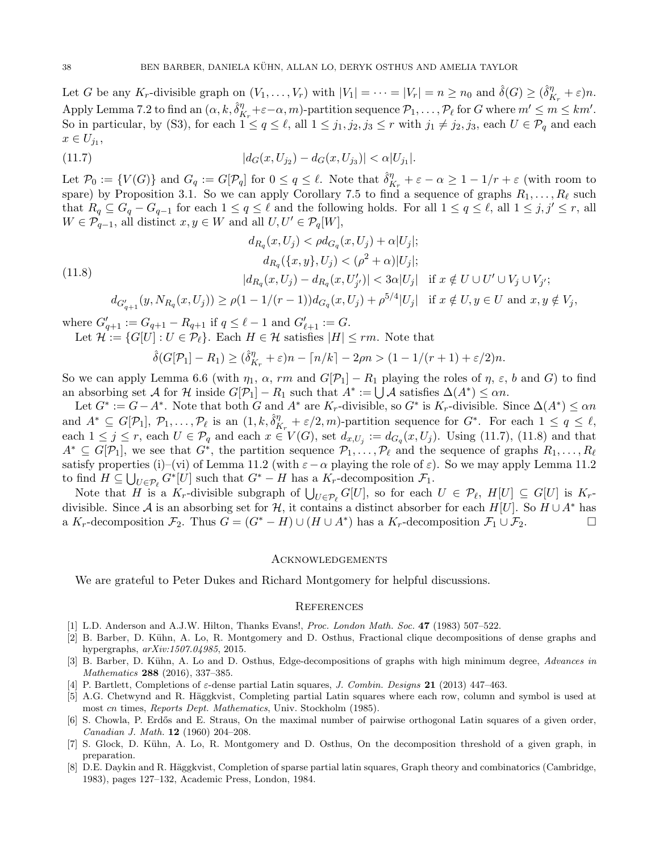Let G be any  $K_r$ -divisible graph on  $(V_1, \ldots, V_r)$  with  $|V_1| = \cdots = |V_r| = n \ge n_0$  and  $\hat{\delta}(G) \ge (\hat{\delta}_K^n)$  $\frac{\eta}{K_r} + \varepsilon \big) n.$ Apply Lemma 7.2 to find an  $(\alpha, k, \hat{\delta}_k^{\eta})$  $N_{K_r}^{\eta} + \varepsilon - \alpha, m$ )-partition sequence  $\mathcal{P}_1, \ldots, \mathcal{P}_\ell$  for G where  $m' \le m \le km'.$ So in particular, by (S3), for each  $1 \le q \le \ell$ , all  $1 \le j_1, j_2, j_3 \le r$  with  $j_1 \ne j_2, j_3$ , each  $U \in \mathcal{P}_q$  and each  $x \in U_{j_1},$ 

(11.7) 
$$
|d_G(x, U_{j_2}) - d_G(x, U_{j_3})| < \alpha |U_{j_1}|.
$$

Let  $\mathcal{P}_0 := \{ V(G) \}$  and  $G_q := G[\mathcal{P}_q]$  for  $0 \le q \le \ell$ . Note that  $\hat{\delta}_F^{\eta}$  $K_r'' + \varepsilon - \alpha \geq 1 - 1/r + \varepsilon$  (with room to spare) by Proposition 3.1. So we can apply Corollary 7.5 to find a sequence of graphs  $R_1, \ldots, R_\ell$  such that  $R_q \subseteq G_q - G_{q-1}$  for each  $1 \le q \le \ell$  and the following holds. For all  $1 \le q \le \ell$ , all  $1 \le j, j' \le r$ , all  $W \in \mathcal{P}_{q-1}$ , all distinct  $x, y \in W$  and all  $U, U' \in \mathcal{P}_q[W]$ ,

(11.8)  
\n
$$
d_{R_q}(x, U_j) < \rho d_{G_q}(x, U_j) + \alpha |U_j|;
$$
\n
$$
d_{R_q}(\{x, y\}, U_j) < (\rho^2 + \alpha) |U_j|;
$$
\n
$$
|d_{R_q}(x, U_j) - d_{R_q}(x, U'_{j'})| < 3\alpha |U_j| \quad \text{if } x \notin U \cup U' \cup V_j \cup V_{j'};
$$

$$
d_{G'_{q+1}}(y, N_{R_q}(x, U_j)) \ge \rho(1 - 1/(r - 1))d_{G_q}(x, U_j) + \rho^{5/4}|U_j| \quad \text{if } x \notin U, y \in U \text{ and } x, y \notin V_j,
$$

where  $G'_{q+1} := G_{q+1} - R_{q+1}$  if  $q \leq \ell - 1$  and  $G'_{\ell+1} := G$ .

Let  $\mathcal{H} := \{G[U] : U \in \mathcal{P}_{\ell}\}.$  Each  $H \in \mathcal{H}$  satisfies  $|H| \leq rm$ . Note that

$$
\hat{\delta}(G[\mathcal{P}_1]-R_1) \geq (\hat{\delta}_{K_r}^{\eta} + \varepsilon)n - \lceil n/k \rceil - 2\rho n > (1 - 1/(r+1) + \varepsilon/2)n.
$$

So we can apply Lemma 6.6 (with  $\eta_1$ ,  $\alpha$ , rm and  $G[\mathcal{P}_1] - R_1$  playing the roles of  $\eta$ ,  $\varepsilon$ , b and G) to find an absorbing set A for H inside  $G[P_1] - R_1$  such that  $A^* := \bigcup A$  satisfies  $\Delta(A^*) \leq \alpha n$ .

Let  $G^* := G - A^*$ . Note that both G and  $A^*$  are  $K_r$ -divisible, so  $G^*$  is  $K_r$ -divisible. Since  $\Delta(A^*) \leq \alpha n$ and  $A^* \subseteq G[\mathcal{P}_1], \mathcal{P}_1, \ldots, \mathcal{P}_\ell$  is an  $(1, k, \hat{\delta}_k^{\eta})$  $N_{K_r}^{\eta} + \varepsilon/2, m$ )-partition sequence for  $G^*$ . For each  $1 \le q \le \ell$ , each  $1 \leq j \leq r$ , each  $U \in \mathcal{P}_q$  and each  $x \in V(G)$ , set  $d_{x,U_j} := d_{G_q}(x, U_j)$ . Using (11.7), (11.8) and that  $A^* \subseteq G[\mathcal{P}_1],$  we see that  $G^*$ , the partition sequence  $\mathcal{P}_1, \ldots, \mathcal{P}_\ell$  and the sequence of graphs  $R_1, \ldots, R_\ell$ satisfy properties (i)–(vi) of Lemma 11.2 (with  $\varepsilon-\alpha$  playing the role of  $\varepsilon$ ). So we may apply Lemma 11.2 to find  $H \subseteq \bigcup_{U \in \mathcal{P}_\ell} G^*[U]$  such that  $G^* - H$  has a  $K_r$ -decomposition  $\mathcal{F}_1$ .

Note that H is a  $K_r$ -divisible subgraph of  $\bigcup_{U \in \mathcal{P}_\ell} G[U]$ , so for each  $U \in \mathcal{P}_\ell$ ,  $H[U] \subseteq G[U]$  is  $K_r$ divisible. Since A is an absorbing set for H, it contains a distinct absorber for each H[U]. So  $H \cup A^*$  has a  $K_r$ -decomposition  $\mathcal{F}_1 \cup \mathcal{F}_2$ . a  $K_r$ -decomposition  $\mathcal{F}_2$ . Thus  $G = (G^* - H) \cup (H \cup A^*)$  has a  $K_r$ -decomposition  $\mathcal{F}_1 \cup \mathcal{F}_2$ .

## **ACKNOWLEDGEMENTS**

We are grateful to Peter Dukes and Richard Montgomery for helpful discussions.

#### **REFERENCES**

- [1] L.D. Anderson and A.J.W. Hilton, Thanks Evans!, Proc. London Math. Soc. 47 (1983) 507–522.
- [2] B. Barber, D. Kühn, A. Lo, R. Montgomery and D. Osthus, Fractional clique decompositions of dense graphs and hypergraphs, arXiv:1507.04985, 2015.
- [3] B. Barber, D. Kühn, A. Lo and D. Osthus, Edge-decompositions of graphs with high minimum degree, Advances in Mathematics 288 (2016), 337–385.
- [4] P. Bartlett, Completions of  $\varepsilon$ -dense partial Latin squares, *J. Combin. Designs* 21 (2013) 447–463.
- [5] A.G. Chetwynd and R. Häggkvist, Completing partial Latin squares where each row, column and symbol is used at most cn times, Reports Dept. Mathematics, Univ. Stockholm (1985).
- [6] S. Chowla, P. Erdős and E. Straus, On the maximal number of pairwise orthogonal Latin squares of a given order, Canadian J. Math. 12 (1960) 204–208.
- [7] S. Glock, D. K¨uhn, A. Lo, R. Montgomery and D. Osthus, On the decomposition threshold of a given graph, in preparation.
- [8] D.E. Daykin and R. Häggkvist, Completion of sparse partial latin squares, Graph theory and combinatorics (Cambridge, 1983), pages 127–132, Academic Press, London, 1984.